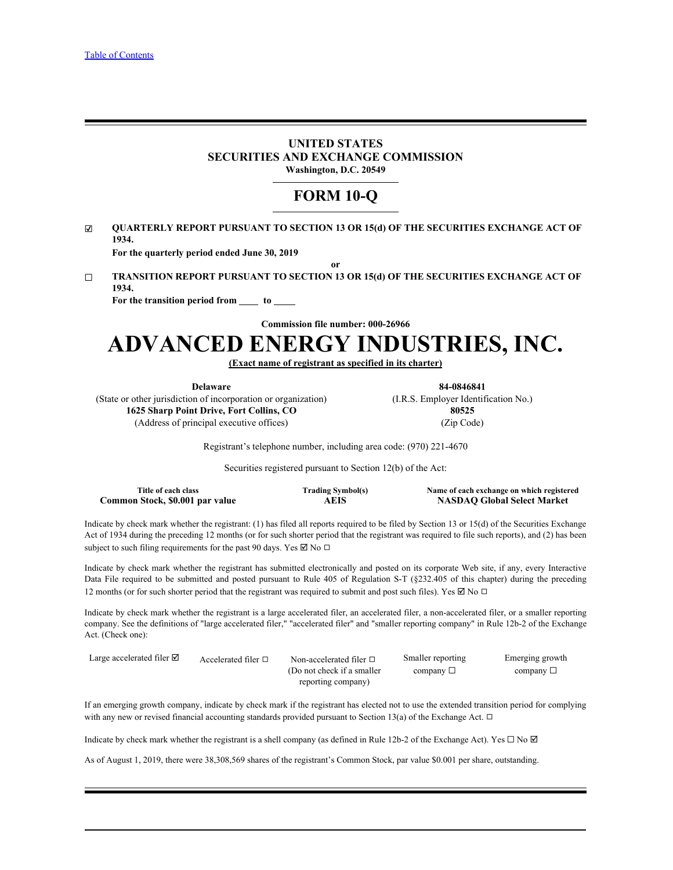# **UNITED STATES SECURITIES AND EXCHANGE COMMISSION**

**Washington, D.C. 20549**

# **FORM 10-Q**

☑ **QUARTERLY REPORT PURSUANT TO SECTION 13 OR 15(d) OF THE SECURITIES EXCHANGE ACT OF 1934.**

**For the quarterly period ended June 30, 2019**

☐ **TRANSITION REPORT PURSUANT TO SECTION 13 OR 15(d) OF THE SECURITIES EXCHANGE ACT OF 1934.**

For the transition period from \_\_\_\_\_\_ to \_\_\_\_\_<br>Commission file number: 000-26966

# **ADVANCED ENERGY INDUSTRIES, INC.**

**(Exact name of registrant as specified in its charter)**

(State or other jurisdiction of incorporation or organization) (I.R.S. Employer Identification No.) **1625 Sharp Point Drive, Fort Collins, CO 80525** (Address of principal executive offices) (Zip Code)

**Delaware 84-0846841**

**or**

Registrant's telephone number, including area code: (970) 221-4670

Securities registered pursuant to Section 12(b) of the Act:

| <b>Title</b>                                                                              | radıng        | ne of each exchange on which registered |  |
|-------------------------------------------------------------------------------------------|---------------|-----------------------------------------|--|
| e of each class                                                                           | Symbol(s)     | -Nar                                    |  |
| $\overline{\phantom{0}}$<br>$. \, \mathrm{S}0.00^\circ$<br>par value<br>.ommon<br>-Stock. | EIC<br>11 L.C | <b>Select Market</b><br>ilobal<br>SIJ   |  |

Indicate by check mark whether the registrant: (1) has filed all reports required to be filed by Section 13 or 15(d) of the Securities Exchange Act of 1934 during the preceding 12 months (or for such shorter period that the registrant was required to file such reports), and (2) has been subject to such filing requirements for the past 90 days. Yes  $\boxtimes$  No  $\Box$ Data File required to be submitted and posted pursuant to Rule 405 of Regulation S-T (§232.405 of this chapter) during the preceding

Indicate by check mark whether the registrant has submitted electronically and posted on its corporate Web site, if any, every Interactive 12 months (or for such shorter period that the registrant was required to submit and post such files). Yes ⊠ No □

Indicate by check mark whether the registrant is a large accelerated filer, an accelerated filer, a non-accelerated filer, or a smaller reporting company. See the definitions of "large accelerated filer," "accelerated filer" and "smaller reporting company" in Rule 12b-2 of the Exchange Act. (Check one):

| Large accelerated filer $\boxtimes$ | Accelerated filer $\Box$ | Non-accelerated filer $\Box$ | Smaller reporting | Emerging growth   |  |
|-------------------------------------|--------------------------|------------------------------|-------------------|-------------------|--|
|                                     |                          | (Do not check if a smaller   | company ⊔         | company $\square$ |  |
|                                     |                          | reporting company)           |                   |                   |  |

If an emerging growth company, indicate by check mark if the registrant has elected not to use the extended transition period for complying with any new or revised financial accounting standards provided pursuant to Section 13(a) of the Exchange Act.  $\Box$ 

Indicate by check mark whether the registrant is a shell company (as defined in Rule 12b-2 of the Exchange Act). Yes  $\Box$  No  $\Box$ 

As of August 1, 2019, there were 38,308,569 shares of the registrant's Common Stock, par value \$0.001 per share, outstanding.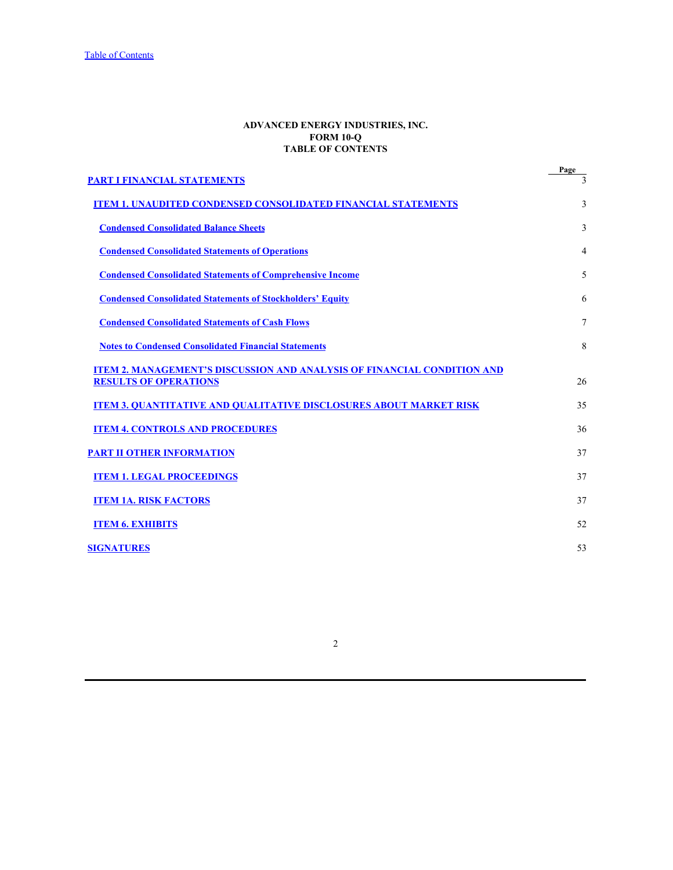# **ADVANCED ENERGY INDUSTRIES, INC. FORM 10-Q TABLE OF CONTENTS**

<span id="page-1-0"></span>

| <b>PART I FINANCIAL STATEMENTS</b>                                                                             | Page<br>$\overline{\mathbf{3}}$ |  |
|----------------------------------------------------------------------------------------------------------------|---------------------------------|--|
| <b>ITEM 1. UNAUDITED CONDENSED CONSOLIDATED FINANCIAL STATEMENTS</b>                                           | 3                               |  |
| <b>Condensed Consolidated Balance Sheets</b>                                                                   | 3                               |  |
| <b>Condensed Consolidated Statements of Operations</b>                                                         | $\overline{4}$                  |  |
| <b>Condensed Consolidated Statements of Comprehensive Income</b>                                               | 5                               |  |
| <b>Condensed Consolidated Statements of Stockholders' Equity</b>                                               | 6                               |  |
| <b>Condensed Consolidated Statements of Cash Flows</b>                                                         | 7                               |  |
| <b>Notes to Condensed Consolidated Financial Statements</b>                                                    | 8                               |  |
| <b>ITEM 2. MANAGEMENT'S DISCUSSION AND ANALYSIS OF FINANCIAL CONDITION AND</b><br><b>RESULTS OF OPERATIONS</b> | 26                              |  |
| <b>ITEM 3. QUANTITATIVE AND QUALITATIVE DISCLOSURES ABOUT MARKET RISK</b>                                      | 35                              |  |
| <b>ITEM 4. CONTROLS AND PROCEDURES</b>                                                                         | 36                              |  |
| <b>PART II OTHER INFORMATION</b>                                                                               | 37                              |  |
| <b>ITEM 1. LEGAL PROCEEDINGS</b>                                                                               | 37                              |  |
| <b>ITEM 1A. RISK FACTORS</b>                                                                                   | 37                              |  |
| <b>ITEM 6. EXHIBITS</b>                                                                                        | 52                              |  |
| <b>SIGNATURES</b>                                                                                              | 53                              |  |

# 2 a set of  $\sim$  2 a set of  $\sim$  2 a set of  $\sim$  2 a set of  $\sim$  3 a set of  $\sim$  3 a set of  $\sim$  3 a set of  $\sim$  3 a set of  $\sim$  3 a set of  $\sim$  3 a set of  $\sim$  3 a set of  $\sim$  3 a set of  $\sim$  3 a set of  $\sim$  3 a set of  $\sim$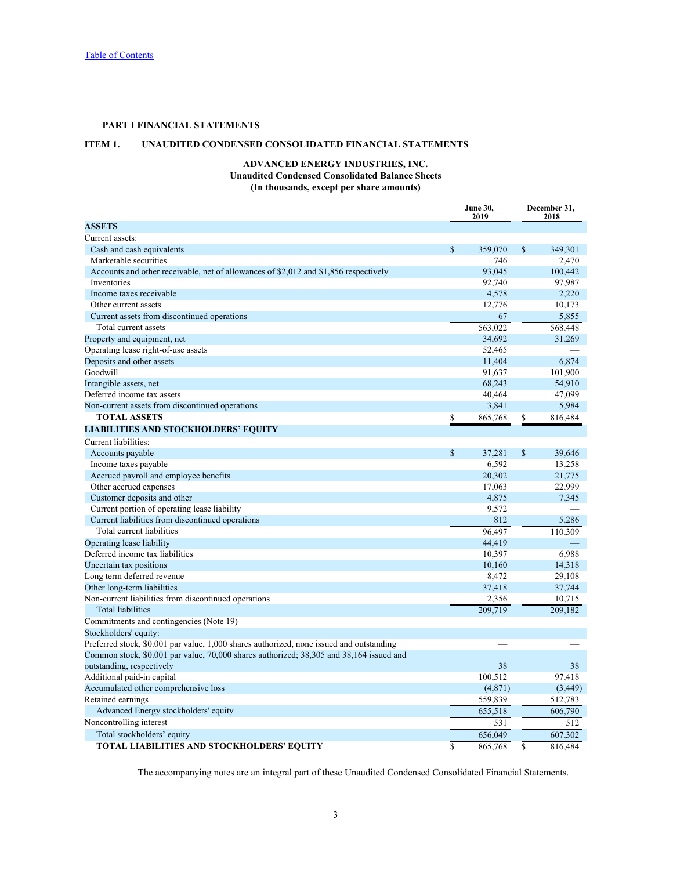## <span id="page-2-0"></span>**PART I FINANCIAL STATEMENTS**

# <span id="page-2-1"></span>**ITEM 1. UNAUDITED CONDENSED CONSOLIDATED FINANCIAL STATEMENTS**

# **ADVANCED ENERGY INDUSTRIES, INC. Unaudited Condensed Consolidated Balance Sheets (In thousands, except per share amounts)**

<span id="page-2-2"></span>

|                                                                                          |              | <b>June 30,</b><br>2019 |               | December 31,<br>2018 |
|------------------------------------------------------------------------------------------|--------------|-------------------------|---------------|----------------------|
| <b>ASSETS</b>                                                                            |              |                         |               |                      |
| Current assets:                                                                          |              |                         |               |                      |
| Cash and cash equivalents                                                                | <sup>S</sup> | 359,070                 | -S            | 349,301              |
| Marketable securities                                                                    |              | 746                     |               | 2,470                |
| Accounts and other receivable, net of allowances of \$2,012 and \$1,856 respectively     |              | 93,045                  |               | 100,442              |
| Inventories                                                                              |              | 92,740                  |               | 97,987               |
| Income taxes receivable                                                                  |              | 4,578                   |               | 2,220                |
| Other current assets                                                                     |              | 12,776                  |               | 10,173               |
| Current assets from discontinued operations                                              |              | 67                      |               | 5,855                |
| Total current assets                                                                     |              | 563,022                 |               | 568,448              |
| Property and equipment, net                                                              |              | 34,692                  |               | 31,269               |
| Operating lease right-of-use assets                                                      |              |                         |               |                      |
| Deposits and other assets                                                                |              | 52,465<br>11,404        |               | 6,874                |
|                                                                                          |              | 91,637                  |               | 101,900              |
| Goodwill                                                                                 |              |                         |               |                      |
| Intangible assets, net                                                                   |              | 68,243                  |               | 54,910               |
| Deferred income tax assets                                                               |              | 40,464                  |               | 47,099               |
| Non-current assets from discontinued operations                                          |              | 3,841                   |               | 5,984                |
| <b>TOTAL ASSETS</b>                                                                      |              | 865,768                 | <sup>\$</sup> | 816,484              |
| <b>LIABILITIES AND STOCKHOLDERS' EQUITY</b>                                              |              |                         |               |                      |
| Current liabilities:                                                                     |              |                         |               |                      |
| Accounts payable                                                                         | $\mathbb{S}$ | 37,281                  | $\mathcal{S}$ | 39,646               |
| Income taxes payable                                                                     |              | 6,592                   |               | 13,258               |
| Accrued payroll and employee benefits                                                    |              | 20,302                  |               | 21,775               |
| Other accrued expenses                                                                   |              | 17,063                  |               | 22,999               |
| Customer deposits and other                                                              |              | 4,875                   |               | 7,345                |
| Current portion of operating lease liability                                             |              | 9,572                   |               |                      |
| Current liabilities from discontinued operations                                         |              | 812                     |               | 5,286                |
| Total current liabilities                                                                |              | 96,497                  |               | 110,309              |
| Operating lease liability                                                                |              | 44,419                  |               | $\qquad \qquad -$    |
| Deferred income tax liabilities                                                          |              | 10,397                  |               | 6,988                |
| Uncertain tax positions                                                                  |              | 10,160                  |               | 14,318               |
| Long term deferred revenue                                                               |              | 8,472                   |               | 29,108               |
| Other long-term liabilities                                                              |              | 37,418                  |               | 37,744               |
| Non-current liabilities from discontinued operations                                     |              | 2,356                   |               | 10,715               |
| <b>Total liabilities</b>                                                                 |              | 209,719                 |               | 209,182              |
| Commitments and contingencies (Note 19)                                                  |              |                         |               |                      |
| Stockholders' equity:                                                                    |              |                         |               |                      |
| Preferred stock, \$0.001 par value, 1,000 shares authorized, none issued and outstanding |              |                         |               |                      |
| Common stock, \$0.001 par value, 70,000 shares authorized; 38,305 and 38,164 issued and  |              |                         |               |                      |
|                                                                                          |              | 38                      |               | 38                   |
| outstanding, respectively                                                                |              | 100,512                 |               |                      |
| Additional paid-in capital                                                               |              |                         |               | 97,418               |
| Accumulated other comprehensive loss                                                     |              | (4, 871)                |               | (3, 449)             |
| Retained earnings                                                                        |              | 559,839                 |               | 512,783              |
| Advanced Energy stockholders' equity                                                     |              | 655,518                 |               | 606,790              |
| Noncontrolling interest                                                                  |              | 531                     |               | 512                  |
| Total stockholders' equity                                                               |              | 656,049                 |               | 607,302              |
| <b>TOTAL LIABILITIES AND STOCKHOLDERS' EQUITY</b>                                        | $\mathbb{S}$ | 865,768                 | $\mathcal{S}$ | 816,484              |

The accompanying notes are an integral part of these Unaudited Condensed Consolidated Financial Statements.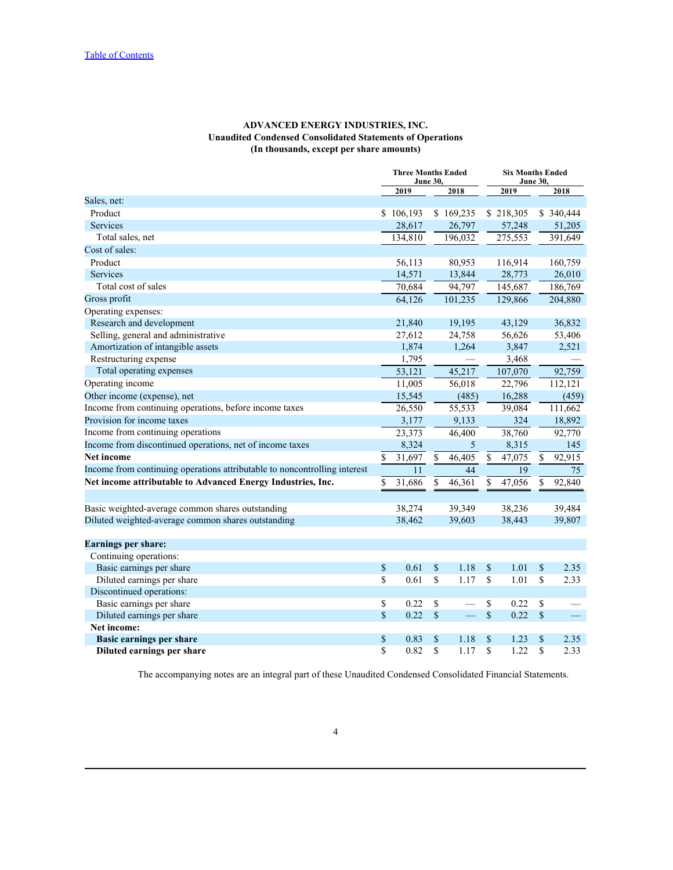# **ADVANCED ENERGY INDUSTRIES, INC. Unaudited Condensed Consolidated Statements of Operations (In thousands, except per share amounts)**

<span id="page-4-0"></span>

|                                                                           | <b>Three Months Ended</b><br><b>June 30,</b> |                          | <b>Six Months Ended</b><br><b>June 30,</b> |                                   |  |  |  |
|---------------------------------------------------------------------------|----------------------------------------------|--------------------------|--------------------------------------------|-----------------------------------|--|--|--|
|                                                                           | 2019                                         | 2018                     | 2019                                       | 2018                              |  |  |  |
| Sales, net:                                                               |                                              |                          |                                            |                                   |  |  |  |
| Product                                                                   | \$106,193                                    | \$169,235                | \$218,305                                  | \$ 340,444                        |  |  |  |
| Services                                                                  | 28,617                                       | 26,797                   | 57,248                                     | 51,205                            |  |  |  |
| Total sales, net                                                          | 134,810                                      | 196,032                  | 275,553                                    | 391,649                           |  |  |  |
| Cost of sales:                                                            |                                              |                          |                                            |                                   |  |  |  |
| Product                                                                   | 56,113                                       | 80,953                   | 116,914                                    | 160,759                           |  |  |  |
| Services                                                                  | 14,571                                       | 13,844                   | 28,773                                     | 26,010                            |  |  |  |
| Total cost of sales                                                       | 70,684                                       | 94,797                   | 145,687                                    | 186,769                           |  |  |  |
| Gross profit                                                              | 64,126                                       | 101,235                  | 129,866                                    | 204,880                           |  |  |  |
| Operating expenses:                                                       |                                              |                          |                                            |                                   |  |  |  |
| Research and development                                                  | 21,840                                       | 19,195                   | 43,129                                     | 36,832                            |  |  |  |
| Selling, general and administrative                                       | 27,612                                       | 24,758                   | 56,626                                     | 53,406                            |  |  |  |
| Amortization of intangible assets                                         | 1,874                                        | 1,264                    | 3,847                                      | 2,521                             |  |  |  |
| Restructuring expense                                                     | 1,795                                        | $\overline{\phantom{m}}$ | 3,468                                      | $\hspace{0.1mm}-\hspace{0.1mm}$   |  |  |  |
| Total operating expenses                                                  | 53,121                                       | 45,217                   | 107,070                                    | 92,759                            |  |  |  |
| Operating income                                                          | 11,005                                       | 56,018                   | 22,796                                     | 112,121                           |  |  |  |
| Other income (expense), net                                               | 15,545                                       | (485)                    | 16,288                                     | (459)                             |  |  |  |
| Income from continuing operations, before income taxes                    | 26,550                                       | 55,533                   | 39,084                                     | 111,662                           |  |  |  |
| Provision for income taxes                                                | 3,177                                        | 9,133                    | 324                                        | 18,892                            |  |  |  |
| Income from continuing operations                                         | 23,373                                       | 46,400                   | 38,760                                     | 92,770                            |  |  |  |
| Income from discontinued operations, net of income taxes                  | 8,324                                        | 5                        | 8,315                                      | 145                               |  |  |  |
| Net income                                                                | $\overline{8}$ 31,697                        | 46,405<br>$\mathbb{S}$   | 47,075<br>\$                               | $\overline{\mathbb{S}}$<br>92,915 |  |  |  |
|                                                                           |                                              |                          |                                            |                                   |  |  |  |
| Income from continuing operations attributable to noncontrolling interest | 11                                           | 44                       | 19                                         | 75                                |  |  |  |
| Net income attributable to Advanced Energy Industries, Inc.               | \$31,686                                     | 46,361<br>S.             | \$47,056                                   | \$92,840                          |  |  |  |
|                                                                           |                                              |                          |                                            |                                   |  |  |  |
| Basic weighted-average common shares outstanding                          | 38,274                                       | 39,349                   | 38,236                                     | 39,484                            |  |  |  |
| Diluted weighted-average common shares outstanding                        | 38,462                                       | 39,603                   | 38,443                                     | 39,807                            |  |  |  |
|                                                                           |                                              |                          |                                            |                                   |  |  |  |
| <b>Earnings per share:</b>                                                |                                              |                          |                                            |                                   |  |  |  |
| Continuing operations:                                                    |                                              |                          |                                            |                                   |  |  |  |
| Basic earnings per share                                                  | 0.61<br>S.                                   | 1.18                     | 1.01<br>-S                                 | 2.35                              |  |  |  |
| Diluted earnings per share                                                | <sup>\$</sup><br>0.61                        | - \$<br>1.17S            | 1.01                                       | -S<br>2.33                        |  |  |  |
| Discontinued operations:                                                  |                                              |                          |                                            |                                   |  |  |  |
| Basic earnings per share                                                  | 0.22<br>-S                                   | -S                       | 0.22<br>-S                                 | -S                                |  |  |  |
| Diluted earnings per share                                                | 0.22 S<br>$\mathcal{S}$                      | $\overline{\phantom{0}}$ | 0.22<br>$\mathcal{S}$                      | $\mathbf{s}$                      |  |  |  |
| Net income:                                                               |                                              |                          |                                            |                                   |  |  |  |
| <b>Basic earnings per share</b>                                           | 0.83<br>S                                    | 1.18                     | 1.23<br>-S                                 | 2.35<br>- \$                      |  |  |  |
| Diluted earnings per share                                                | <sup>\$</sup><br>$0.82$ \$                   | 1.17                     | <sup>\$</sup><br>1.22                      | <sup>\$</sup><br>2.33             |  |  |  |

The accompanying notes are an integral part of these Unaudited Condensed Consolidated Financial Statements.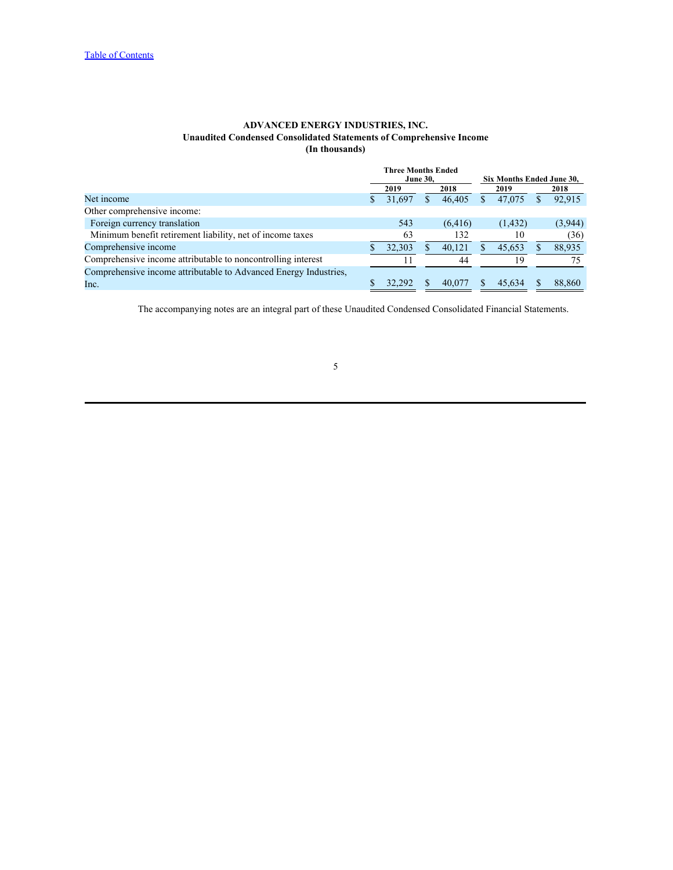# **ADVANCED ENERGY INDUSTRIES, INC. Unaudited Condensed Consolidated Statements of Comprehensive Income (In thousands)**

<span id="page-5-0"></span>

|                                                                  |  | <b>Three Months Ended</b> |  |          |  |                           |  |         |  |  |  |  |
|------------------------------------------------------------------|--|---------------------------|--|----------|--|---------------------------|--|---------|--|--|--|--|
|                                                                  |  | <b>June 30,</b>           |  |          |  | Six Months Ended June 30, |  |         |  |  |  |  |
|                                                                  |  | 2019                      |  | 2018     |  | 2019                      |  | 2018    |  |  |  |  |
| Net income                                                       |  | 31,697                    |  | 46,405   |  | 47,075                    |  | 92,915  |  |  |  |  |
| Other comprehensive income:                                      |  |                           |  |          |  |                           |  |         |  |  |  |  |
| Foreign currency translation                                     |  | 543                       |  | (6, 416) |  | (1, 432)                  |  | (3,944) |  |  |  |  |
| Minimum benefit retirement liability, net of income taxes        |  | 63                        |  | 132      |  | 10                        |  | (36)    |  |  |  |  |
| Comprehensive income                                             |  | 32,303                    |  | 40.121   |  | 45,653                    |  | 88,935  |  |  |  |  |
| Comprehensive income attributable to noncontrolling interest     |  |                           |  | 44       |  | 19                        |  |         |  |  |  |  |
| Comprehensive income attributable to Advanced Energy Industries, |  |                           |  |          |  |                           |  |         |  |  |  |  |
| Inc.                                                             |  | 32.292                    |  | 40,077   |  | 45,634                    |  | 88,860  |  |  |  |  |
|                                                                  |  |                           |  |          |  |                           |  |         |  |  |  |  |

The accompanying notes are an integral part of these Unaudited Condensed Consolidated Financial Statements.

#### $5<sub>5</sub>$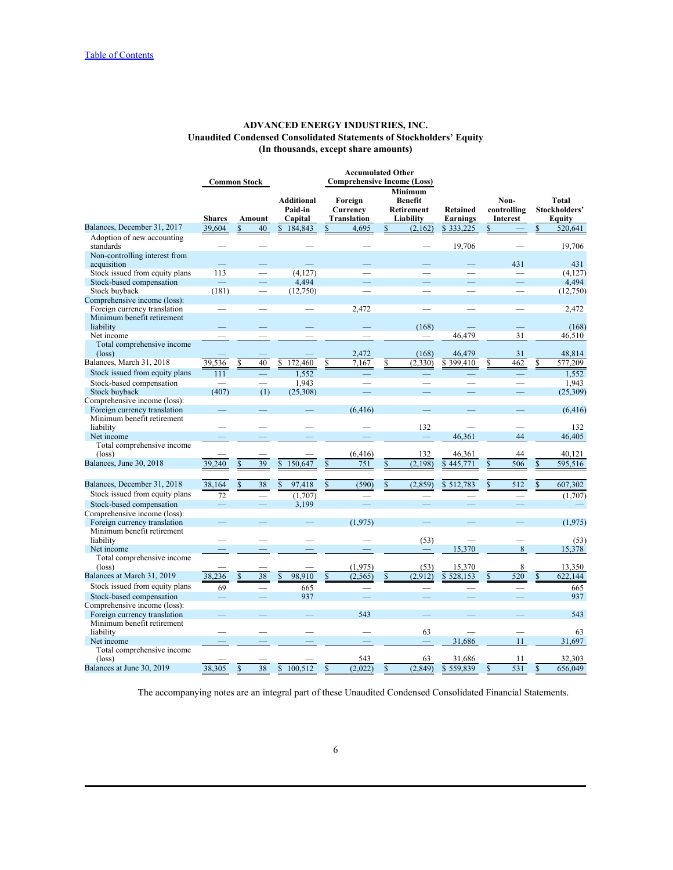# **ADVANCED ENERGY INDUSTRIES, INC. Unaudited Condensed Consolidated Statements of Stockholders' Equity (In thousands, except share amounts)**

<span id="page-6-0"></span>

|                                         |               | <b>Common Stock</b>      |                                         | <b>Accumulated Other</b><br><b>Comprehensive Income (Loss)</b> |   |                                                             |                      |                                        |               |                                         |
|-----------------------------------------|---------------|--------------------------|-----------------------------------------|----------------------------------------------------------------|---|-------------------------------------------------------------|----------------------|----------------------------------------|---------------|-----------------------------------------|
|                                         | Shares        | Amount                   | <b>Additional</b><br>Paid-in<br>Capital | Foreign<br>Currency<br><b>Translation</b>                      |   | <b>Minimum</b><br><b>Benefit</b><br>Retirement<br>Liability | Retained<br>Earnings | Non-<br>controlling<br><b>Interest</b> |               | <b>Total</b><br>Stockholders'<br>Equity |
| Balances, December 31, 2017             | 39,604        | 40                       | 184,843                                 | 4,695                                                          |   | (2,162)                                                     | \$333,225            | К                                      |               | 520,641                                 |
|                                         |               |                          |                                         |                                                                |   |                                                             |                      |                                        |               |                                         |
| Adoption of new accounting<br>standards |               |                          |                                         |                                                                |   |                                                             | 19,706               |                                        |               |                                         |
|                                         |               |                          |                                         |                                                                |   |                                                             |                      |                                        |               | 19,706                                  |
| Non-controlling interest from           |               |                          |                                         |                                                                |   |                                                             |                      |                                        |               |                                         |
| acquisition                             |               |                          |                                         |                                                                |   |                                                             |                      | 431                                    |               | 431                                     |
| Stock issued from equity plans          | 113           |                          | (4,127)                                 |                                                                |   |                                                             |                      | $\overline{\phantom{0}}$               |               | (4, 127)                                |
| Stock-based compensation                | $\frac{1}{2}$ |                          | 4,494                                   |                                                                |   |                                                             |                      |                                        |               | 4,494                                   |
| Stock buyback                           | (181)         |                          | (12,750)                                |                                                                |   |                                                             |                      |                                        |               | (12,750)                                |
| Comprehensive income (loss):            |               |                          |                                         |                                                                |   |                                                             |                      |                                        |               |                                         |
| Foreign currency translation            |               |                          |                                         | 2.472                                                          |   |                                                             |                      |                                        |               | 2,472                                   |
| Minimum benefit retirement              |               |                          |                                         |                                                                |   |                                                             |                      |                                        |               |                                         |
| liability                               |               |                          |                                         |                                                                |   | (168)                                                       |                      |                                        |               | (168)                                   |
| Net income                              |               |                          |                                         |                                                                |   |                                                             | 46,479               | 31                                     |               | 46,510                                  |
|                                         |               |                          |                                         |                                                                |   |                                                             |                      |                                        |               |                                         |
| Total comprehensive income              |               |                          |                                         |                                                                |   |                                                             |                      |                                        |               |                                         |
| $(\text{loss})$                         |               |                          |                                         | 2,472                                                          |   | (168)                                                       | 46,479               | 31                                     |               | 48,814                                  |
| Balances, March 31, 2018                | 39,536        | 40                       | 172,460                                 | 7,167                                                          |   | (2, 330)                                                    | 399,410              | 462                                    |               | 577,209                                 |
| Stock issued from equity plans          | 111           |                          | 1,552                                   |                                                                |   |                                                             |                      |                                        |               | 1,552                                   |
| Stock-based compensation                |               |                          | 1,943                                   |                                                                |   |                                                             |                      |                                        |               | 1.943                                   |
| Stock buyback                           | (407)         | (1)                      | (25,308)                                | $\equiv$                                                       |   |                                                             |                      |                                        |               | (25,309)                                |
|                                         |               |                          |                                         |                                                                |   |                                                             |                      |                                        |               |                                         |
| Comprehensive income (loss):            |               |                          |                                         |                                                                |   |                                                             |                      |                                        |               |                                         |
| Foreign currency translation            |               |                          |                                         | (6,416)                                                        |   |                                                             |                      |                                        |               | (6, 416)                                |
| Minimum benefit retirement              |               |                          |                                         |                                                                |   |                                                             |                      |                                        |               |                                         |
| liability                               |               |                          |                                         |                                                                |   | 132                                                         |                      |                                        |               | 132                                     |
| Net income                              |               |                          |                                         |                                                                |   |                                                             | 46,361               | 44                                     |               | 46,405                                  |
| Total comprehensive income              |               |                          |                                         |                                                                |   |                                                             |                      |                                        |               |                                         |
| $(\text{loss})$                         |               |                          |                                         | (6, 416)                                                       |   | 132                                                         | 46,361               | 44                                     |               | 40,121                                  |
| Balances, June 30, 2018                 | 39,240        | 39                       | 150,647                                 | 751                                                            |   | (2,198)                                                     | \$445,771            | 506                                    |               | 595,516                                 |
|                                         |               |                          |                                         |                                                                |   |                                                             |                      |                                        |               |                                         |
|                                         |               |                          |                                         |                                                                |   |                                                             |                      |                                        |               |                                         |
| Balances, December 31, 2018             | 38,164        | 38<br><sup>\$</sup>      | 97,418                                  | (590)                                                          |   | (2, 859)                                                    | \$512,783            | 512                                    |               | 607,302                                 |
| Stock issued from equity plans          | 72            |                          |                                         | $\qquad \qquad$                                                |   |                                                             |                      | $\qquad \qquad$                        |               |                                         |
|                                         |               |                          | (1,707)                                 |                                                                |   | $\qquad \qquad$                                             | $\equiv$             |                                        |               | (1,707)                                 |
| Stock-based compensation                |               |                          | 3,199                                   | $\overline{\phantom{0}}$                                       |   |                                                             |                      |                                        |               |                                         |
| Comprehensive income (loss):            |               |                          |                                         |                                                                |   |                                                             |                      |                                        |               |                                         |
| Foreign currency translation            |               |                          |                                         | (1, 975)                                                       |   |                                                             |                      |                                        |               | (1, 975)                                |
| Minimum benefit retirement              |               |                          |                                         |                                                                |   |                                                             |                      |                                        |               |                                         |
| liability                               |               |                          |                                         | $\overline{\phantom{0}}$                                       |   | (53)                                                        |                      |                                        |               | (53)                                    |
| Net income                              |               |                          |                                         |                                                                |   |                                                             | 15.370               | 8                                      |               | 15,378                                  |
| Total comprehensive income              |               |                          |                                         |                                                                |   |                                                             |                      |                                        |               |                                         |
|                                         |               |                          |                                         | (1,975)                                                        |   | (53)                                                        | 15,370               | 8                                      |               | 13,350                                  |
| $(\text{loss})$                         |               |                          |                                         |                                                                |   |                                                             |                      |                                        |               |                                         |
| Balances at March 31, 2019              | 38,236        | 38<br>\$                 | 98,910                                  | (2, 565)<br>ς                                                  | S | (2,912)                                                     | \$528,153            | 520<br>$\mathbf S$                     | $\mathcal{S}$ | 622,144                                 |
| Stock issued from equity plans          | 69            |                          | 665                                     |                                                                |   |                                                             |                      |                                        |               | 665                                     |
| Stock-based compensation                |               |                          | 937                                     |                                                                |   |                                                             |                      |                                        |               | 937                                     |
| Comprehensive income (loss):            |               |                          |                                         |                                                                |   |                                                             |                      |                                        |               |                                         |
| Foreign currency translation            |               |                          |                                         | 543                                                            |   |                                                             |                      |                                        |               | 543                                     |
|                                         |               |                          |                                         |                                                                |   |                                                             |                      |                                        |               |                                         |
| Minimum benefit retirement              |               |                          |                                         |                                                                |   |                                                             |                      |                                        |               |                                         |
| liability                               |               |                          |                                         |                                                                |   | 63                                                          |                      |                                        |               | 63                                      |
| Net income                              |               |                          |                                         |                                                                |   |                                                             | 31,686               | 11                                     |               | 31,697                                  |
| Total comprehensive income              |               |                          |                                         |                                                                |   |                                                             |                      |                                        |               |                                         |
| $(\text{loss})$                         |               |                          |                                         | 543                                                            |   | 63                                                          | 31,686               | 11                                     |               | 32,303                                  |
| Balances at June 30, 2019               | 38.305        | 38<br>$\mathbf{\hat{S}}$ | $\overline{100,512}$                    | (2,022)<br>$\mathcal{S}$                                       |   | (2,849)                                                     | \$559.839            | 531                                    | $\mathbf S$   | 656,049                                 |
|                                         |               |                          |                                         |                                                                |   |                                                             |                      |                                        |               |                                         |

The accompanying notes are an integral part of these Unaudited Condensed Consolidated Financial Statements.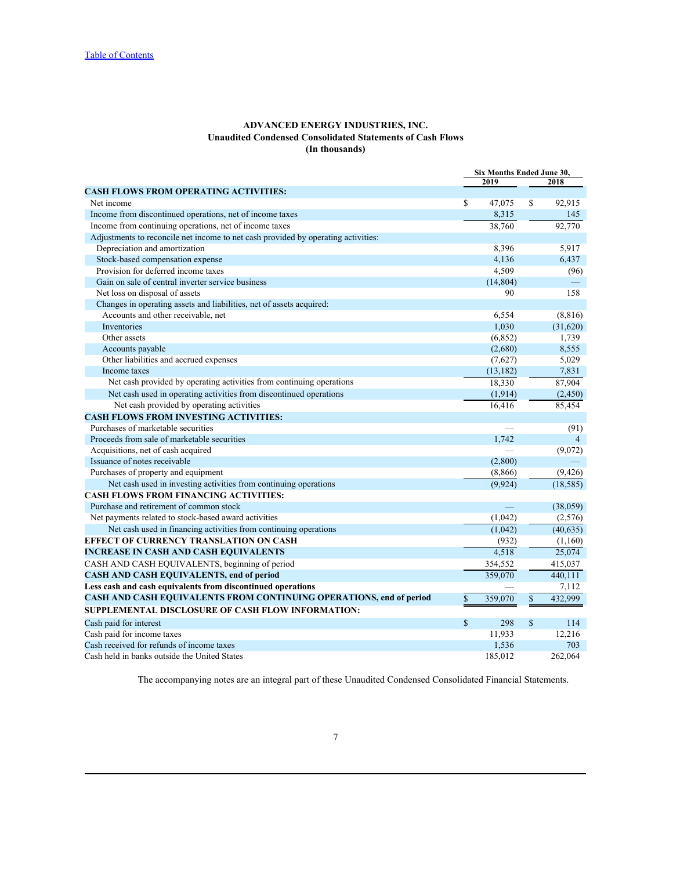# **ADVANCED ENERGY INDUSTRIES, INC. Unaudited Condensed Consolidated Statements of Cash Flows (In thousands)**

<span id="page-7-0"></span>

|                                                                                   | Six Months Ended June 30, |      |                          |
|-----------------------------------------------------------------------------------|---------------------------|------|--------------------------|
|                                                                                   | 2019                      |      | 2018                     |
| <b>CASH FLOWS FROM OPERATING ACTIVITIES:</b>                                      |                           |      |                          |
| Net income                                                                        | 47,075                    | - S  | 92,915                   |
| Income from discontinued operations, net of income taxes                          | 8,315                     |      | 145                      |
| Income from continuing operations, net of income taxes                            | 38,760                    |      | 92,770                   |
| Adjustments to reconcile net income to net cash provided by operating activities: |                           |      |                          |
| Depreciation and amortization                                                     | 8,396                     |      | 5,917                    |
| Stock-based compensation expense                                                  | 4,136                     |      | 6,437                    |
| Provision for deferred income taxes                                               | 4,509                     |      | (96)                     |
| Gain on sale of central inverter service business                                 | (14, 804)                 |      | $\qquad \qquad -$        |
| Net loss on disposal of assets                                                    | 90                        |      | 158                      |
| Changes in operating assets and liabilities, net of assets acquired:              |                           |      |                          |
| Accounts and other receivable, net                                                | 6,554                     |      | (8, 816)                 |
| Inventories                                                                       | 1,030                     |      | (31,620)                 |
| Other assets                                                                      | (6,852)                   |      | 1,739                    |
| Accounts payable                                                                  | (2,680)                   |      | 8,555                    |
| Other liabilities and accrued expenses                                            | (7,627)                   |      | 5,029                    |
| Income taxes                                                                      | (13, 182)                 |      | 7,831                    |
| Net cash provided by operating activities from continuing operations              | 18,330                    |      | 87,904                   |
| Net cash used in operating activities from discontinued operations                | (1,914)                   |      | (2, 450)                 |
| Net cash provided by operating activities                                         | 16,416                    |      | 85,454                   |
| <b>CASH FLOWS FROM INVESTING ACTIVITIES:</b>                                      |                           |      |                          |
| Purchases of marketable securities                                                |                           |      | (91)                     |
| Proceeds from sale of marketable securities                                       | 1,742                     |      | $\overline{4}$           |
| Acquisitions, net of cash acquired                                                |                           |      | (9,072)                  |
| Issuance of notes receivable                                                      | (2,800)                   |      | $\overline{\phantom{m}}$ |
| Purchases of property and equipment                                               | (8, 866)                  |      | (9, 426)                 |
| Net cash used in investing activities from continuing operations                  | (9, 924)                  |      | (18, 585)                |
| <b>CASH FLOWS FROM FINANCING ACTIVITIES:</b>                                      |                           |      |                          |
| Purchase and retirement of common stock                                           |                           |      | (38,059)                 |
| Net payments related to stock-based award activities                              | (1,042)                   |      | (2,576)                  |
| Net cash used in financing activities from continuing operations                  | (1,042)                   |      | (40, 635)                |
| EFFECT OF CURRENCY TRANSLATION ON CASH                                            | (932)                     |      | (1,160)                  |
| INCREASE IN CASH AND CASH EQUIVALENTS                                             | 4,518                     |      | 25,074                   |
|                                                                                   | 354,552                   |      | 415,037                  |
| CASH AND CASH EQUIVALENTS, beginning of period                                    |                           |      |                          |
| CASH AND CASH EQUIVALENTS, end of period                                          | 359,070                   |      | 440,111                  |
| Less cash and cash equivalents from discontinued operations                       |                           |      | 7,112                    |
| CASH AND CASH EQUIVALENTS FROM CONTINUING OPERATIONS, end of period               | 359,070                   | -8   | 432,999                  |
| <b>SUPPLEMENTAL DISCLOSURE OF CASH FLOW INFORMATION:</b>                          |                           |      |                          |
| Cash paid for interest                                                            | 298                       | - \$ | 114                      |
| Cash paid for income taxes                                                        | 11,933                    |      | 12,216                   |
| Cash received for refunds of income taxes                                         | 1,536                     |      | 703                      |
| Cash held in banks outside the United States                                      | 185,012                   |      | 262,064                  |

The accompanying notes are an integral part of these Unaudited Condensed Consolidated Financial Statements.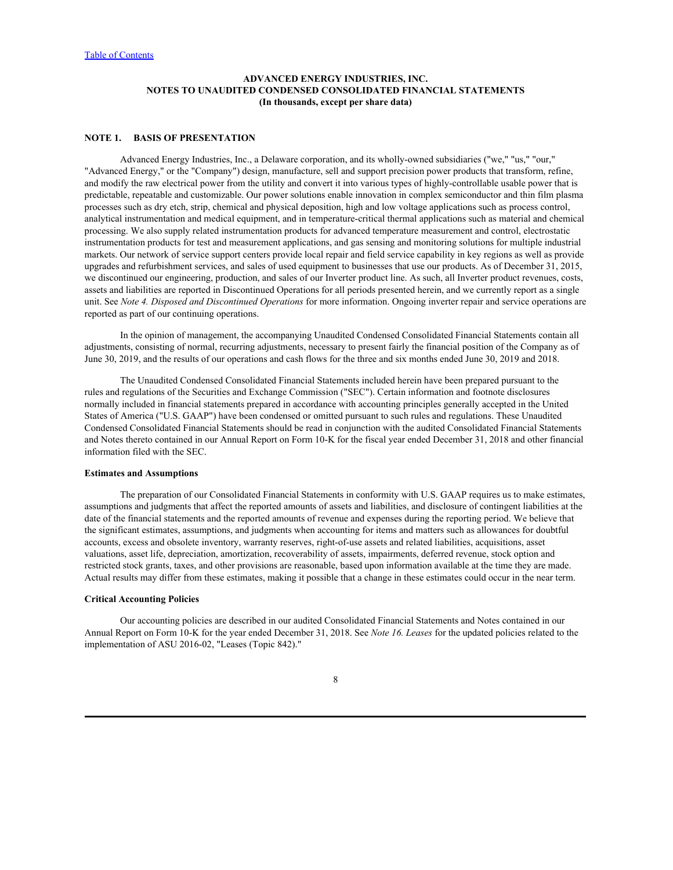# **ADVANCED ENERGY INDUSTRIES, INC. NOTES TO UNAUDITED CONDENSED CONSOLIDATED FINANCIAL STATEMENTS (In thousands, except per share data)**

#### <span id="page-8-0"></span>**NOTE 1. BASIS OF PRESENTATION**

Advanced Energy Industries, Inc., a Delaware corporation, and its wholly-owned subsidiaries ("we," "us," "our," "Advanced Energy," or the "Company") design, manufacture, sell and support precision power products that transform, refine, and modify the raw electrical power from the utility and convert it into various types of highly-controllable usable power that is predictable, repeatable and customizable. Our power solutions enable innovation in complex semiconductor and thin film plasma processes such as dry etch, strip, chemical and physical deposition, high and low voltage applications such as process control, analytical instrumentation and medical equipment, and in temperature-critical thermal applications such as material and chemical processing. We also supply related instrumentation products for advanced temperature measurement and control, electrostatic instrumentation products for test and measurement applications, and gas sensing and monitoring solutions for multiple industrial markets. Our network of service support centers provide local repair and field service capability in key regions as well as provide upgrades and refurbishment services, and sales of used equipment to businesses that use our products. As of December 31, 2015, we discontinued our engineering, production, and sales of our Inverter product line. As such, all Inverter product revenues, costs, assets and liabilities are reported in Discontinued Operations for all periods presented herein, and we currently report as a single unit. See *Note 4. Disposed and Discontinued Operations* for more information. Ongoing inverter repair and service operations are reported as part of our continuing operations.

In the opinion of management, the accompanying Unaudited Condensed Consolidated Financial Statements contain all adjustments, consisting of normal, recurring adjustments, necessary to present fairly the financial position of the Company as of June 30, 2019, and the results of our operations and cash flows for the three and six months ended June 30, 2019 and 2018.

The Unaudited Condensed Consolidated Financial Statements included herein have been prepared pursuant to the rules and regulations of the Securities and Exchange Commission ("SEC"). Certain information and footnote disclosures normally included in financial statements prepared in accordance with accounting principles generally accepted in the United States of America ("U.S. GAAP") have been condensed or omitted pursuant to such rules and regulations. These Unaudited Condensed Consolidated Financial Statements should be read in conjunction with the audited Consolidated Financial Statements and Notes thereto contained in our Annual Report on Form 10-K for the fiscal year ended December 31, 2018 and other financial information filed with the SEC.

## **Estimates and Assumptions**

The preparation of our Consolidated Financial Statements in conformity with U.S. GAAP requires us to make estimates, assumptions and judgments that affect the reported amounts of assets and liabilities, and disclosure of contingent liabilities at the date of the financial statements and the reported amounts of revenue and expenses during the reporting period. We believe that the significant estimates, assumptions, and judgments when accounting for items and matters such as allowances for doubtful accounts, excess and obsolete inventory, warranty reserves, right-of-use assets and related liabilities, acquisitions, asset valuations, asset life, depreciation, amortization, recoverability of assets, impairments, deferred revenue, stock option and restricted stock grants, taxes, and other provisions are reasonable, based upon information available at the time they are made. Actual results may differ from these estimates, making it possible that a change in these estimates could occur in the near term.

#### **Critical Accounting Policies**

Our accounting policies are described in our audited Consolidated Financial Statements and Notes contained in our Annual Report on Form 10-K for the year ended December 31, 2018. See *Note 16. Leases* for the updated policies related to the implementation of ASU 2016-02, "Leases (Topic 842)."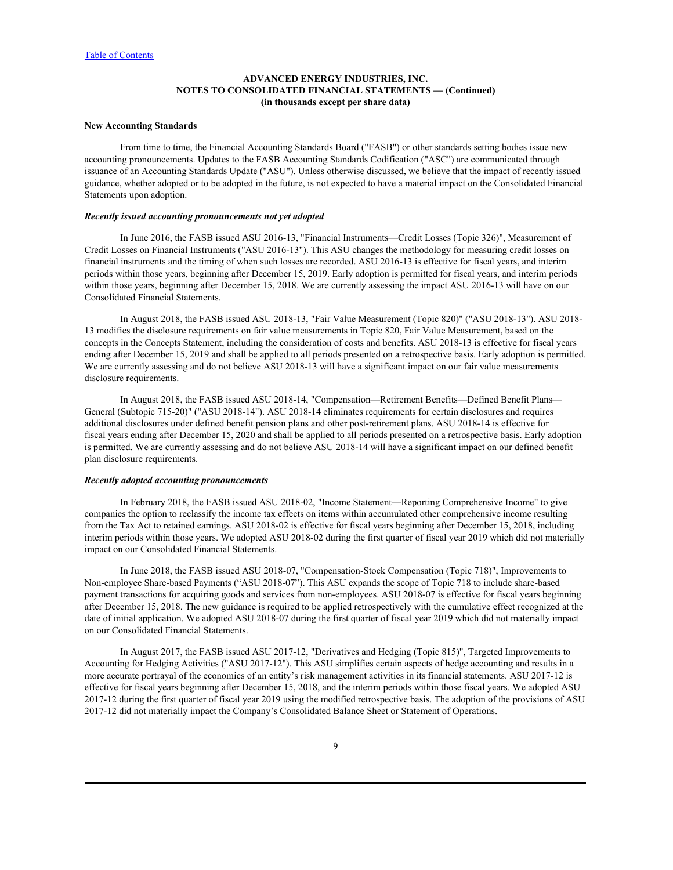## **New Accounting Standards**

From time to time, the Financial Accounting Standards Board ("FASB") or other standards setting bodies issue new accounting pronouncements. Updates to the FASB Accounting Standards Codification ("ASC") are communicated through issuance of an Accounting Standards Update ("ASU"). Unless otherwise discussed, we believe that the impact of recently issued guidance, whether adopted or to be adopted in the future, is not expected to have a material impact on the Consolidated Financial Statements upon adoption.

#### *Recently issued accounting pronouncements not yet adopted*

In June 2016, the FASB issued ASU 2016-13, "Financial Instruments—Credit Losses (Topic 326)", Measurement of Credit Losses on Financial Instruments ("ASU 2016-13"). This ASU changes the methodology for measuring credit losses on financial instruments and the timing of when such losses are recorded. ASU 2016-13 is effective for fiscal years, and interim periods within those years, beginning after December 15, 2019. Early adoption is permitted for fiscal years, and interim periods within those years, beginning after December 15, 2018. We are currently assessing the impact ASU 2016-13 will have on our Consolidated Financial Statements.

In August 2018, the FASB issued ASU 2018-13, "Fair Value Measurement (Topic 820)" ("ASU 2018-13"). ASU 2018- 13 modifies the disclosure requirements on fair value measurements in Topic 820, Fair Value Measurement, based on the concepts in the Concepts Statement, including the consideration of costs and benefits. ASU 2018-13 is effective for fiscal years ending after December 15, 2019 and shall be applied to all periods presented on a retrospective basis. Early adoption is permitted. We are currently assessing and do not believe ASU 2018-13 will have a significant impact on our fair value measurements disclosure requirements.

In August 2018, the FASB issued ASU 2018-14, "Compensation—Retirement Benefits—Defined Benefit Plans— General (Subtopic 715-20)" ("ASU 2018-14"). ASU 2018-14 eliminates requirements for certain disclosures and requires additional disclosures under defined benefit pension plans and other post-retirement plans. ASU 2018-14 is effective for fiscal years ending after December 15, 2020 and shall be applied to all periods presented on a retrospective basis. Early adoption is permitted. We are currently assessing and do not believe ASU 2018-14 will have a significant impact on our defined benefit plan disclosure requirements.

## *Recently adopted accounting pronouncements*

In February 2018, the FASB issued ASU 2018-02, "Income Statement—Reporting Comprehensive Income" to give companies the option to reclassify the income tax effects on items within accumulated other comprehensive income resulting from the Tax Act to retained earnings. ASU 2018-02 is effective for fiscal years beginning after December 15, 2018, including interim periods within those years. We adopted ASU 2018-02 during the first quarter of fiscal year 2019 which did not materially impact on our Consolidated Financial Statements.

In June 2018, the FASB issued ASU 2018-07, "Compensation-Stock Compensation (Topic 718)", Improvements to Non-employee Share-based Payments ("ASU 2018-07"). This ASU expands the scope of Topic 718 to include share-based payment transactions for acquiring goods and services from non-employees. ASU 2018-07 is effective for fiscal years beginning after December 15, 2018. The new guidance is required to be applied retrospectively with the cumulative effect recognized at the date of initial application. We adopted ASU 2018-07 during the first quarter of fiscal year 2019 which did not materially impact on our Consolidated Financial Statements.

In August 2017, the FASB issued ASU 2017-12, "Derivatives and Hedging (Topic 815)", Targeted Improvements to Accounting for Hedging Activities ("ASU 2017-12"). This ASU simplifies certain aspects of hedge accounting and results in a more accurate portrayal of the economics of an entity's risk management activities in its financial statements. ASU 2017-12 is effective for fiscal years beginning after December 15, 2018, and the interim periods within those fiscal years. We adopted ASU 2017-12 during the first quarter of fiscal year 2019 using the modified retrospective basis. The adoption of the provisions of ASU 2017-12 did not materially impact the Company's Consolidated Balance Sheet or Statement of Operations.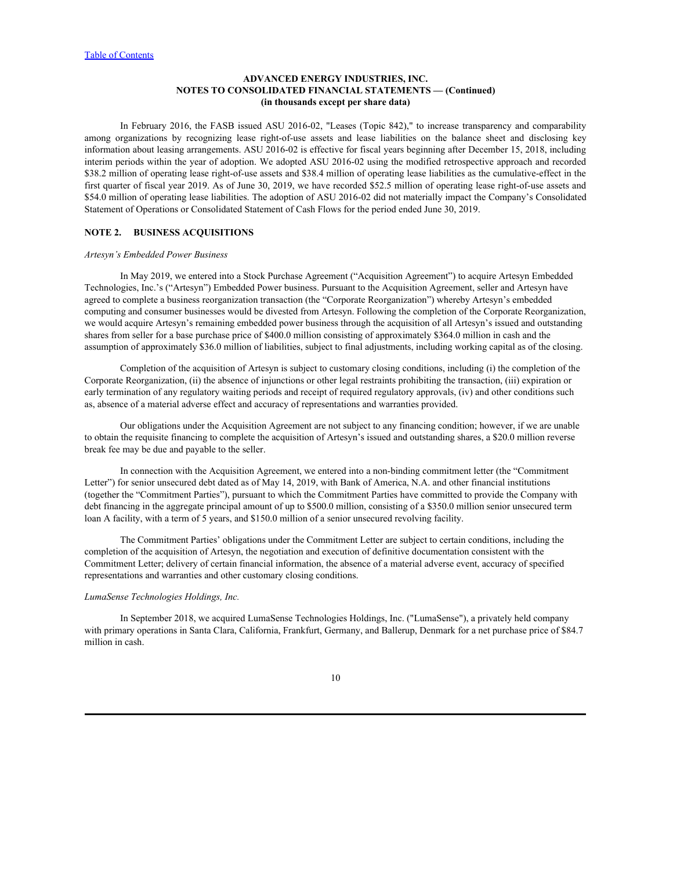In February 2016, the FASB issued ASU 2016-02, "Leases (Topic 842)," to increase transparency and comparability Tableof Contents<br> **ADVANCED ENERGY INDUSTRIES, INC.**<br> **NOTES TO CONSOLIDATED FINANCIAL STATEMENTS — (Continued)**<br>
(in thousands except per share data)<br>
In February 2016, the FASB issued ASU 2016-02, "Leases (Topic 842)," information about leasing arrangements. ASU 2016-02 is effective for fiscal years beginning after December 15, 2018, including interim periods within the year of adoption. We adopted ASU 2016-02 using the modified retrospective approach and recorded \$38.2 million of operating lease right-of-use assets and \$38.4 million of operating lease liabilities as the cumulative-effect in the first quarter of fiscal year 2019. As of June 30, 2019, we have recorded \$52.5 million of operating lease right-of-use assets and \$54.0 million of operating lease liabilities. The adoption of ASU 2016-02 did not materially impact the Company's Consolidated Statement of Operations or Consolidated Statement of Cash Flows for the period ended June 30, 2019.

## **NOTE 2. BUSINESS ACQUISITIONS**

#### *Artesyn's Embedded Power Business*

In May 2019, we entered into a Stock Purchase Agreement ("Acquisition Agreement") to acquire Artesyn Embedded Technologies, Inc.'s ("Artesyn") Embedded Power business. Pursuant to the Acquisition Agreement, seller and Artesyn have agreed to complete a business reorganization transaction (the "Corporate Reorganization") whereby Artesyn's embedded computing and consumer businesses would be divested from Artesyn. Following the completion of the Corporate Reorganization, we would acquire Artesyn's remaining embedded power business through the acquisition of all Artesyn's issued and outstanding shares from seller for a base purchase price of \$400.0 million consisting of approximately \$364.0 million in cash and the assumption of approximately \$36.0 million of liabilities, subject to final adjustments, including working capital as of the closing.

Completion of the acquisition of Artesyn is subject to customary closing conditions, including (i) the completion of the Corporate Reorganization, (ii) the absence of injunctions or other legal restraints prohibiting the transaction, (iii) expiration or early termination of any regulatory waiting periods and receipt of required regulatory approvals, (iv) and other conditions such as, absence of a material adverse effect and accuracy of representations and warranties provided.

Our obligations under the Acquisition Agreement are not subject to any financing condition; however, if we are unable to obtain the requisite financing to complete the acquisition of Artesyn's issued and outstanding shares, a \$20.0 million reverse break fee may be due and payable to the seller.

In connection with the Acquisition Agreement, we entered into a non-binding commitment letter (the "Commitment Letter") for senior unsecured debt dated as of May 14, 2019, with Bank of America, N.A. and other financial institutions (together the "Commitment Parties"), pursuant to which the Commitment Parties have committed to provide the Company with debt financing in the aggregate principal amount of up to \$500.0 million, consisting of a \$350.0 million senior unsecured term loan A facility, with a term of 5 years, and \$150.0 million of a senior unsecured revolving facility.

The Commitment Parties' obligations under the Commitment Letter are subject to certain conditions, including the completion of the acquisition of Artesyn, the negotiation and execution of definitive documentation consistent with the Commitment Letter; delivery of certain financial information, the absence of a material adverse event, accuracy of specified representations and warranties and other customary closing conditions.

## *LumaSense Technologies Holdings, Inc.*

In September 2018, we acquired LumaSense Technologies Holdings, Inc. ("LumaSense"), a privately held company with primary operations in Santa Clara, California, Frankfurt, Germany, and Ballerup, Denmark for a net purchase price of \$84.7 million in cash.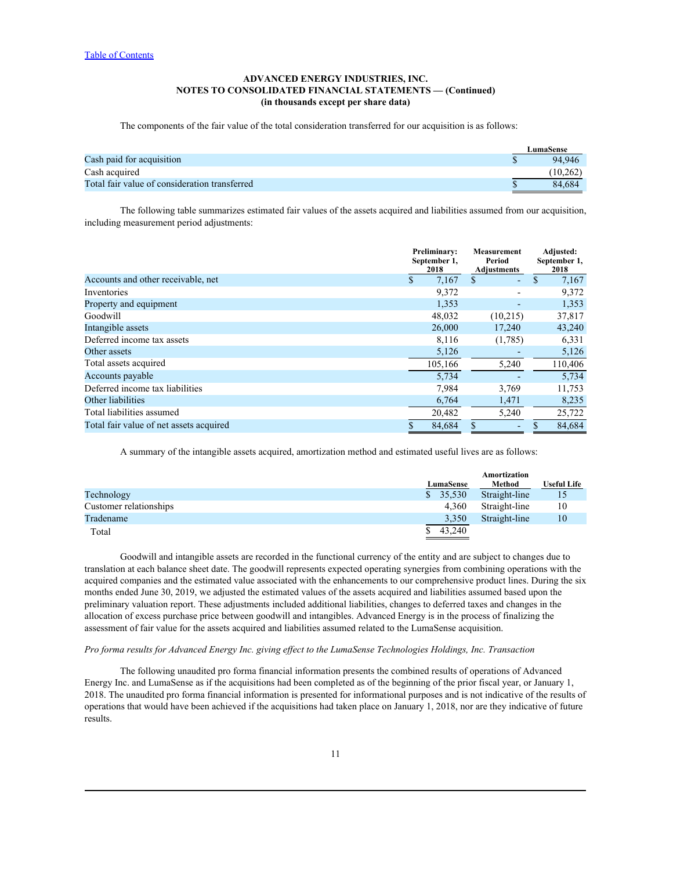The components of the fair value of the total consideration transferred for our acquisition is as follows:

|                                               | LumaSense |
|-----------------------------------------------|-----------|
| Cash paid for acquisition                     | 94,946    |
| Cash acquired                                 | (10, 262) |
| Total fair value of consideration transferred | 84,684    |

The following table summarizes estimated fair values of the assets acquired and liabilities assumed from our acquisition, including measurement period adjustments:

| Preliminary:<br>2018 | <b>Measurement</b><br>Period<br>Adjustments                                                                           | Adjusted:<br>September 1,<br>2018 |
|----------------------|-----------------------------------------------------------------------------------------------------------------------|-----------------------------------|
|                      | S.<br>$\overline{\phantom{0}}$                                                                                        | 7,167<br><sup>\$</sup>            |
|                      | $\overline{\phantom{a}}$                                                                                              | 9,372                             |
| 1,353                |                                                                                                                       | 1,353                             |
|                      | (10,215)                                                                                                              | 37,817                            |
|                      | 17,240                                                                                                                | 43,240                            |
|                      | (1,785)                                                                                                               | 6,331                             |
|                      |                                                                                                                       | 5,126                             |
|                      | 5,240                                                                                                                 | 110,406                           |
|                      |                                                                                                                       | 5,734                             |
|                      | 3,769                                                                                                                 | 11,753                            |
|                      | 1,471                                                                                                                 | 8,235                             |
|                      | 5,240                                                                                                                 | 25,722                            |
|                      |                                                                                                                       | 84,684                            |
|                      | September 1,<br>7,167<br>9,372<br>48,032<br>26,000<br>5,126<br>105,166<br>5,734<br>7,984<br>6,764<br>20,482<br>84,684 | 8,116                             |

A summary of the intangible assets acquired, amortization method and estimated useful lives are as follows:

|                        |           | Amortization  |                    |
|------------------------|-----------|---------------|--------------------|
|                        | LumaSense | Method        | <b>Useful Life</b> |
| Technology             | 35,530    | Straight-line | 15                 |
| Customer relationships | 4,360     | Straight-line | 10                 |
| Tradename              | 3,350     | Straight-line | 10                 |
| Total                  | 43,240    |               |                    |

Goodwill and intangible assets are recorded in the functional currency of the entity and are subject to changes due to translation at each balance sheet date. The goodwill represents expected operating synergies from combining operations with the acquired companies and the estimated value associated with the enhancements to our comprehensive product lines. During the six months ended June 30, 2019, we adjusted the estimated values of the assets acquired and liabilities assumed based upon the preliminary valuation report. These adjustments included additional liabilities, changes to deferred taxes and changes in the allocation of excess purchase price between goodwill and intangibles. Advanced Energy is in the process of finalizing the assessment of fair value for the assets acquired and liabilities assumed related to the LumaSense acquisition.

#### *Pro forma results for Advanced Energy Inc. giving effect to the LumaSense Technologies Holdings, Inc. Transaction*

The following unaudited pro forma financial information presents the combined results of operations of Advanced Energy Inc. and LumaSense as if the acquisitions had been completed as of the beginning of the prior fiscal year, or January 1, 2018. The unaudited pro forma financial information is presented for informational purposes and is not indicative of the results of operations that would have been achieved if the acquisitions had taken place on January 1, 2018, nor are they indicative of future results.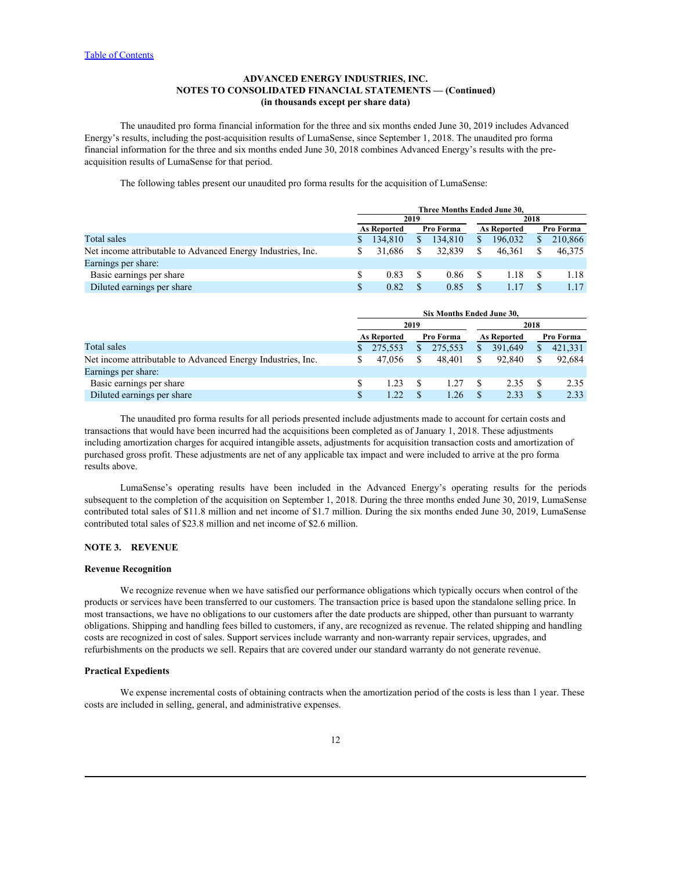The unaudited pro forma financial information for the three and six months ended June 30, 2019 includes Advanced Energy's results, including the post-acquisition results of LumaSense, since September 1, 2018. The unaudited pro forma financial information for the three and six months ended June 30, 2018 combines Advanced Energy's results with the preacquisition results of LumaSense for that period.

| Three Months Ended June 30, |         |                    |         |           |         |             |           |  |  |  |  |
|-----------------------------|---------|--------------------|---------|-----------|---------|-------------|-----------|--|--|--|--|
|                             |         |                    |         | 2018      |         |             |           |  |  |  |  |
|                             |         |                    |         |           |         |             | Pro Forma |  |  |  |  |
|                             | 134,810 |                    | 134,810 |           | 196,032 |             | 210,866   |  |  |  |  |
|                             | 31,686  |                    | 32,839  |           | 46,361  |             | 46,375    |  |  |  |  |
|                             |         |                    |         |           |         |             |           |  |  |  |  |
|                             | 0.83    |                    | 0.86    |           | .18     |             | 1.18      |  |  |  |  |
|                             | 0.82    |                    | 0.85    |           | 1.17    |             | 1.17      |  |  |  |  |
|                             |         | <b>As Reported</b> | 2019    | Pro Forma |         | As Reported |           |  |  |  |  |

| The unaudited pro forma financial information for the three and six months ended June 30, 2019 includes Advanced                 |               |                    |                              |                             |                               |                    |                               |                   |
|----------------------------------------------------------------------------------------------------------------------------------|---------------|--------------------|------------------------------|-----------------------------|-------------------------------|--------------------|-------------------------------|-------------------|
| Energy's results, including the post-acquisition results of LumaSense, since September 1, 2018. The unaudited pro forma          |               |                    |                              |                             |                               |                    |                               |                   |
| financial information for the three and six months ended June 30, 2018 combines Advanced Energy's results with the pre-          |               |                    |                              |                             |                               |                    |                               |                   |
| acquisition results of LumaSense for that period.                                                                                |               |                    |                              |                             |                               |                    |                               |                   |
| The following tables present our unaudited pro forma results for the acquisition of LumaSense:                                   |               |                    |                              |                             |                               |                    |                               |                   |
|                                                                                                                                  |               |                    |                              |                             |                               |                    |                               |                   |
|                                                                                                                                  |               |                    |                              | Three Months Ended June 30, |                               |                    |                               |                   |
|                                                                                                                                  |               |                    | 2019                         |                             |                               |                    | 2018                          |                   |
| <b>Total sales</b>                                                                                                               |               | <b>As Reported</b> |                              | Pro Forma                   |                               | <b>As Reported</b> |                               | Pro Forma         |
|                                                                                                                                  |               | 134,810<br>31,686  | <sup>S</sup><br><sup>S</sup> | 134,810<br>32,839           | <sup>S</sup><br><sup>\$</sup> | 196,032<br>46,361  | $\mathbb{S}$<br><sup>\$</sup> | 210,866<br>46,375 |
| Net income attributable to Advanced Energy Industries, Inc.<br>Earnings per share:                                               |               |                    |                              |                             |                               |                    |                               |                   |
| Basic earnings per share                                                                                                         | <sup>S</sup>  | 0.83               | -S                           | 0.86                        | - S                           | 1.18               | - \$                          | 1.18              |
| Diluted earnings per share                                                                                                       | $\mathcal{S}$ | 0.82               | <sup>S</sup>                 | $0.85$ \$                   |                               | 1.17S              |                               | 1.17              |
|                                                                                                                                  |               |                    |                              |                             |                               |                    |                               |                   |
|                                                                                                                                  |               |                    |                              | Six Months Ended June 30,   |                               |                    |                               |                   |
|                                                                                                                                  |               |                    | 2019                         |                             |                               |                    | 2018                          |                   |
|                                                                                                                                  |               | <b>As Reported</b> |                              | Pro Forma                   |                               | <b>As Reported</b> |                               | Pro Forma         |
| <b>Total</b> sales                                                                                                               |               | 275.553            | S.                           | 275,553                     | S.                            | 391,649            | S.                            | 421,331           |
| Net income attributable to Advanced Energy Industries, Inc.                                                                      |               | 47.056             | <sup>S</sup>                 | 48,401                      | <sup>S</sup>                  | 92,840             | <sup>S</sup>                  | 92,684            |
| Earnings per share:                                                                                                              |               |                    |                              |                             |                               |                    |                               |                   |
| Basic earnings per share                                                                                                         | S             | 1.23               | <sup>\$</sup>                | 1.27                        | -8                            | 2.35               | - S                           | 2.35              |
| Diluted earnings per share                                                                                                       | $\mathcal{S}$ | 1.22               | - \$                         | $1.26$ \$                   |                               | $2.33$ \$          |                               | 2.33              |
|                                                                                                                                  |               |                    |                              |                             |                               |                    |                               |                   |
| The unaudited pro forma results for all periods presented include adjustments made to account for certain costs and              |               |                    |                              |                             |                               |                    |                               |                   |
| transactions that would have been incurred had the acquisitions been completed as of January 1, 2018. These adjustments          |               |                    |                              |                             |                               |                    |                               |                   |
| including amortization charges for acquired intangible assets, adjustments for acquisition transaction costs and amortization of |               |                    |                              |                             |                               |                    |                               |                   |
| purchased gross profit. These adjustments are net of any applicable tax impact and were included to arrive at the proforma       |               |                    |                              |                             |                               |                    |                               |                   |
| results above.                                                                                                                   |               |                    |                              |                             |                               |                    |                               |                   |
| LumaSense's operating results have been included in the Advanced Energy's operating results for the periods                      |               |                    |                              |                             |                               |                    |                               |                   |
| subsequent to the completion of the acquisition on September 1, 2018. During the three months ended June 30, 2019, LumaSense     |               |                    |                              |                             |                               |                    |                               |                   |
| contributed total sales of \$11.8 million and net income of \$1.7 million. During the six months ended June 30, 2019, LumaSense  |               |                    |                              |                             |                               |                    |                               |                   |
| contributed total sales of \$23.8 million and net income of \$2.6 million.                                                       |               |                    |                              |                             |                               |                    |                               |                   |
|                                                                                                                                  |               |                    |                              |                             |                               |                    |                               |                   |
| <b>NOTE 3. REVENUE</b>                                                                                                           |               |                    |                              |                             |                               |                    |                               |                   |
|                                                                                                                                  |               |                    |                              |                             |                               |                    |                               |                   |
| <b>Revenue Recognition</b>                                                                                                       |               |                    |                              |                             |                               |                    |                               |                   |
|                                                                                                                                  |               |                    |                              |                             |                               |                    |                               |                   |

# **NOTE 3. REVENUE**

## **Revenue Recognition**

We recognize revenue when we have satisfied our performance obligations which typically occurs when control of the products or services have been transferred to our customers. The transaction price is based upon the standalone selling price. In most transactions, we have no obligations to our customers after the date products are shipped, other than pursuant to warranty obligations. Shipping and handling fees billed to customers, if any, are recognized as revenue. The related shipping and handling costs are recognized in cost of sales. Support services include warranty and non-warranty repair services, upgrades, and refurbishments on the products we sell. Repairs that are covered under our standard warranty do not generate revenue.

## **Practical Expedients**

We expense incremental costs of obtaining contracts when the amortization period of the costs is less than 1 year. These costs are included in selling, general, and administrative expenses.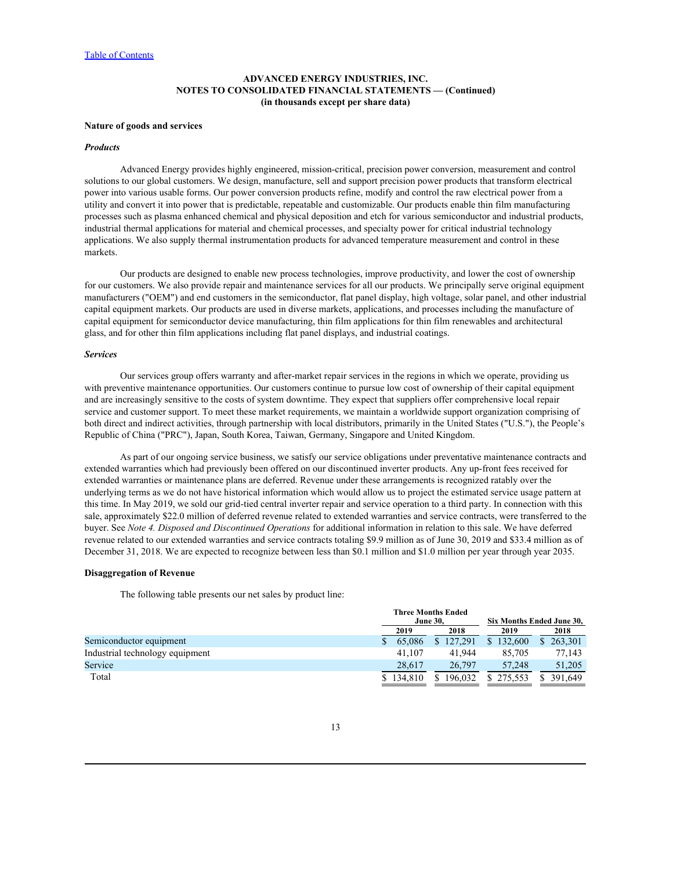#### **Nature of goods and services**

#### *Products*

Advanced Energy provides highly engineered, mission-critical, precision power conversion, measurement and control solutions to our global customers. We design, manufacture, sell and support precision power products that transform electrical power into various usable forms. Our power conversion products refine, modify and control the raw electrical power from a utility and convert it into power that is predictable, repeatable and customizable. Our products enable thin film manufacturing processes such as plasma enhanced chemical and physical deposition and etch for various semiconductor and industrial products, industrial thermal applications for material and chemical processes, and specialty power for critical industrial technology applications. We also supply thermal instrumentation products for advanced temperature measurement and control in these markets.

Our products are designed to enable new process technologies, improve productivity, and lower the cost of ownership for our customers. We also provide repair and maintenance services for all our products. We principally serve original equipment manufacturers ("OEM") and end customers in the semiconductor, flat panel display, high voltage, solar panel, and other industrial capital equipment markets. Our products are used in diverse markets, applications, and processes including the manufacture of capital equipment for semiconductor device manufacturing, thin film applications for thin film renewables and architectural glass, and for other thin film applications including flat panel displays, and industrial coatings.

#### *Services*

Our services group offers warranty and after-market repair services in the regions in which we operate, providing us with preventive maintenance opportunities. Our customers continue to pursue low cost of ownership of their capital equipment and are increasingly sensitive to the costs of system downtime. They expect that suppliers offer comprehensive local repair service and customer support. To meet these market requirements, we maintain a worldwide support organization comprising of both direct and indirect activities, through partnership with local distributors, primarily in the United States ("U.S."), the People's Republic of China ("PRC"), Japan, South Korea, Taiwan, Germany, Singapore and United Kingdom.

As part of our ongoing service business, we satisfy our service obligations under preventative maintenance contracts and extended warranties which had previously been offered on our discontinued inverter products. Any up-front fees received for extended warranties or maintenance plans are deferred. Revenue under these arrangements is recognized ratably over the underlying terms as we do not have historical information which would allow us to project the estimated service usage pattern at this time. In May 2019, we sold our grid-tied central inverter repair and service operation to a third party. In connection with this sale, approximately \$22.0 million of deferred revenue related to extended warranties and service contracts, were transferred to the buyer. See *Note 4. Disposed and Discontinued Operations* for additional information in relation to this sale. We have deferred revenue related to our extended warranties and service contracts totaling \$9.9 million as of June 30, 2019 and \$33.4 million as of December 31, 2018. We are expected to recognize between less than \$0.1 million and \$1.0 million per year through year 2035.

#### **Disaggregation of Revenue**

The following table presents our net sales by product line:

|                                 |           | <b>Three Months Ended</b> |         |                           |  |  |
|---------------------------------|-----------|---------------------------|---------|---------------------------|--|--|
|                                 |           | <b>June 30.</b>           |         | Six Months Ended June 30. |  |  |
|                                 | 2019      | 2018                      | 2019    | 2018                      |  |  |
| Semiconductor equipment         | 65,086    | 127,291                   | 132,600 | 263,301                   |  |  |
| Industrial technology equipment | 41,107    | 41.944                    | 85,705  | 77,143                    |  |  |
| Service                         | 28,617    | 26,797                    | 57.248  | 51,205                    |  |  |
| Total                           | \$134,810 | 196.032                   | 275,553 | 391.649                   |  |  |
|                                 |           |                           |         |                           |  |  |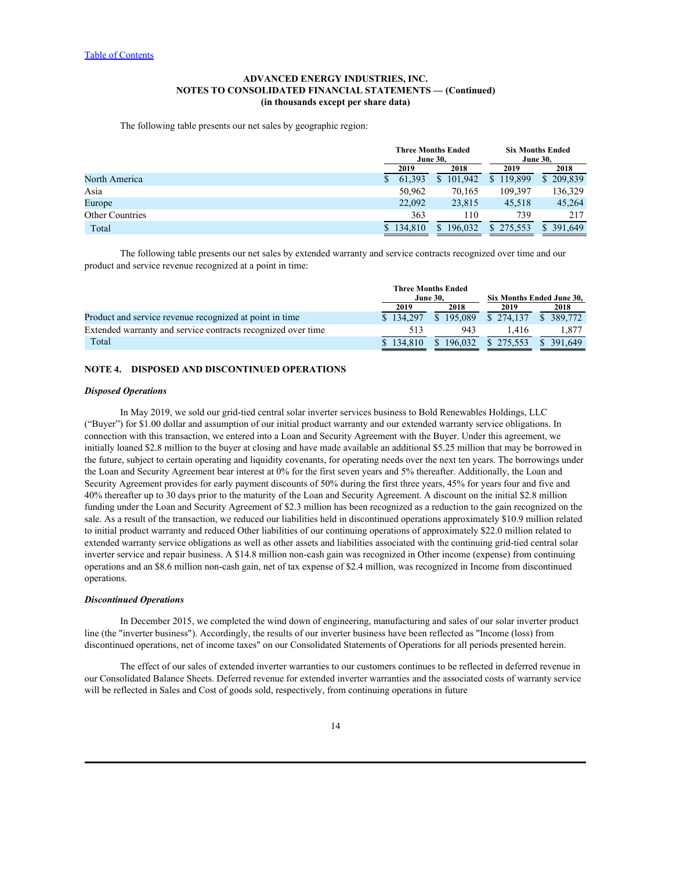The following table presents our net sales by geographic region:

|                 |           | <b>Three Months Ended</b><br><b>June 30.</b> | <b>Six Months Ended</b><br><b>June 30,</b> |         |  |  |
|-----------------|-----------|----------------------------------------------|--------------------------------------------|---------|--|--|
|                 | 2019      | 2018                                         | 2019                                       | 2018    |  |  |
| North America   | 61,393    | 101,942                                      | \$119,899                                  | 209,839 |  |  |
| Asia            | 50,962    | 70,165                                       | 109,397                                    | 136,329 |  |  |
| Europe          | 22,092    | 23,815                                       | 45,518                                     | 45,264  |  |  |
| Other Countries | 363       | 110                                          | 739                                        | 217     |  |  |
| Total           | \$134,810 | 196,032                                      | 275,553                                    | 391,649 |  |  |
|                 |           |                                              |                                            |         |  |  |

The following table presents our net sales by extended warranty and service contracts recognized over time and our product and service revenue recognized at a point in time:

|                                                              |           | Three Months Ended |           |                           |  |  |
|--------------------------------------------------------------|-----------|--------------------|-----------|---------------------------|--|--|
|                                                              |           | <b>June 30.</b>    |           | Six Months Ended June 30. |  |  |
|                                                              | 2019      | 2018               | 2019      | 2018                      |  |  |
| Product and service revenue recognized at point in time      | \$134.297 | 195,089            | \$274.137 | \$ 389,772                |  |  |
| Extended warranty and service contracts recognized over time | 513       | 943                |           | .87 <sup>2</sup>          |  |  |
| Total                                                        | 134.810   | 196.032            | 275.553   | 391.649                   |  |  |

# **NOTE 4. DISPOSED AND DISCONTINUED OPERATIONS**

#### *Disposed Operations*

In May 2019, we sold our grid-tied central solar inverter services business to Bold Renewables Holdings, LLC ("Buyer") for \$1.00 dollar and assumption of our initial product warranty and our extended warranty service obligations. In connection with this transaction, we entered into a Loan and Security Agreement with the Buyer. Under this agreement, we initially loaned \$2.8 million to the buyer at closing and have made available an additional \$5.25 million that may be borrowed in the future, subject to certain operating and liquidity covenants, for operating needs over the next ten years. The borrowings under the Loan and Security Agreement bear interest at 0% for the first seven years and 5% thereafter. Additionally, the Loan and Security Agreement provides for early payment discounts of 50% during the first three years, 45% for years four and five and 40% thereafter up to 30 days prior to the maturity of the Loan and Security Agreement. A discount on the initial \$2.8 million funding under the Loan and Security Agreement of \$2.3 million has been recognized as a reduction to the gain recognized on the sale. As a result of the transaction, we reduced our liabilities held in discontinued operations approximately \$10.9 million related to initial product warranty and reduced Other liabilities of our continuing operations of approximately \$22.0 million related to extended warranty service obligations as well as other assets and liabilities associated with the continuing grid-tied central solar inverter service and repair business. A \$14.8 million non-cash gain was recognized in Other income (expense) from continuing operations and an \$8.6 million non-cash gain, net of tax expense of \$2.4 million, was recognized in Income from discontinued operations.

#### *Discontinued Operations*

In December 2015, we completed the wind down of engineering, manufacturing and sales of our solar inverter product line (the "inverter business"). Accordingly, the results of our inverter business have been reflected as "Income (loss) from discontinued operations, net of income taxes" on our Consolidated Statements of Operations for all periods presented herein.

The effect of our sales of extended inverter warranties to our customers continues to be reflected in deferred revenue in our Consolidated Balance Sheets. Deferred revenue for extended inverter warranties and the associated costs of warranty service will be reflected in Sales and Cost of goods sold, respectively, from continuing operations in future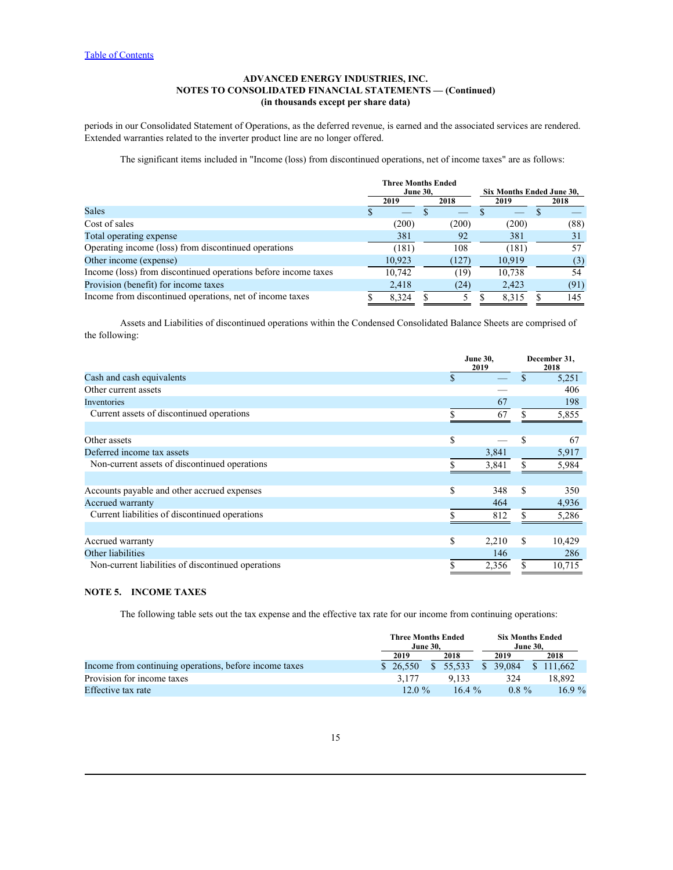periods in our Consolidated Statement of Operations, as the deferred revenue, is earned and the associated services are rendered. Extended warranties related to the inverter product line are no longer offered.

The significant items included in "Income (loss) from discontinued operations, net of income taxes" are as follows:

|                                                                |      |                 | <b>Three Months Ended</b> |                           |      |
|----------------------------------------------------------------|------|-----------------|---------------------------|---------------------------|------|
|                                                                |      | <b>June 30,</b> |                           | Six Months Ended June 30, |      |
|                                                                | 2019 |                 | 2018                      | 2019                      | 2018 |
| Sales                                                          |      |                 |                           | __                        |      |
| Cost of sales                                                  |      | (200)           | (200)                     | (200)                     | (88) |
| Total operating expense                                        |      | 381             | 92                        | 381                       |      |
| Operating income (loss) from discontinued operations           |      | (181)           | 108                       | (181)                     |      |
| Other income (expense)                                         |      | 10,923          | (127)                     | 10,919                    |      |
| Income (loss) from discontinued operations before income taxes |      | 10,742          | (19)                      | 10,738                    |      |
| Provision (benefit) for income taxes                           |      | 2,418           | (24)                      | 2,423                     | (91) |
| Income from discontinued operations, net of income taxes       |      | 8,324           |                           | 8,315                     | 145  |

Assets and Liabilities of discontinued operations within the Condensed Consolidated Balance Sheets are comprised of the following:

|                                                    |               | <b>June 30,</b><br>2019 |              | December 31,<br>2018 |
|----------------------------------------------------|---------------|-------------------------|--------------|----------------------|
| Cash and cash equivalents                          |               |                         |              | 5,251                |
| Other current assets                               |               |                         |              | 406                  |
| Inventories                                        |               | 67                      |              | 198                  |
| Current assets of discontinued operations          |               | 67                      |              | 5,855                |
|                                                    |               |                         |              |                      |
| Other assets                                       |               |                         |              | 67                   |
| Deferred income tax assets                         |               | 3,841                   |              | 5,917                |
| Non-current assets of discontinued operations      |               | 3,841                   |              | 5,984                |
|                                                    |               |                         |              |                      |
| Accounts payable and other accrued expenses        |               | 348                     |              | 350                  |
| <b>Accrued warranty</b>                            |               | 464                     |              | 4,936                |
| Current liabilities of discontinued operations     |               | 812                     |              | 5,286                |
|                                                    |               |                         |              |                      |
| Accrued warranty                                   | <sup>\$</sup> | 2,210                   | $\mathbf{s}$ | 10,429               |
| Other liabilities                                  |               | 146                     |              | 286                  |
| Non-current liabilities of discontinued operations |               | 2,356                   |              | 10,715               |

# **NOTE 5. INCOME TAXES**

The following table sets out the tax expense and the effective tax rate for our income from continuing operations:

|                                                        | <b>Three Months Ended</b><br><b>June 30,</b> |        | <b>Six Months Ended</b><br><b>June 30,</b> |         |  |
|--------------------------------------------------------|----------------------------------------------|--------|--------------------------------------------|---------|--|
|                                                        | 2019                                         | 2018   | 2019                                       | 2018    |  |
| Income from continuing operations, before income taxes | 26.550                                       | 55.533 | 39,084                                     | 111.662 |  |
| Provision for income taxes                             | 3.177                                        | 9,133  | 324                                        | 18,892  |  |
| Effective tax rate                                     | 12.0%                                        | 16.4%  | $0.8 \%$                                   | 16.9%   |  |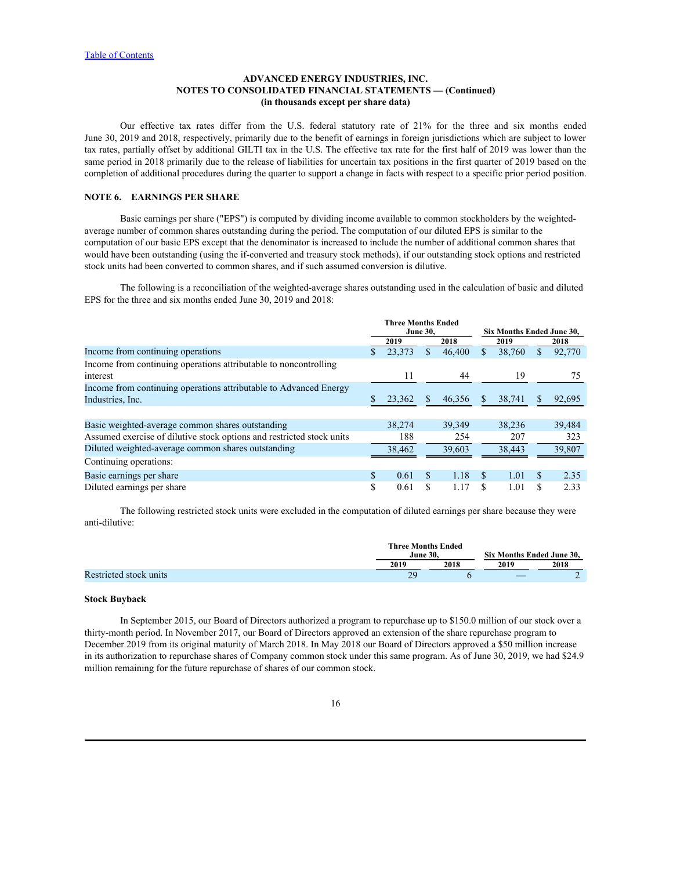**Contents**<br> **NOTES TO CONSOLIDATED ENERGY INDUSTRIES, INC.**<br> **NOTES TO CONSOLIDATED FINANCIAL STATEMENTS** — (Continued)<br>
Our effective tax rates differ from the U.S. federal statutory rate of 21% for the three and six mont June 30, 2019 and 2018, respectively, primarily due to the benefit of earnings in foreign jurisdictions which are subject to lower tax rates, partially offset by additional GILTI tax in the U.S. The effective tax rate for the first half of 2019 was lower than the same period in 2018 primarily due to the release of liabilities for uncertain tax positions in the first quarter of 2019 based on the completion of additional procedures during the quarter to support a change in facts with respect to a specific prior period position.

#### **NOTE 6. EARNINGS PER SHARE**

Basic earnings per share ("EPS") is computed by dividing income available to common stockholders by the weightedaverage number of common shares outstanding during the period. The computation of our diluted EPS is similar to the computation of our basic EPS except that the denominator is increased to include the number of additional common shares that would have been outstanding (using the if-converted and treasury stock methods), if our outstanding stock options and restricted stock units had been converted to common shares, and if such assumed conversion is dilutive.

The following is a reconciliation of the weighted-average shares outstanding used in the calculation of basic and diluted EPS for the three and six months ended June 30, 2019 and 2018:

|                                                                              | <b>Three Months Ended</b><br><b>June 30,</b> |                   |  |        | Six Months Ended June 30. |        |  |
|------------------------------------------------------------------------------|----------------------------------------------|-------------------|--|--------|---------------------------|--------|--|
|                                                                              | 2019                                         | 2018              |  | 2019   |                           | 2018   |  |
| Income from continuing operations                                            | 23,373                                       | 46,400            |  | 38,760 |                           | 92,770 |  |
| Income from continuing operations attributable to noncontrolling<br>interest |                                              | 44                |  | 19     |                           | 75     |  |
| Income from continuing operations attributable to Advanced Energy            |                                              |                   |  |        |                           |        |  |
| Industries, Inc.                                                             | 23,362                                       | 46,356            |  | 38,741 | ж                         | 92,695 |  |
|                                                                              |                                              |                   |  |        |                           |        |  |
| Basic weighted-average common shares outstanding                             | 38,274                                       | 39,349            |  | 38,236 |                           | 39,484 |  |
| Assumed exercise of dilutive stock options and restricted stock units        | 188                                          | 254               |  | 207    |                           | 323    |  |
| Diluted weighted-average common shares outstanding                           | 38,462                                       | 39,603            |  | 38,443 |                           | 39,807 |  |
| Continuing operations:                                                       |                                              |                   |  |        |                           |        |  |
| Basic earnings per share                                                     | 0.61                                         | $\vert .18 \vert$ |  | 1.01   |                           | 2.35   |  |
| Diluted earnings per share                                                   | 0.61                                         | .17               |  | 1.01   |                           | 2.33   |  |

The following restricted stock units were excluded in the computation of diluted earnings per share because they were anti-dilutive:

|                        | <b>Three Months Ended</b> |      |                             |      |  |  |  |  |  |  |
|------------------------|---------------------------|------|-----------------------------|------|--|--|--|--|--|--|
|                        | <b>June 30.</b>           |      | Six Months Ended June 30,   |      |  |  |  |  |  |  |
|                        | 2019                      | 2018 | 2019                        | 2018 |  |  |  |  |  |  |
| Restricted stock units | nn                        |      | $\overbrace{\hspace{15em}}$ |      |  |  |  |  |  |  |

## **Stock Buyback**

In September 2015, our Board of Directors authorized a program to repurchase up to \$150.0 million of our stock over a thirty-month period. In November 2017, our Board of Directors approved an extension of the share repurchase program to December 2019 from its original maturity of March 2018. In May 2018 our Board of Directors approved a \$50 million increase in its authorization to repurchase shares of Company common stock under this same program. As of June 30, 2019, we had \$24.9 million remaining for the future repurchase of shares of our common stock.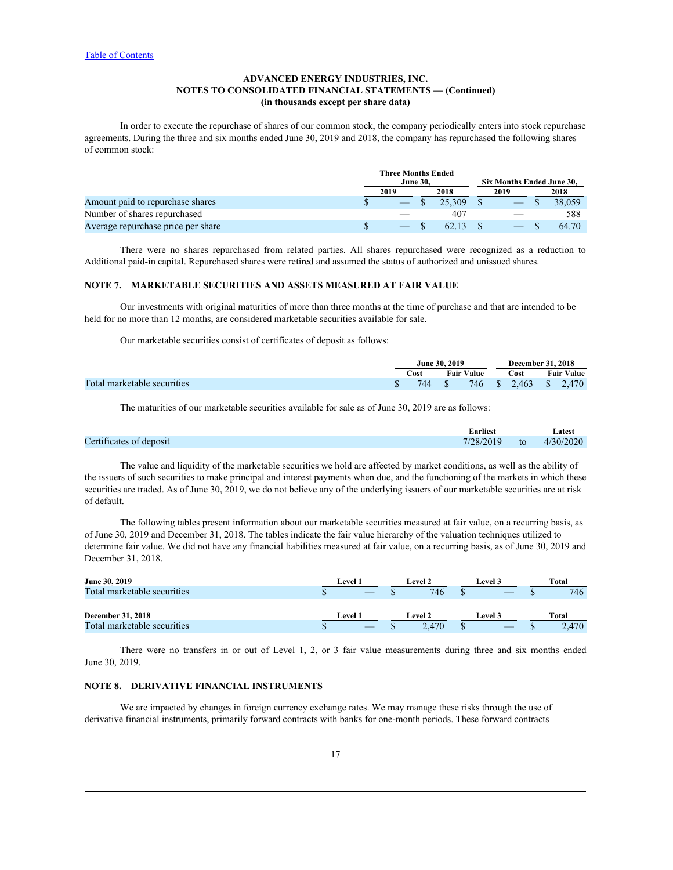| <b>Table of Contents</b>                                                                                                                                                                                                                                                  |                                                                          |                                              |                                |              |      |               |                           |
|---------------------------------------------------------------------------------------------------------------------------------------------------------------------------------------------------------------------------------------------------------------------------|--------------------------------------------------------------------------|----------------------------------------------|--------------------------------|--------------|------|---------------|---------------------------|
| NOTES TO CONSOLIDATED FINANCIAL STATEMENTS - (Continued)                                                                                                                                                                                                                  | ADVANCED ENERGY INDUSTRIES, INC.<br>(in thousands except per share data) |                                              |                                |              |      |               |                           |
| In order to execute the repurchase of shares of our common stock, the company periodically enters into stock repurchase<br>agreements. During the three and six months ended June 30, 2019 and 2018, the company has repurchased the following shares<br>of common stock: |                                                                          |                                              |                                |              |      |               |                           |
|                                                                                                                                                                                                                                                                           |                                                                          | <b>Three Months Ended</b><br><b>June 30.</b> |                                |              |      |               | Six Months Ended June 30, |
| Amount paid to repurchase shares                                                                                                                                                                                                                                          |                                                                          | 2019                                         | 2018<br>25,309<br>$\mathbb{S}$ | $\mathbb{S}$ | 2019 | <sup>\$</sup> | 2018<br>38,059            |
| Number of shares repurchased                                                                                                                                                                                                                                              |                                                                          |                                              | 407                            |              |      |               | 588                       |
| Average repurchase price per share                                                                                                                                                                                                                                        | $\mathcal{S}$                                                            |                                              | 62.13                          | - \$         |      | <b>R</b>      | 64.70                     |
| There were no shares repurchased from related parties. All shares repurchased were recognized as a reduction to<br>Additional paid-in capital. Repurchased shares were retired and assumed the status of authorized and unissued shares.                                  |                                                                          |                                              |                                |              |      |               |                           |
|                                                                                                                                                                                                                                                                           |                                                                          |                                              |                                |              |      |               |                           |
| NOTE 7. MARKETABLE SECURITIES AND ASSETS MEASURED AT FAIR VALUE                                                                                                                                                                                                           |                                                                          |                                              |                                |              |      |               |                           |
| Our investments with original maturities of more than three months at the time of purchase and that are intended to be                                                                                                                                                    |                                                                          |                                              |                                |              |      |               |                           |
| held for no more than 12 months, are considered marketable securities available for sale.                                                                                                                                                                                 |                                                                          |                                              |                                |              |      |               |                           |

## **NOTE 7. MARKETABLE SECURITIES AND ASSETS MEASURED AT FAIR VALUE**

|                                                  |           | $\sim$ $\sim$<br>June 50. | . 2019               |                   | December       |        | $\therefore$ 31, 2018    |
|--------------------------------------------------|-----------|---------------------------|----------------------|-------------------|----------------|--------|--------------------------|
|                                                  | ∼<br>Cost |                           | $\mathbf{v}$<br>Fair | $\cdots$<br>Valu. | $\sim$<br>Cost | $\sim$ | <b>XXX</b><br>Fair Value |
| <b>CONTRACTOR</b><br>Total marketable securities | 744       |                           |                      | 746               | . 40           |        | 2.470                    |

|                         | -<br><b>Larliest</b> |    | Latest    |
|-------------------------|----------------------|----|-----------|
| Certificates of deposit | 7/28/2019            | to | 4/30/2020 |

# **NOTE 8. DERIVATIVE FINANCIAL INSTRUMENTS**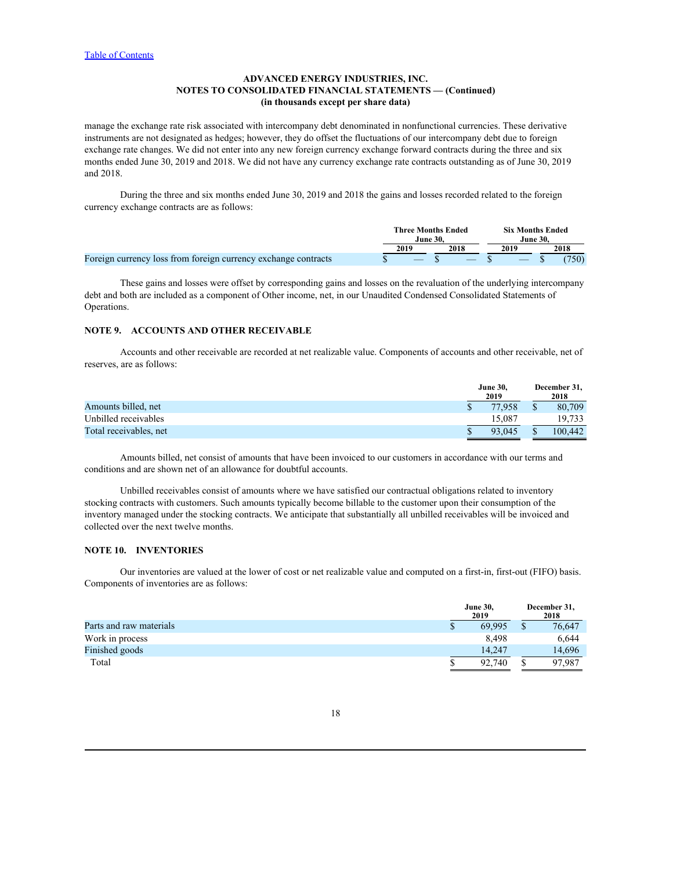manage the exchange rate risk associated with intercompany debt denominated in nonfunctional currencies. These derivative instruments are not designated as hedges; however, they do offset the fluctuations of our intercompany debt due to foreign exchange rate changes. We did not enter into any new foreign currency exchange forward contracts during the three and six months ended June 30, 2019 and 2018. We did not have any currency exchange rate contracts outstanding as of June 30, 2019 and 2018.

During the three and six months ended June 30, 2019 and 2018 the gains and losses recorded related to the foreign currency exchange contracts are as follows:

These gains and losses were offset by corresponding gains and losses on the revaluation of the underlying intercompany debt and both are included as a component of Other income, net, in our Unaudited Condensed Consolidated Statements of Operations.

## **NOTE 9. ACCOUNTS AND OTHER RECEIVABLE**

Accounts and other receivable are recorded at net realizable value. Components of accounts and other receivable, net of reserves, are as follows:

|                        | <b>June 30,</b><br>2019 | December 31,<br>2018 |
|------------------------|-------------------------|----------------------|
| Amounts billed, net    | 77,958                  | 80,709               |
| Unbilled receivables   | 15,087                  | 19,733               |
| Total receivables, net | 93,045                  | 100,442              |

Amounts billed, net consist of amounts that have been invoiced to our customers in accordance with our terms and conditions and are shown net of an allowance for doubtful accounts.

Unbilled receivables consist of amounts where we have satisfied our contractual obligations related to inventory stocking contracts with customers. Such amounts typically become billable to the customer upon their consumption of the inventory managed under the stocking contracts. We anticipate that substantially all unbilled receivables will be invoiced and collected over the next twelve months.

# **NOTE 10. INVENTORIES**

Our inventories are valued at the lower of cost or net realizable value and computed on a first-in, first-out (FIFO) basis. Components of inventories are as follows:

|        |      | December 31,<br>2018 |
|--------|------|----------------------|
| 69,995 |      | 76,647               |
| 8,498  |      | 6,644                |
| 14,247 |      | 14,696               |
| 92,740 |      | 97,987               |
|        | 2019 | <b>June 30,</b>      |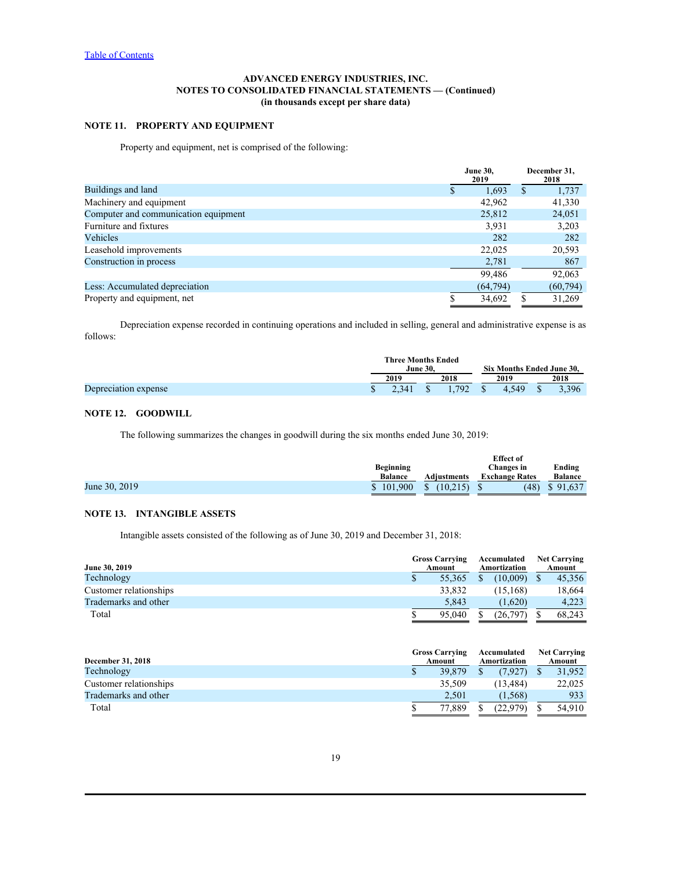# **NOTE 11. PROPERTY AND EQUIPMENT**

Property and equipment, net is comprised of the following:

|                                      | <b>June 30,</b><br>2019 | December 31,<br>2018 |
|--------------------------------------|-------------------------|----------------------|
| Buildings and land                   | 1,693                   | 1,737                |
| Machinery and equipment              | 42,962                  | 41,330               |
| Computer and communication equipment | 25,812                  | 24,051               |
| Furniture and fixtures               | 3,931                   | 3,203                |
| Vehicles                             | 282                     | 282                  |
| Leasehold improvements               | 22,025                  | 20,593               |
| Construction in process              | 2,781                   | 867                  |
|                                      | 99,486                  | 92,063               |
| Less: Accumulated depreciation       | (64, 794)               | (60, 794)            |
| Property and equipment, net          | 34.692                  | 31.269               |

Depreciation expense recorded in continuing operations and included in selling, general and administrative expense is as follows:

|                      | <b>Three Months Ended</b> |  |      |      |                                  |      |       |  |  |
|----------------------|---------------------------|--|------|------|----------------------------------|------|-------|--|--|
|                      | <b>June 30,</b>           |  |      |      | <b>Six Months Ended June 30.</b> |      |       |  |  |
|                      | 2019                      |  | 2018 | 2019 |                                  | 2018 |       |  |  |
| Depreciation expense | 2.341                     |  | 792  |      | , 549                            |      | 3,396 |  |  |

# **NOTE 12. GOODWILL**

The following summarizes the changes in goodwill during the six months ended June 30, 2019:

|               |                  |                    | <b>Effect of</b>      |                |
|---------------|------------------|--------------------|-----------------------|----------------|
|               | <b>Beginning</b> |                    | Changes in            | Ending         |
|               | <b>Balance</b>   | <b>Adiustments</b> | <b>Exchange Rates</b> | <b>Balance</b> |
| June 30, 2019 | 101,900          | (10, 215)          | (48)                  | \$91,637       |
|               |                  |                    |                       |                |

# **NOTE 13. INTANGIBLE ASSETS**

Intangible assets consisted of the following as of June 30, 2019 and December 31, 2018:

|                        | <b>Gross Carrying</b> |        | Accumulated  | <b>Net Carrying</b> |        |
|------------------------|-----------------------|--------|--------------|---------------------|--------|
| June 30, 2019          |                       | Amount | Amortization |                     | Amount |
| Technology             |                       | 55,365 | (10,009)     |                     | 45,356 |
| Customer relationships |                       | 33,832 | (15, 168)    |                     | 18,664 |
| Trademarks and other   |                       | 5,843  | (1,620)      |                     | 4,223  |
| Total                  |                       | 95,040 | (26.797)     |                     | 68,243 |

|                        | <b>Gross Carrying</b> |  | Accumulated  | <b>Net Carrying</b> |  |
|------------------------|-----------------------|--|--------------|---------------------|--|
| December 31, 2018      | Amount                |  | Amortization | Amount              |  |
| Technology             | 39,879                |  | (7, 927)     | 31,952              |  |
| Customer relationships | 35,509                |  | (13, 484)    | 22,025              |  |
| Trademarks and other   | 2,501                 |  | (1, 568)     | 933                 |  |
| Total                  | 77,889                |  | (22.979)     | 54,910              |  |
|                        |                       |  |              |                     |  |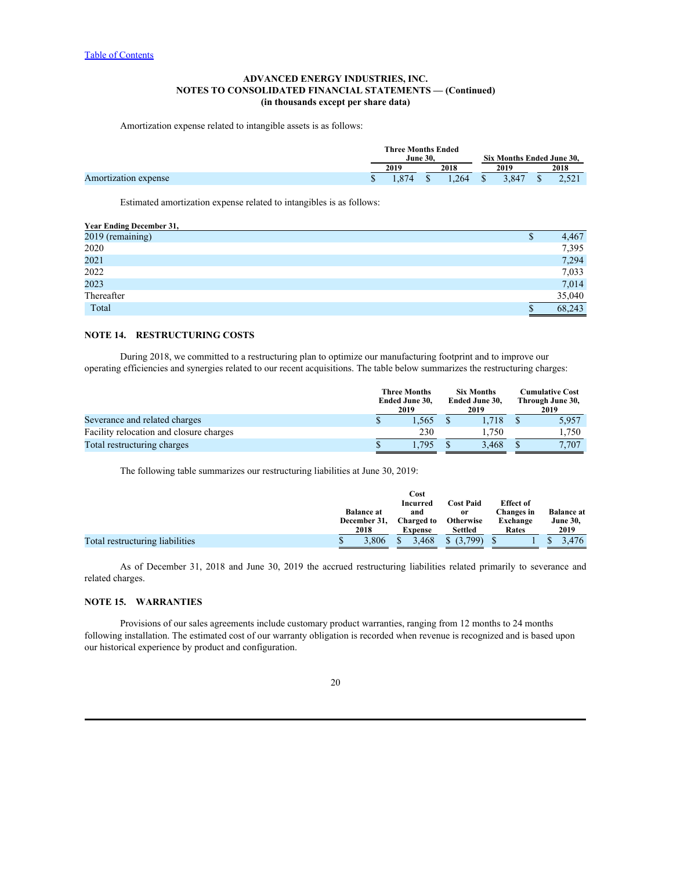Amortization expense related to intangible assets is as follows:

|                      | <b>Three Months Ended</b> |        |                                     |   |       |                           |                     |  |
|----------------------|---------------------------|--------|-------------------------------------|---|-------|---------------------------|---------------------|--|
|                      | June 30                   | $\sim$ |                                     |   |       | Six Months Ended June 30, |                     |  |
|                      | 2019                      |        | 2018                                |   | 2019  |                           | 2018                |  |
| Amortization expense | .874                      |        | 264<br>and the contract of the con- | ш | 847.ر |                           | $F \cap 1$<br>2.921 |  |

Estimated amortization expense related to intangibles is as follows:

| Esumated amortization expense related to miangibles is as follows.                                                                                  |                   |                        |                        |                        |                          |
|-----------------------------------------------------------------------------------------------------------------------------------------------------|-------------------|------------------------|------------------------|------------------------|--------------------------|
| Year Ending December 31,                                                                                                                            |                   |                        |                        |                        |                          |
| 2019 (remaining)                                                                                                                                    |                   |                        |                        | $\mathbf S$            | 4,467                    |
| 2020                                                                                                                                                |                   |                        |                        |                        | 7,395                    |
| 2021                                                                                                                                                |                   |                        |                        |                        | 7,294                    |
| 2022                                                                                                                                                |                   |                        |                        |                        | 7,033                    |
| 2023                                                                                                                                                |                   |                        |                        |                        | 7,014                    |
| Thereafter                                                                                                                                          |                   |                        |                        |                        | 35,040                   |
| Total                                                                                                                                               |                   |                        |                        |                        | 68,243                   |
| <b>NOTE 14. RESTRUCTURING COSTS</b><br>During 2018, we committed to a restructuring plan to optimize our manufacturing footprint and to improve our |                   |                        |                        |                        |                          |
| operating efficiencies and synergies related to our recent acquisitions. The table below summarizes the restructuring charges:                      |                   |                        |                        |                        |                          |
|                                                                                                                                                     |                   |                        |                        |                        |                          |
|                                                                                                                                                     |                   | <b>Three Months</b>    | <b>Six Months</b>      |                        | <b>Cumulative Cost</b>   |
|                                                                                                                                                     |                   | Ended June 30,<br>2019 | Ended June 30.<br>2019 |                        | Through June 30,<br>2019 |
| Severance and related charges                                                                                                                       | $\mathcal{S}$     | 1,565                  | $\mathbb{S}$           | 1,718<br>$\sqrt{s}$    | 5,957                    |
| Facility relocation and closure charges                                                                                                             |                   | 230                    |                        | 1,750                  | 1,750                    |
| Total restructuring charges                                                                                                                         |                   | 1,795                  | <sup>\$</sup>          | 3,468<br>$\sqrt{S}$    | 7,707                    |
|                                                                                                                                                     |                   |                        |                        |                        |                          |
| The following table summarizes our restructuring liabilities at June 30, 2019:                                                                      |                   |                        |                        |                        |                          |
|                                                                                                                                                     |                   |                        |                        |                        |                          |
|                                                                                                                                                     |                   | Cost                   |                        |                        |                          |
|                                                                                                                                                     | <b>Balance</b> at | <b>Incurred</b><br>and | <b>Cost Paid</b>       | <b>Effect</b> of       | <b>Balance</b> at        |
|                                                                                                                                                     | December 31,      | <b>Charged to</b>      | or<br>Otherwise        | Changes in<br>Exchange | <b>June 30,</b>          |
|                                                                                                                                                     | 2018              | <b>Expense</b>         | Settled                | Rates                  | 2019                     |
| Total restructuring liabilities                                                                                                                     | 3,806             | \$3,468                | \$ (3,799)             | <sup>\$</sup>          | 3,476<br>$\mathbb{S}$    |
|                                                                                                                                                     |                   |                        |                        |                        |                          |
| As of December 31, 2018 and June 30, 2019 the accrued restructuring liabilities related primarily to severance and                                  |                   |                        |                        |                        |                          |
| related charges.                                                                                                                                    |                   |                        |                        |                        |                          |
|                                                                                                                                                     |                   |                        |                        |                        |                          |
| <b>NOTE 15. WARRANTIES</b>                                                                                                                          |                   |                        |                        |                        |                          |
|                                                                                                                                                     |                   |                        |                        |                        |                          |
| Provisions of our sales agreements include customary product warranties, ranging from 12 months to 24 months                                        |                   |                        |                        |                        |                          |
| following installation. The estimated cost of our warranty obligation is recorded when revenue is recognized and is based upon                      |                   |                        |                        |                        |                          |
| our historical experience by product and configuration.                                                                                             |                   |                        |                        |                        |                          |
|                                                                                                                                                     |                   |                        |                        |                        |                          |

# **NOTE 14. RESTRUCTURING COSTS**

|                                         | <b>Three Months</b><br>Ended June 30,<br>2019 | <b>Six Months</b><br>Ended June 30,<br>2019 | <b>Cumulative Cost</b><br>Through June 30,<br>2019 |       |  |
|-----------------------------------------|-----------------------------------------------|---------------------------------------------|----------------------------------------------------|-------|--|
| Severance and related charges           | .565                                          | 1,718                                       |                                                    | 5,957 |  |
| Facility relocation and closure charges | 230                                           | . . 750                                     |                                                    | 1,750 |  |
| Total restructuring charges             | .795                                          | 3,468                                       |                                                    | 7,707 |  |

|                                 |                   | Cost              |                  |                   |                   |
|---------------------------------|-------------------|-------------------|------------------|-------------------|-------------------|
|                                 |                   | Incurred          | <b>Cost Paid</b> | <b>Effect</b> of  |                   |
|                                 | <b>Balance</b> at | and               | or               | <b>Changes</b> in | <b>Balance at</b> |
|                                 | December 31,      | <b>Charged to</b> | <b>Otherwise</b> | Exchange          | <b>June 30,</b>   |
|                                 | 2018              | <b>Expense</b>    | Settled          | Rates             | 2019              |
| Total restructuring liabilities | 3,806             | 3,468             | 799)             |                   | 5,476             |

# **NOTE 15. WARRANTIES**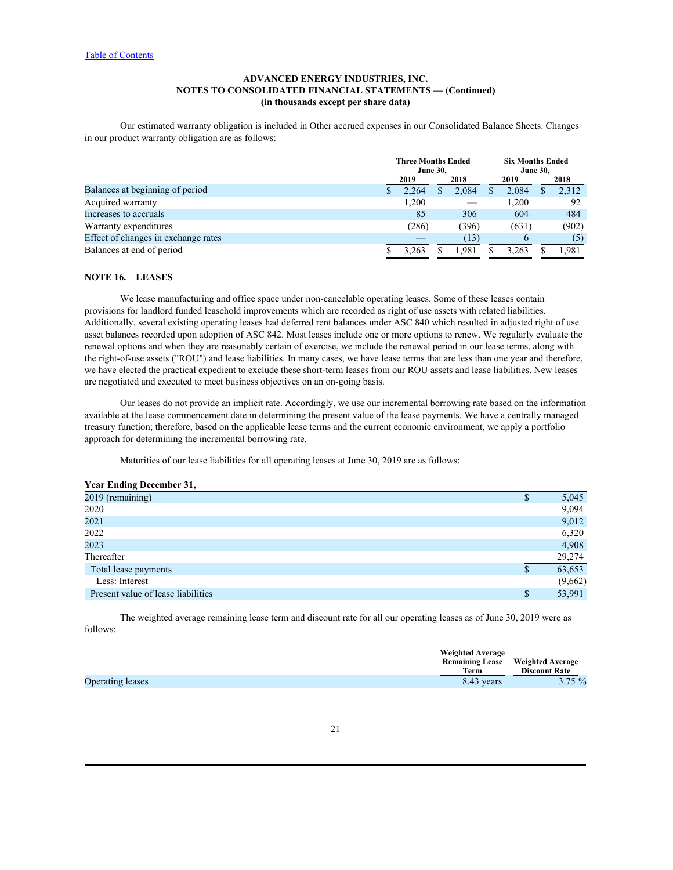Our estimated warranty obligation is included in Other accrued expenses in our Consolidated Balance Sheets. Changes in our product warranty obligation are as follows:

|                                     | <b>Three Months Ended</b> |                                 | <b>Six Months Ended</b> |                 |               |  |  |
|-------------------------------------|---------------------------|---------------------------------|-------------------------|-----------------|---------------|--|--|
|                                     | <b>June 30,</b>           |                                 |                         | <b>June 30,</b> |               |  |  |
|                                     | 2019                      | 2018                            | 2019                    |                 | 2018          |  |  |
| Balances at beginning of period     | 2,264                     | 2,084                           | 2,084                   |                 | 2,312         |  |  |
| Acquired warranty                   | 1,200                     | $\hspace{0.1mm}-\hspace{0.1mm}$ | 1,200                   |                 | 92            |  |  |
| Increases to accruals               | 85                        | 306                             | 604                     |                 | 484           |  |  |
| Warranty expenditures               | (286)                     | (396)                           | (631)                   |                 | (902)         |  |  |
| Effect of changes in exchange rates | __                        | (13)                            |                         |                 | $\mathcal{D}$ |  |  |
| Balances at end of period           | 3,263                     | .981                            | 3,263                   |                 | .981          |  |  |

# **NOTE 16. LEASES**

We lease manufacturing and office space under non-cancelable operating leases. Some of these leases contain provisions for landlord funded leasehold improvements which are recorded as right of use assets with related liabilities. Additionally, several existing operating leases had deferred rent balances under ASC 840 which resulted in adjusted right of use asset balances recorded upon adoption of ASC 842. Most leases include one or more options to renew. We regularly evaluate the renewal options and when they are reasonably certain of exercise, we include the renewal period in our lease terms, along with the right-of-use assets ("ROU") and lease liabilities. In many cases, we have lease terms that are less than one year and therefore, we have elected the practical expedient to exclude these short-term leases from our ROU assets and lease liabilities. New leases are negotiated and executed to meet business objectives on an on-going basis.

Our leases do not provide an implicit rate. Accordingly, we use our incremental borrowing rate based on the information available at the lease commencement date in determining the present value of the lease payments. We have a centrally managed treasury function; therefore, based on the applicable lease terms and the current economic environment, we apply a portfolio approach for determining the incremental borrowing rate.

Maturities of our lease liabilities for all operating leases at June 30, 2019 are as follows:

## **Year Ending December 31,**

| 5,045   |
|---------|
| 9,094   |
| 9,012   |
| 6,320   |
| 4,908   |
| 29,274  |
| 63,653  |
| (9,662) |
| 53,991  |
|         |

The weighted average remaining lease term and discount rate for all our operating leases as of June 30, 2019 were as follows:

|                         | <b>Weighted Average</b> |                         |  |
|-------------------------|-------------------------|-------------------------|--|
|                         | <b>Remaining Lease</b>  | <b>Weighted Average</b> |  |
|                         | Term                    | <b>Discount Rate</b>    |  |
| <b>Operating leases</b> | 8.43<br>vears           | 1750/<br><u>.</u>       |  |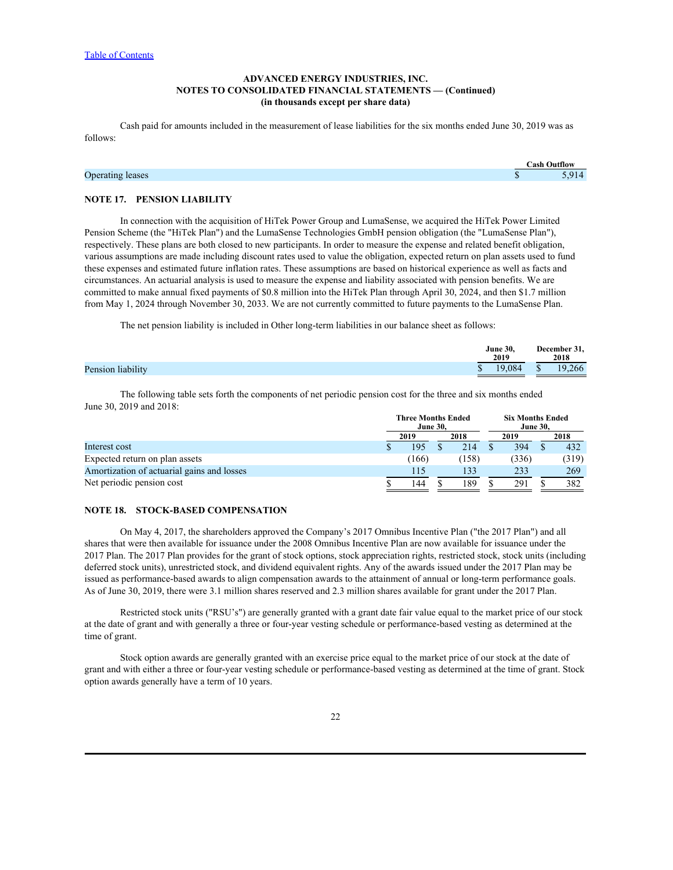Cash paid for amounts included in the measurement of lease liabilities for the six months ended June 30, 2019 was as follows:

|                         | Cash Outflow |      |
|-------------------------|--------------|------|
| <b>Operating leases</b> |              | 5914 |
|                         |              |      |

#### **NOTE 17. PENSION LIABILITY**

In connection with the acquisition of HiTek Power Group and LumaSense, we acquired the HiTek Power Limited Pension Scheme (the "HiTek Plan") and the LumaSense Technologies GmbH pension obligation (the "LumaSense Plan"), respectively. These plans are both closed to new participants. In order to measure the expense and related benefit obligation, various assumptions are made including discount rates used to value the obligation, expected return on plan assets used to fund these expenses and estimated future inflation rates. These assumptions are based on historical experience as well as facts and circumstances. An actuarial analysis is used to measure the expense and liability associated with pension benefits. We are committed to make annual fixed payments of \$0.8 million into the HiTek Plan through April 30, 2024, and then \$1.7 million from May 1, 2024 through November 30, 2033. We are not currently committed to future payments to the LumaSense Plan.

The net pension liability is included in Other long-term liabilities in our balance sheet as follows:

|                                         | $\sim$<br>June 30<br>2019 | December 31,<br>2018 |
|-----------------------------------------|---------------------------|----------------------|
| $-100 - 100 - 100$<br>Pension liability | 19.084                    | 19,266               |

The following table sets forth the components of net periodic pension cost for the three and six months ended June 30, 2019 and 2018:

|                                            | <b>Three Months Ended</b> |       | <b>Six Months Ended</b> |       |  |                 |  |  |
|--------------------------------------------|---------------------------|-------|-------------------------|-------|--|-----------------|--|--|
|                                            | <b>June 30.</b>           |       |                         |       |  | <b>June 30.</b> |  |  |
|                                            | 2019                      | 2018  |                         | 2019  |  | 2018            |  |  |
| Interest cost                              | 195                       | 214   |                         | 394   |  | 432             |  |  |
| Expected return on plan assets             | (166)                     | (158) |                         | (336) |  | (319)           |  |  |
| Amortization of actuarial gains and losses | 115                       | 133   |                         | 233   |  | 269             |  |  |
| Net periodic pension cost                  | 144                       | 189   |                         | 291   |  | 382             |  |  |

#### **NOTE 18. STOCK-BASED COMPENSATION**

On May 4, 2017, the shareholders approved the Company's 2017 Omnibus Incentive Plan ("the 2017 Plan") and all shares that were then available for issuance under the 2008 Omnibus Incentive Plan are now available for issuance under the 2017 Plan. The 2017 Plan provides for the grant of stock options, stock appreciation rights, restricted stock, stock units (including deferred stock units), unrestricted stock, and dividend equivalent rights. Any of the awards issued under the 2017 Plan may be issued as performance-based awards to align compensation awards to the attainment of annual or long-term performance goals. As of June 30, 2019, there were 3.1 million shares reserved and 2.3 million shares available for grant under the 2017 Plan.

Restricted stock units ("RSU's") are generally granted with a grant date fair value equal to the market price of our stock at the date of grant and with generally a three or four-year vesting schedule or performance-based vesting as determined at the time of grant.

Stock option awards are generally granted with an exercise price equal to the market price of our stock at the date of grant and with either a three or four-year vesting schedule or performance-based vesting as determined at the time of grant. Stock option awards generally have a term of 10 years.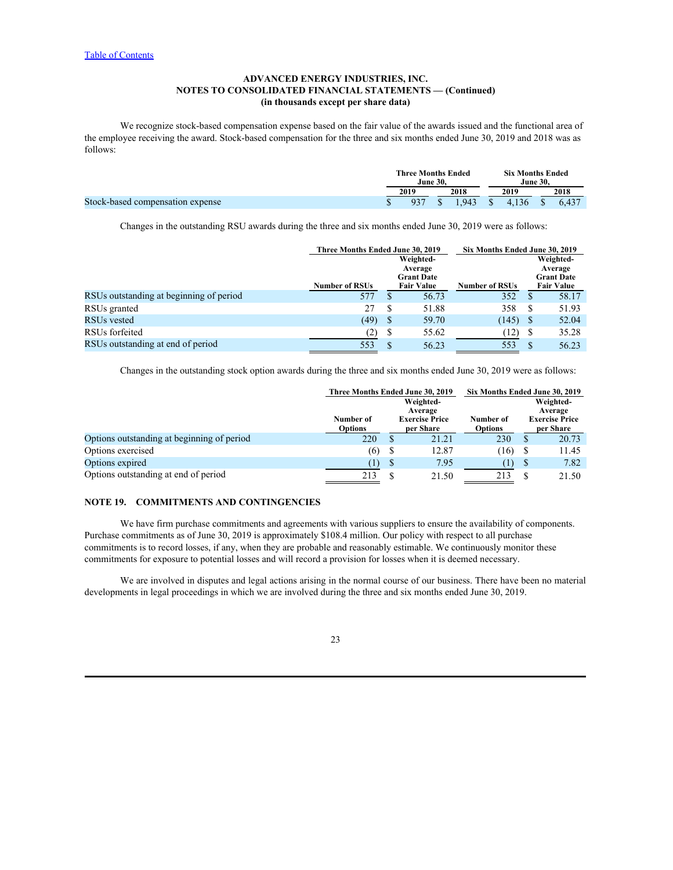We recognize stock-based compensation expense based on the fair value of the awards issued and the functional area of the employee receiving the award. Stock-based compensation for the three and six months ended June 30, 2019 and 2018 was as follows:

|                                  | <b>Three Months Ended</b><br><b>June 30.</b> |                              | <b>Six Months Ended</b><br>June 30 | $\sim$ 0 |                     |
|----------------------------------|----------------------------------------------|------------------------------|------------------------------------|----------|---------------------|
|                                  | 2019                                         | 2018                         | 2019                               |          | 2018                |
| Stock-based compensation expense | 93'<br>,,                                    | ,943<br>$\sim$ $\sim$ $\sim$ | $+130$                             |          | $\sqrt{2}$<br>0,43, |

Changes in the outstanding RSU awards during the three and six months ended June 30, 2019 were as follows:

|                                         | Three Months Ended June 30, 2019 |                              | Six Months Ended June 30, 2019 |                       |                              |                   |  |  |  |  |
|-----------------------------------------|----------------------------------|------------------------------|--------------------------------|-----------------------|------------------------------|-------------------|--|--|--|--|
|                                         |                                  |                              | Weighted-                      | Weighted-             |                              |                   |  |  |  |  |
|                                         |                                  | Average<br><b>Grant Date</b> |                                |                       | Average<br><b>Grant Date</b> |                   |  |  |  |  |
|                                         | <b>Number of RSUs</b>            |                              | <b>Fair Value</b>              | <b>Number of RSUs</b> |                              | <b>Fair Value</b> |  |  |  |  |
| RSUs outstanding at beginning of period | 577                              |                              | 56.73                          | 352                   |                              | 58.17             |  |  |  |  |
| RSU <sub>s</sub> granted                | 27                               | - S                          | 51.88                          | 358                   |                              | 51.93             |  |  |  |  |
| RSUs vested                             | $(49)$ \$                        |                              | 59.70                          | (145)                 | - S                          | 52.04             |  |  |  |  |
| RSUs forfeited                          | $(2)$ \$                         |                              | 55.62                          | (12)                  |                              | 35.28             |  |  |  |  |
| RSUs outstanding at end of period       | 553                              |                              | 56.23                          | 553                   |                              | 56.23             |  |  |  |  |

Changes in the outstanding stock option awards during the three and six months ended June 30, 2019 were as follows:

|                                            | Three Months Ended June 30, 2019                           |           | Six Months Ended June 30, 2019 |           |                                               |           |  |  |
|--------------------------------------------|------------------------------------------------------------|-----------|--------------------------------|-----------|-----------------------------------------------|-----------|--|--|
|                                            | Weighted-<br>Average<br>Number of<br><b>Exercise Price</b> |           |                                | Number of | Weighted-<br>Average<br><b>Exercise Price</b> |           |  |  |
|                                            | Options                                                    | per Share |                                | Options   |                                               | per Share |  |  |
| Options outstanding at beginning of period | 220                                                        |           | 21.21                          | 230       |                                               | 20.73     |  |  |
| Options exercised                          | (6)                                                        |           | 12.87                          | $(16)$ \$ |                                               | 11.45     |  |  |
| Options expired                            | (1)                                                        |           | 7.95                           | (1)       |                                               | 7.82      |  |  |
| Options outstanding at end of period       | 213                                                        |           | 21.50                          | 213       |                                               | 21.50     |  |  |

## **NOTE 19. COMMITMENTS AND CONTINGENCIES**

We have firm purchase commitments and agreements with various suppliers to ensure the availability of components. Purchase commitments as of June 30, 2019 is approximately \$108.4 million. Our policy with respect to all purchase commitments is to record losses, if any, when they are probable and reasonably estimable. We continuously monitor these commitments for exposure to potential losses and will record a provision for losses when it is deemed necessary.

We are involved in disputes and legal actions arising in the normal course of our business. There have been no material developments in legal proceedings in which we are involved during the three and six months ended June 30, 2019.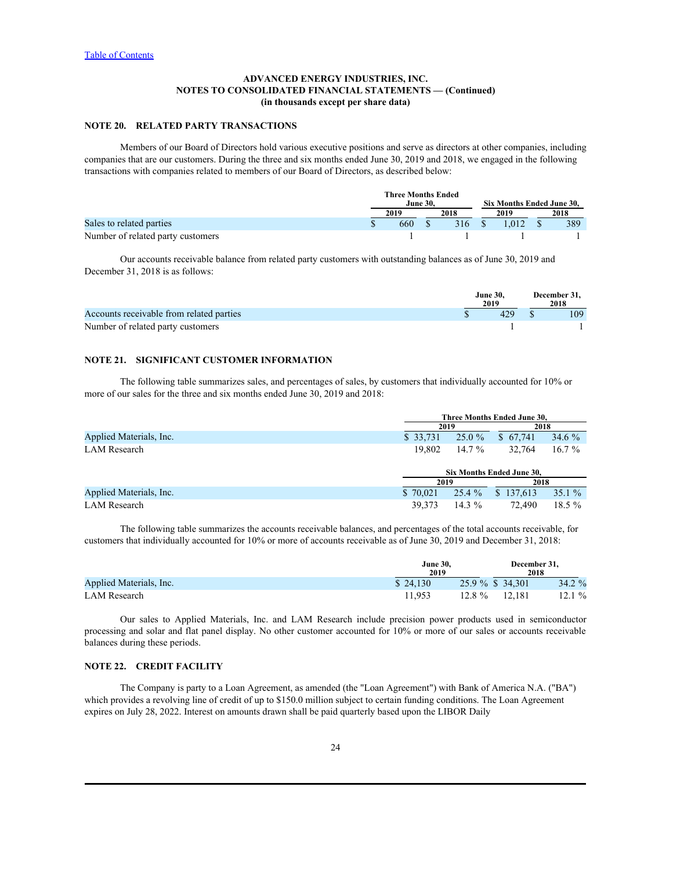# **NOTE 20. RELATED PARTY TRANSACTIONS**

Members of our Board of Directors hold various executive positions and serve as directors at other companies, including companies that are our customers. During the three and six months ended June 30, 2019 and 2018, we engaged in the following transactions with companies related to members of our Board of Directors, as described below:

|                                   | <b>Three Months Ended</b> |      |                                  |      |  |      |  |  |  |
|-----------------------------------|---------------------------|------|----------------------------------|------|--|------|--|--|--|
|                                   | <b>June 30,</b>           |      | <b>Six Months Ended June 30.</b> |      |  |      |  |  |  |
|                                   | 2019                      | 2018 |                                  | 2019 |  | 2018 |  |  |  |
| Sales to related parties          | 660                       | 316  |                                  | .012 |  | 389  |  |  |  |
| Number of related party customers |                           |      |                                  |      |  |      |  |  |  |

|                                                 | <b>June 30,</b><br>2019 | December 31.<br>2018 |
|-------------------------------------------------|-------------------------|----------------------|
| Accounts receivable from related parties        | 429                     | 109                  |
| <b>A</b> T<br>Number of related party customers |                         |                      |

## **NOTE 21. SIGNIFICANT CUSTOMER INFORMATION**

|                                                                                                                                                                                                                                              |                         | <b>June 30,</b>             |                  | December 31,                 |
|----------------------------------------------------------------------------------------------------------------------------------------------------------------------------------------------------------------------------------------------|-------------------------|-----------------------------|------------------|------------------------------|
| Accounts receivable from related parties                                                                                                                                                                                                     |                         |                             | 2019<br>429      | 2018<br>109<br><sup>\$</sup> |
| Number of related party customers                                                                                                                                                                                                            |                         |                             |                  |                              |
|                                                                                                                                                                                                                                              |                         |                             |                  |                              |
| NOTE 21. SIGNIFICANT CUSTOMER INFORMATION                                                                                                                                                                                                    |                         |                             |                  |                              |
| The following table summarizes sales, and percentages of sales, by customers that individually accounted for 10% or                                                                                                                          |                         |                             |                  |                              |
| more of our sales for the three and six months ended June 30, 2019 and 2018:                                                                                                                                                                 |                         |                             |                  |                              |
|                                                                                                                                                                                                                                              |                         | Three Months Ended June 30, |                  |                              |
| Applied Materials, Inc.                                                                                                                                                                                                                      | \$33,731                | 2019<br>$25.0 \%$           | \$67,741         | 2018<br>34.6 $%$             |
| <b>LAM</b> Research                                                                                                                                                                                                                          | 19,802                  | $14.7\%$                    | 32,764           | $16.7\%$                     |
|                                                                                                                                                                                                                                              |                         |                             |                  |                              |
|                                                                                                                                                                                                                                              | 2019                    | Six Months Ended June 30,   |                  | 2018                         |
| Applied Materials, Inc.                                                                                                                                                                                                                      | \$70,021                | 25.4 %                      | \$137,613        | 35.1%                        |
| <b>LAM Research</b>                                                                                                                                                                                                                          | 39,373                  | 14.3 %                      | 72,490           | 18.5 %                       |
| The following table summarizes the accounts receivable balances, and percentages of the total accounts receivable, for                                                                                                                       |                         |                             |                  |                              |
| customers that individually accounted for 10% or more of accounts receivable as of June 30, 2019 and December 31, 2018:                                                                                                                      |                         |                             |                  |                              |
|                                                                                                                                                                                                                                              |                         |                             |                  |                              |
|                                                                                                                                                                                                                                              | <b>June 30,</b><br>2019 |                             |                  | December 31,<br>2018         |
| Applied Materials, Inc.                                                                                                                                                                                                                      | \$24,130                |                             | 25.9 % \$ 34,301 | 34.2 %                       |
| <b>LAM</b> Research                                                                                                                                                                                                                          | 11,953                  | 12.8 %                      | 12,181           | 12.1%                        |
|                                                                                                                                                                                                                                              |                         |                             |                  |                              |
|                                                                                                                                                                                                                                              |                         |                             |                  |                              |
| Our sales to Applied Materials, Inc. and LAM Research include precision power products used in semiconductor                                                                                                                                 |                         |                             |                  |                              |
| processing and solar and flat panel display. No other customer accounted for 10% or more of our sales or accounts receivable<br>balances during these periods.                                                                               |                         |                             |                  |                              |
| <b>NOTE 22. CREDIT FACILITY</b>                                                                                                                                                                                                              |                         |                             |                  |                              |
|                                                                                                                                                                                                                                              |                         |                             |                  |                              |
| The Company is party to a Loan Agreement, as amended (the "Loan Agreement") with Bank of America N.A. ("BA")<br>which provides a revolving line of credit of up to \$150.0 million subject to certain funding conditions. The Loan Agreement |                         |                             |                  |                              |

|                         | <b>June 30,</b> |                                          | December 31,                                  |                  |
|-------------------------|-----------------|------------------------------------------|-----------------------------------------------|------------------|
|                         | 2019            |                                          | 2018                                          |                  |
| Applied Materials, Inc. | 24,130          | $25.9 \%$                                | 34.301                                        | 34.2 %           |
| <b>LAM</b> Research     | 1,953           | $\sim$<br>$\cdot$ $\times$ $\frac{9}{0}$ | 12,181<br>the contract of the contract of the | 1210/<br>14.1 /0 |

## **NOTE 22. CREDIT FACILITY**

The Company is party to a Loan Agreement, as amended (the "Loan Agreement") with Bank of America N.A. ("BA") which provides a revolving line of credit of up to \$150.0 million subject to certain funding conditions. The Loan Agreement expires on July 28, 2022. Interest on amounts drawn shall be paid quarterly based upon the LIBOR Daily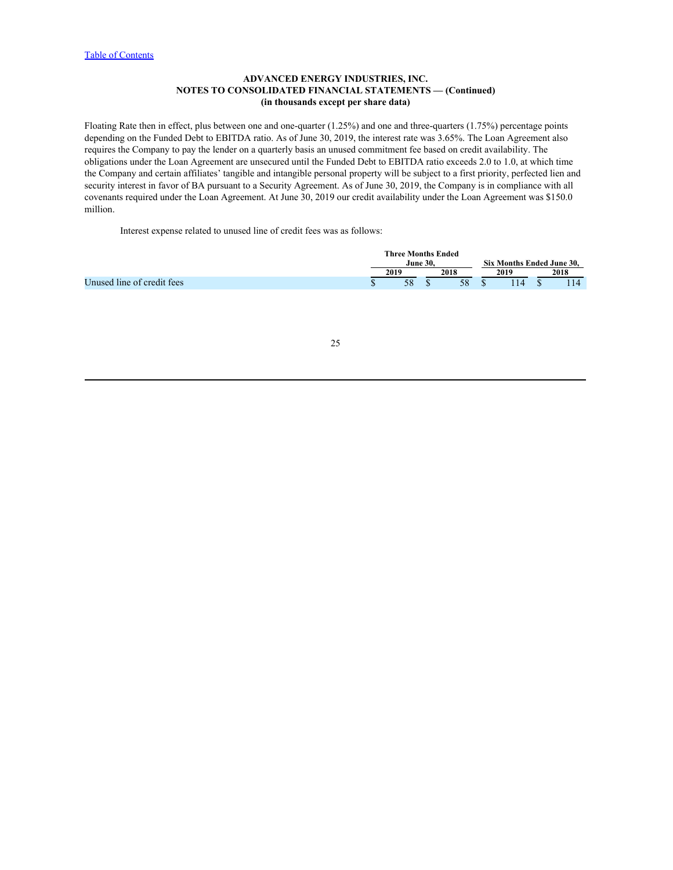Floating Rate then in effect, plus between one and one-quarter (1.25%) and one and three-quarters (1.75%) percentage points depending on the Funded Debt to EBITDA ratio. As of June 30, 2019, the interest rate was 3.65%. The Loan Agreement also requires the Company to pay the lender on a quarterly basis an unused commitment fee based on credit availability. The obligations under the Loan Agreement are unsecured until the Funded Debt to EBITDA ratio exceeds 2.0 to 1.0, at which time the Company and certain affiliates' tangible and intangible personal property will be subject to a first priority, perfected lien and security interest in favor of BA pursuant to a Security Agreement. As of June 30, 2019, the Company is in compliance with all covenants required under the Loan Agreement. At June 30, 2019 our credit availability under the Loan Agreement was \$150.0 million.

Interest expense related to unused line of credit fees was as follows:

|                            |      |          |               | <b>Three Months Ended</b> |            |      |                         |      |  |
|----------------------------|------|----------|---------------|---------------------------|------------|------|-------------------------|------|--|
|                            |      | June 30. | $\sim$ $\sim$ |                           | <b>Six</b> |      | x Months Ended June 30. |      |  |
|                            | 2019 |          |               | 2018                      |            | 2019 |                         | 2018 |  |
| Unused line of credit fees |      | σō       |               | cο<br>υō                  |            | . .  |                         | 114  |  |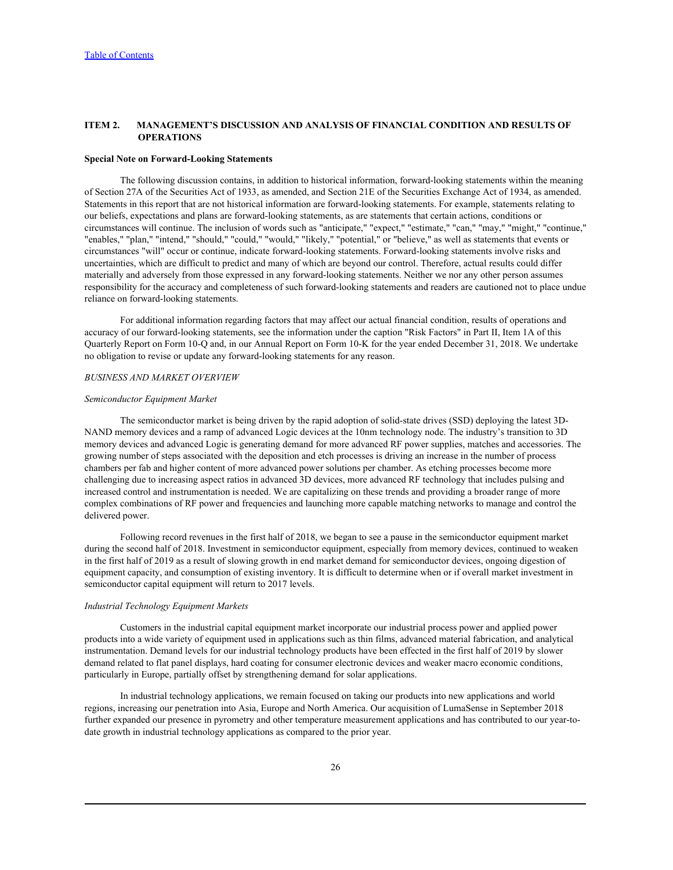## <span id="page-26-0"></span>**ITEM 2. MANAGEMENT'S DISCUSSION AND ANALYSIS OF FINANCIAL CONDITION AND RESULTS OF OPERATIONS**

#### **Special Note on Forward-Looking Statements**

The following discussion contains, in addition to historical information, forward-looking statements within the meaning of Section 27A of the Securities Act of 1933, as amended, and Section 21E of the Securities Exchange Act of 1934, as amended. Statements in this report that are not historical information are forward-looking statements. For example, statements relating to our beliefs, expectations and plans are forward-looking statements, as are statements that certain actions, conditions or circumstances will continue. The inclusion of words such as "anticipate," "expect," "estimate," "can," "may," "might," "continue," "enables," "plan," "intend," "should," "could," "would," "likely," "potential," or "believe," as well as statements that events or circumstances "will" occur or continue, indicate forward-looking statements. Forward-looking statements involve risks and uncertainties, which are difficult to predict and many of which are beyond our control. Therefore, actual results could differ materially and adversely from those expressed in any forward-looking statements. Neither we nor any other person assumes responsibility for the accuracy and completeness of such forward-looking statements and readers are cautioned not to place undue reliance on forward-looking statements.

For additional information regarding factors that may affect our actual financial condition, results of operations and accuracy of our forward-looking statements, see the information under the caption "Risk Factors" in Part II, Item 1A of this Quarterly Report on Form 10-Q and, in our Annual Report on Form 10-K for the year ended December 31, 2018. We undertake no obligation to revise or update any forward-looking statements for any reason.

#### *BUSINESS AND MARKET OVERVIEW*

#### *Semiconductor Equipment Market*

The semiconductor market is being driven by the rapid adoption of solid-state drives (SSD) deploying the latest 3D-NAND memory devices and a ramp of advanced Logic devices at the 10nm technology node. The industry's transition to 3D memory devices and advanced Logic is generating demand for more advanced RF power supplies, matches and accessories. The growing number of steps associated with the deposition and etch processes is driving an increase in the number of process chambers per fab and higher content of more advanced power solutions per chamber. As etching processes become more challenging due to increasing aspect ratios in advanced 3D devices, more advanced RF technology that includes pulsing and increased control and instrumentation is needed. We are capitalizing on these trends and providing a broader range of more complex combinations of RF power and frequencies and launching more capable matching networks to manage and control the delivered power.

Following record revenues in the first half of 2018, we began to see a pause in the semiconductor equipment market during the second half of 2018. Investment in semiconductor equipment, especially from memory devices, continued to weaken in the first half of 2019 as a result of slowing growth in end market demand for semiconductor devices, ongoing digestion of equipment capacity, and consumption of existing inventory. It is difficult to determine when or if overall market investment in semiconductor capital equipment will return to 2017 levels.

#### *Industrial Technology Equipment Markets*

Customers in the industrial capital equipment market incorporate our industrial process power and applied power products into a wide variety of equipment used in applications such as thin films, advanced material fabrication, and analytical instrumentation. Demand levels for our industrial technology products have been effected in the first half of 2019 by slower demand related to flat panel displays, hard coating for consumer electronic devices and weaker macro economic conditions, particularly in Europe, partially offset by strengthening demand for solar applications.

In industrial technology applications, we remain focused on taking our products into new applications and world regions, increasing our penetration into Asia, Europe and North America. Our acquisition of LumaSense in September 2018 further expanded our presence in pyrometry and other temperature measurement applications and has contributed to our year-todate growth in industrial technology applications as compared to the prior year.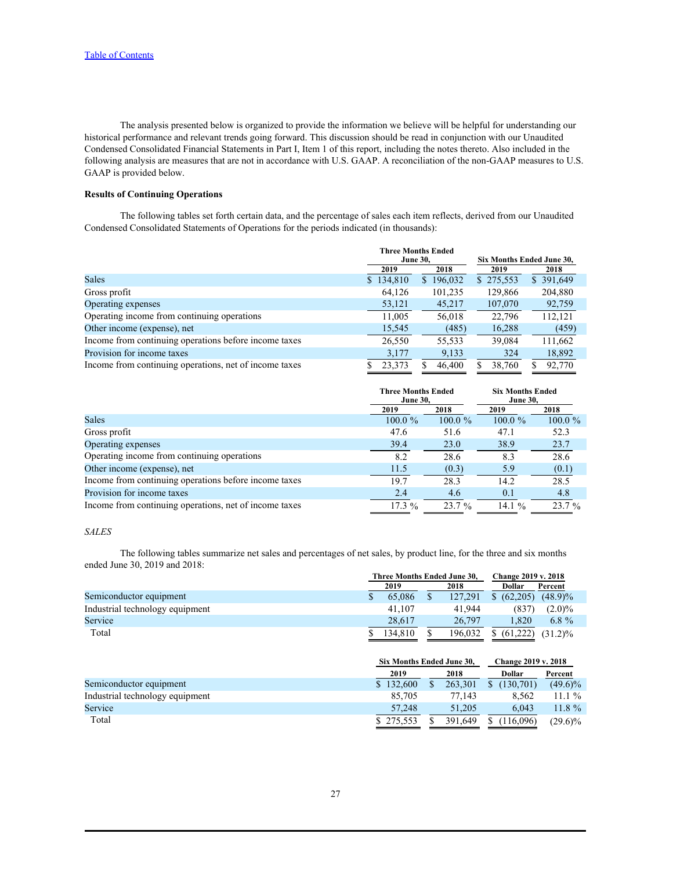The analysis presented below is organized to provide the information we believe will be helpful for understanding our historical performance and relevant trends going forward. This discussion should be read in conjunction with our Unaudited Condensed Consolidated Financial Statements in Part I, Item 1 of this report, including the notes thereto. Also included in the following analysis are measures that are not in accordance with U.S. GAAP. A reconciliation of the non-GAAP measures to U.S. GAAP is provided below.

## **Results of Continuing Operations**

The following tables set forth certain data, and the percentage of sales each item reflects, derived from our Unaudited Condensed Consolidated Statements of Operations for the periods indicated (in thousands):

|                                                        |           | <b>Three Months Ended</b> |           |                           |
|--------------------------------------------------------|-----------|---------------------------|-----------|---------------------------|
|                                                        |           | <b>June 30.</b>           |           | Six Months Ended June 30, |
|                                                        | 2019      | 2018                      | 2019      | 2018                      |
| <b>Sales</b>                                           | \$134,810 | 196,032<br>$\mathcal{L}$  | \$275,553 | \$ 391,649                |
| Gross profit                                           | 64,126    | 101,235                   | 129,866   | 204,880                   |
| Operating expenses                                     | 53,121    | 45,217                    | 107,070   | 92,759                    |
| Operating income from continuing operations            | 11.005    | 56,018                    | 22,796    | 112,121                   |
| Other income (expense), net                            | 15,545    | (485)                     | 16,288    | (459)                     |
| Income from continuing operations before income taxes  | 26,550    | 55,533                    | 39.084    | 111,662                   |
| Provision for income taxes                             | 3,177     | 9,133                     | 324       | 18,892                    |
| Income from continuing operations, net of income taxes | 23.373    | 46,400                    | 38,760    | 92,770                    |

|                                                        | <b>Three Months Ended</b><br><b>June 30,</b> |            | <b>Six Months Ended</b><br><b>June 30,</b> |            |
|--------------------------------------------------------|----------------------------------------------|------------|--------------------------------------------|------------|
|                                                        | 2019                                         | 2018       | 2019                                       | 2018       |
| <b>Sales</b>                                           | $100.0 \%$                                   | $100.0 \%$ | 100.0%                                     | $100.0 \%$ |
| Gross profit                                           | 47.6                                         | 51.6       | 47.1                                       | 52.3       |
| Operating expenses                                     | 39.4                                         | 23.0       | 38.9                                       | 23.7       |
| Operating income from continuing operations            | 8.2                                          | 28.6       | 8.3                                        | 28.6       |
| Other income (expense), net                            | 11.5                                         | (0.3)      | 5.9                                        | (0.1)      |
| Income from continuing operations before income taxes  | 19.7                                         | 28.3       | 14.2                                       | 28.5       |
| Provision for income taxes                             | 2.4                                          | 4.6        | 0.1                                        | 4.8        |
| Income from continuing operations, net of income taxes | 17.3 $%$                                     | $23.7\%$   | 14.1 $\%$                                  | 23.7%      |

#### *SALES*

The following tables summarize net sales and percentages of net sales, by product line, for the three and six months ended June 30, 2019 and 2018:

|         |         | <b>Change 2019 v. 2018</b>  |            |
|---------|---------|-----------------------------|------------|
| 2019    | 2018    | Dollar                      | Percent    |
| 65,086  | 127,291 | \$ (62,205)                 | $(48.9)\%$ |
| 41.107  | 41.944  | (837)                       | $(2.0)\%$  |
| 28,617  | 26,797  | .820                        | $6.8\%$    |
| 134,810 | 196,032 | \$ (61,222)                 | $(31.2)\%$ |
|         |         | Three Months Ended June 30, |            |

|                                 | Six Months Ended June 30, |         | Change 2019 v. 2018 |            |
|---------------------------------|---------------------------|---------|---------------------|------------|
|                                 | 2019                      | 2018    | <b>Dollar</b>       | Percent    |
| Semiconductor equipment         | \$132,600                 | 263,301 | (130,701)           | $(49.6)\%$ |
| Industrial technology equipment | 85,705                    | 77,143  | 8,562               | 11.1 %     |
| Service                         | 57,248                    | 51,205  | 6,043               | $11.8 \%$  |
| Total                           | 275,553                   | 391,649 | \$(116,096)         | $(29.6)\%$ |
|                                 |                           |         |                     |            |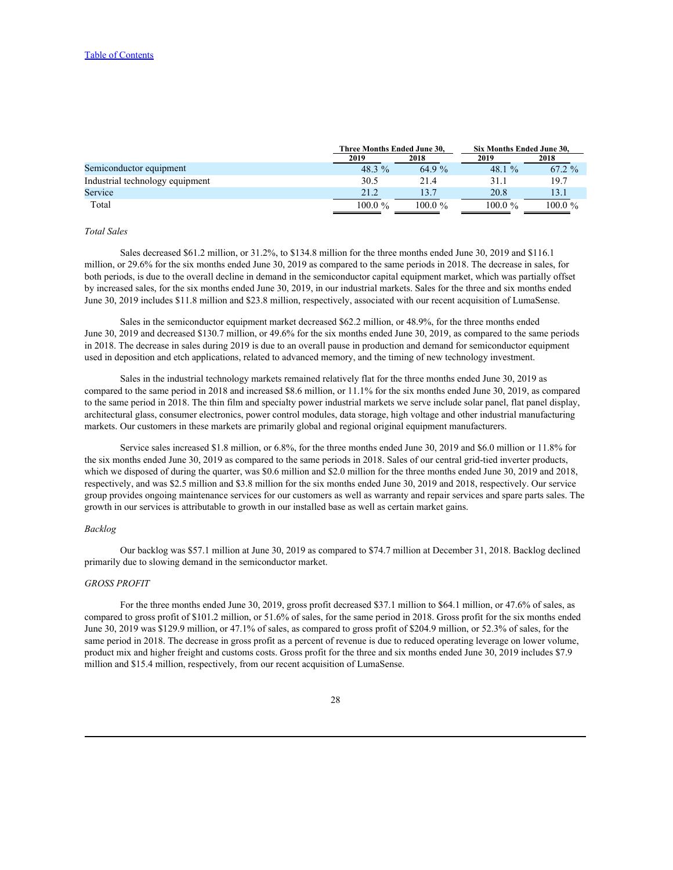|                                 | Three Months Ended June 30. |            | Six Months Ended June 30, |           |
|---------------------------------|-----------------------------|------------|---------------------------|-----------|
|                                 | 2019                        | 2018       | 2019                      | 2018      |
| Semiconductor equipment         | 48.3 %                      | 64.9 %     | 48.1 $%$                  | 67.2 %    |
| Industrial technology equipment | 30.5                        | 21.4       | 3 I . I                   | 19.7      |
| Service                         | 21.2                        | 13.7       | 20.8                      | 13.1      |
| Total                           | $100.0 \%$                  | $100.0 \%$ | $100.0\%$                 | $100.0\%$ |
|                                 |                             |            |                           |           |

#### *Total Sales*

Sales decreased \$61.2 million, or 31.2%, to \$134.8 million for the three months ended June 30, 2019 and \$116.1 million, or 29.6% for the six months ended June 30, 2019 as compared to the same periods in 2018. The decrease in sales, for both periods, is due to the overall decline in demand in the semiconductor capital equipment market, which was partially offset by increased sales, for the six months ended June 30, 2019, in our industrial markets. Sales for the three and six months ended June 30, 2019 includes \$11.8 million and \$23.8 million, respectively, associated with our recent acquisition of LumaSense.

Sales in the semiconductor equipment market decreased \$62.2 million, or 48.9%, for the three months ended June 30, 2019 and decreased \$130.7 million, or 49.6% for the six months ended June 30, 2019, as compared to the same periods in 2018. The decrease in sales during 2019 is due to an overall pause in production and demand for semiconductor equipment used in deposition and etch applications, related to advanced memory, and the timing of new technology investment.

Sales in the industrial technology markets remained relatively flat for the three months ended June 30, 2019 as compared to the same period in 2018 and increased \$8.6 million, or 11.1% for the six months ended June 30, 2019, as compared to the same period in 2018. The thin film and specialty power industrial markets we serve include solar panel, flat panel display, architectural glass, consumer electronics, power control modules, data storage, high voltage and other industrial manufacturing markets. Our customers in these markets are primarily global and regional original equipment manufacturers.

Service sales increased \$1.8 million, or 6.8%, for the three months ended June 30, 2019 and \$6.0 million or 11.8% for the six months ended June 30, 2019 as compared to the same periods in 2018. Sales of our central grid-tied inverter products, which we disposed of during the quarter, was \$0.6 million and \$2.0 million for the three months ended June 30, 2019 and 2018, respectively, and was \$2.5 million and \$3.8 million for the six months ended June 30, 2019 and 2018, respectively. Our service group provides ongoing maintenance services for our customers as well as warranty and repair services and spare parts sales. The growth in our services is attributable to growth in our installed base as well as certain market gains.

#### *Backlog*

Our backlog was \$57.1 million at June 30, 2019 as compared to \$74.7 million at December 31, 2018. Backlog declined primarily due to slowing demand in the semiconductor market.

#### *GROSS PROFIT*

For the three months ended June 30, 2019, gross profit decreased \$37.1 million to \$64.1 million, or 47.6% of sales, as compared to gross profit of \$101.2 million, or 51.6% of sales, for the same period in 2018. Gross profit for the six months ended June 30, 2019 was \$129.9 million, or 47.1% of sales, as compared to gross profit of \$204.9 million, or 52.3% of sales, for the same period in 2018. The decrease in gross profit as a percent of revenue is due to reduced operating leverage on lower volume, product mix and higher freight and customs costs. Gross profit for the three and six months ended June 30, 2019 includes \$7.9 million and \$15.4 million, respectively, from our recent acquisition of LumaSense.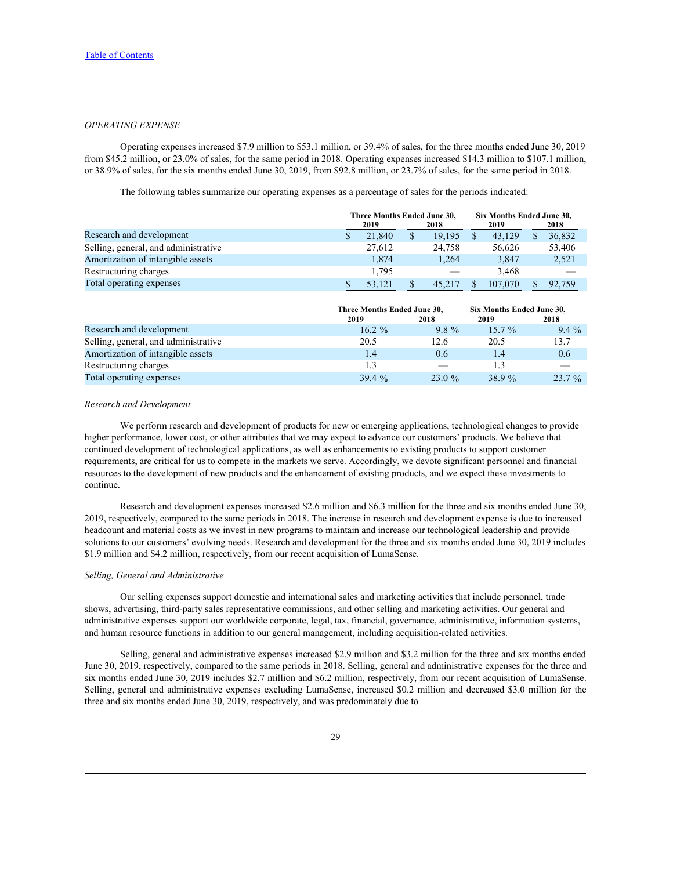## *OPERATING EXPENSE*

Operating expenses increased \$7.9 million to \$53.1 million, or 39.4% of sales, for the three months ended June 30, 2019 from \$45.2 million, or 23.0% of sales, for the same period in 2018. Operating expenses increased \$14.3 million to \$107.1 million, or 38.9% of sales, for the six months ended June 30, 2019, from \$92.8 million, or 23.7% of sales, for the same period in 2018.

The following tables summarize our operating expenses as a percentage of sales for the periods indicated:

|                                      |      | Three Months Ended June 30, |  | Six Months Ended June 30,      |      |                           |  |         |
|--------------------------------------|------|-----------------------------|--|--------------------------------|------|---------------------------|--|---------|
|                                      |      | 2019                        |  | 2018                           |      | 2019                      |  | 2018    |
| Research and development             |      | 21,840                      |  | 19,195                         |      | 43,129                    |  | 36,832  |
| Selling, general, and administrative |      | 27,612                      |  | 24,758                         |      | 56,626                    |  | 53,406  |
| Amortization of intangible assets    |      | 1,874                       |  | 1,264                          |      | 3,847                     |  | 2,521   |
| Restructuring charges                |      | 1,795                       |  | $\overbrace{\hspace{25mm}}^{}$ |      | 3,468                     |  |         |
| Total operating expenses             |      | 53,121                      |  | 45,217                         |      | 107,070                   |  | 92,759  |
|                                      |      |                             |  |                                |      |                           |  |         |
|                                      |      |                             |  |                                |      |                           |  |         |
|                                      |      | Three Months Ended June 30, |  |                                |      | Six Months Ended June 30, |  |         |
|                                      | 2019 |                             |  | 2018                           | 2019 |                           |  | 2018    |
| Research and development             |      | $16.2 \%$                   |  | $9.8\%$                        |      | $15.7\%$                  |  | $9.4\%$ |
| Selling, general, and administrative |      | 20.5                        |  | 12.6                           |      | 20.5                      |  | 13.7    |
| Amortization of intangible assets    |      | 1.4                         |  | 0.6                            |      | 1.4                       |  | 0.6     |
| Restructuring charges                |      |                             |  | $\hspace{0.05cm}$              |      |                           |  |         |

## *Research and Development*

We perform research and development of products for new or emerging applications, technological changes to provide higher performance, lower cost, or other attributes that we may expect to advance our customers' products. We believe that continued development of technological applications, as well as enhancements to existing products to support customer requirements, are critical for us to compete in the markets we serve. Accordingly, we devote significant personnel and financial resources to the development of new products and the enhancement of existing products, and we expect these investments to continue. Selling, general and since the expenses increased and administrative comparison of the administrative expenses of final and advantagation and increase the system of the experiment of the experiment of the experiment of th

Research and development expenses increased \$2.6 million and \$6.3 million for the three and six months ended June 30, 2019, respectively, compared to the same periods in 2018. The increase in research and development expense is due to increased headcount and material costs as we invest in new programs to maintain and increase our technological leadership and provide solutions to our customers' evolving needs. Research and development for the three and six months ended June 30, 2019 includes \$1.9 million and \$4.2 million, respectively, from our recent acquisition of LumaSense.

#### *Selling, General and Administrative*

Our selling expenses support domestic and international sales and marketing activities that include personnel, trade shows, advertising, third-party sales representative commissions, and other selling and marketing activities. Our general and administrative expenses support our worldwide corporate, legal, tax, financial, governance, administrative, information systems, and human resource functions in addition to our general management, including acquisition-related activities.

Selling, general and administrative expenses increased \$2.9 million and \$3.2 million for the three and six months ended June 30, 2019, respectively, compared to the same periods in 2018. Selling, general and administrative expenses for the three and six months ended June 30, 2019 includes \$2.7 million and \$6.2 million, respectively, from our recent acquisition of LumaSense. three and six months ended June 30, 2019, respectively, and was predominately due to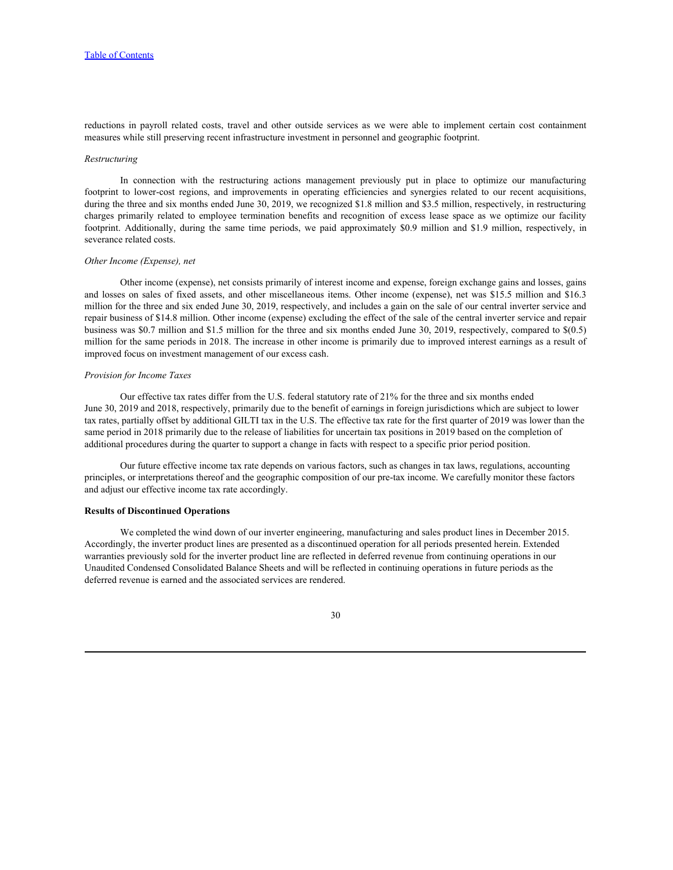measures while still preserving recent infrastructure investment in personnel and geographic footprint.

#### *Restructuring*

Tableof Contents<br>reductions in payroll related costs, travel and other outside services as we were able to implement certain cost containment<br>measures while still preserving recent infrastructure investment in personnel a Contents<br>
is in payroll related costs, travel and other outside services as we were able to implement certain cost containment<br>
while still preserving recent infrastructure investment in personnel and geographic footprint. Table of Contents<br>reductions in payroll related costs, travel and other outside services as we were able to implement certain cost containment<br>measures while still preserving recent infrastructure investment in personnel a during the three and six months ended June 30, 2019, we recognized \$1.8 million and \$3.5 million, respectively, in restructuring Table of Contents<br>reductions in payroll related costs, travel and other outside services as we were able to implement certain cost containment<br>measures while still preserving recent infiristructure investment in personnel Fable of Contents<br>
and the still preserving recent infrastructure investment in personnel and geographic footprint.<br>
Retarnerming<br>
Retarnerming<br>
Retarnerming<br>
In connection with the restructuring actions management previo severance related costs.

#### *Other Income (Expense), net*

Other income (expense), net consists primarily of interest income and expense, foreign exchange gains and losses, gains Table of Contents<br>
and probability measures on the state and other outside services as we were able to implement certain contentment<br>
measures while still preserving recent infrastructure meetings are<br> *kertracturing*<br> *l* million for the three and six ended June 30, 2019, respectively, and includes a gain on the sale of our central inverter service and repair business of \$14.8 million. Other income (expense) excluding the effect of the sale of the central inverter service and repair business was \$0.7 million and \$1.5 million for the three and six months ended June 30, 2019, respectively, compared to \$(0.5) million for the same periods in 2018. The increase in other income is primarily due to improved interest earnings as a result of improved focus on investment management of our excess cash.

#### *Provision for Income Taxes*

Our effective tax rates differ from the U.S. federal statutory rate of 21% for the three and six months ended June 30, 2019 and 2018, respectively, primarily due to the benefit of earnings in foreign jurisdictions which are subject to lower tax rates, partially offset by additional GILTI tax in the U.S. The effective tax rate for the first quarter of 2019 was lower than the same period in 2018 primarily due to the release of liabilities for uncertain tax positions in 2019 based on the completion of additional procedures during the quarter to support a change in facts with respect to a specific prior period position.

Our future effective income tax rate depends on various factors, such as changes in tax laws, regulations, accounting principles, or interpretations thereof and the geographic composition of our pre-tax income. We carefully monitor these factors and adjust our effective income tax rate accordingly.

#### **Results of Discontinued Operations**

We completed the wind down of our inverter engineering, manufacturing and sales product lines in December 2015. Accordingly, the inverter product lines are presented as a discontinued operation for all periods presented herein. Extended warranties previously sold for the inverter product line are reflected in deferred revenue from continuing operations in our Unaudited Condensed Consolidated Balance Sheets and will be reflected in continuing operations in future periods as the deferred revenue is earned and the associated services are rendered.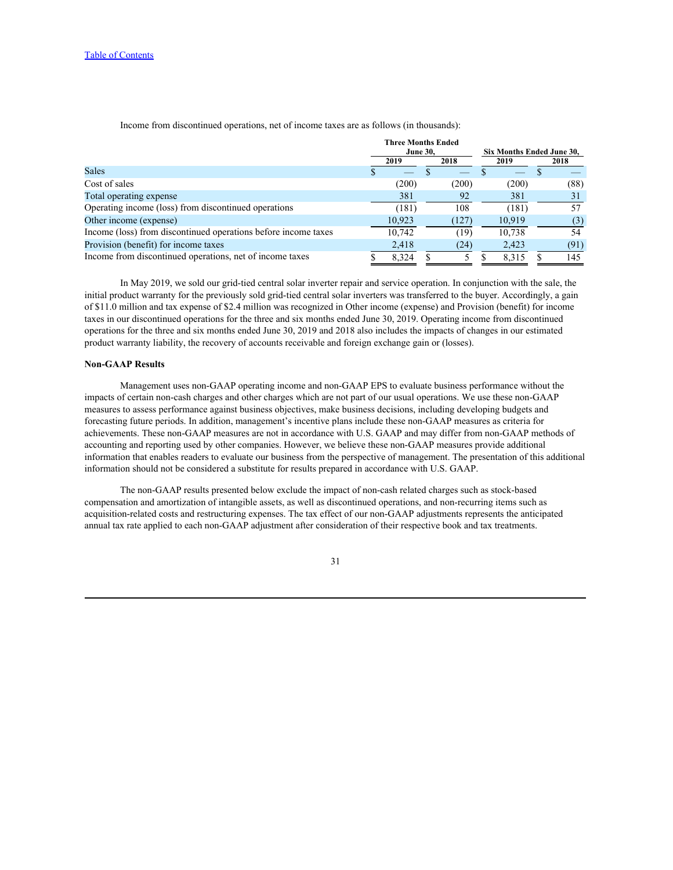|                                                                | <b>Three Months Ended</b> |      |                           |                               |  |      |
|----------------------------------------------------------------|---------------------------|------|---------------------------|-------------------------------|--|------|
|                                                                | <b>June 30,</b>           |      | Six Months Ended June 30. |                               |  |      |
|                                                                | 2019                      | 2018 |                           | 2019                          |  | 2018 |
| <b>Sales</b>                                                   | $\qquad \qquad - \qquad$  |      |                           | $\overbrace{\phantom{aaaaa}}$ |  |      |
| Cost of sales                                                  | (200)                     |      | (200)                     | (200)                         |  | (88) |
| Total operating expense                                        | 381                       |      | 92                        | 381                           |  |      |
| Operating income (loss) from discontinued operations           | (181)                     |      | 108                       | (181)                         |  |      |
| Other income (expense)                                         | 10,923                    |      | (127)                     | 10,919                        |  |      |
| Income (loss) from discontinued operations before income taxes | 10,742                    |      | (19)                      | 10,738                        |  |      |
| Provision (benefit) for income taxes                           | 2,418                     |      | (24)                      | 2,423                         |  | (91) |
| Income from discontinued operations, net of income taxes       | 8.324                     |      |                           | 8.315                         |  | 145  |
|                                                                |                           |      |                           |                               |  |      |

Income from discontinued operations, net of income taxes are as follows (in thousands):

In May 2019, we sold our grid-tied central solar inverter repair and service operation. In conjunction with the sale, the initial product warranty for the previously sold grid-tied central solar inverters was transferred to the buyer. Accordingly, a gain of \$11.0 million and tax expense of \$2.4 million was recognized in Other income (expense) and Provision (benefit) for income taxes in our discontinued operations for the three and six months ended June 30, 2019. Operating income from discontinued operations for the three and six months ended June 30, 2019 and 2018 also includes the impacts of changes in our estimated product warranty liability, the recovery of accounts receivable and foreign exchange gain or (losses).

#### **Non-GAAP Results**

Management uses non-GAAP operating income and non-GAAP EPS to evaluate business performance without the impacts of certain non-cash charges and other charges which are not part of our usual operations. We use these non-GAAP measures to assess performance against business objectives, make business decisions, including developing budgets and forecasting future periods. In addition, management's incentive plans include these non-GAAP measures as criteria for achievements. These non-GAAP measures are not in accordance with U.S. GAAP and may differ from non-GAAP methods of accounting and reporting used by other companies. However, we believe these non-GAAP measures provide additional information that enables readers to evaluate our business from the perspective of management. The presentation of this additional information should not be considered a substitute for results prepared in accordance with U.S. GAAP.

The non-GAAP results presented below exclude the impact of non-cash related charges such as stock-based compensation and amortization of intangible assets, as well as discontinued operations, and non-recurring items such as acquisition-related costs and restructuring expenses. The tax effect of our non-GAAP adjustments represents the anticipated annual tax rate applied to each non-GAAP adjustment after consideration of their respective book and tax treatments.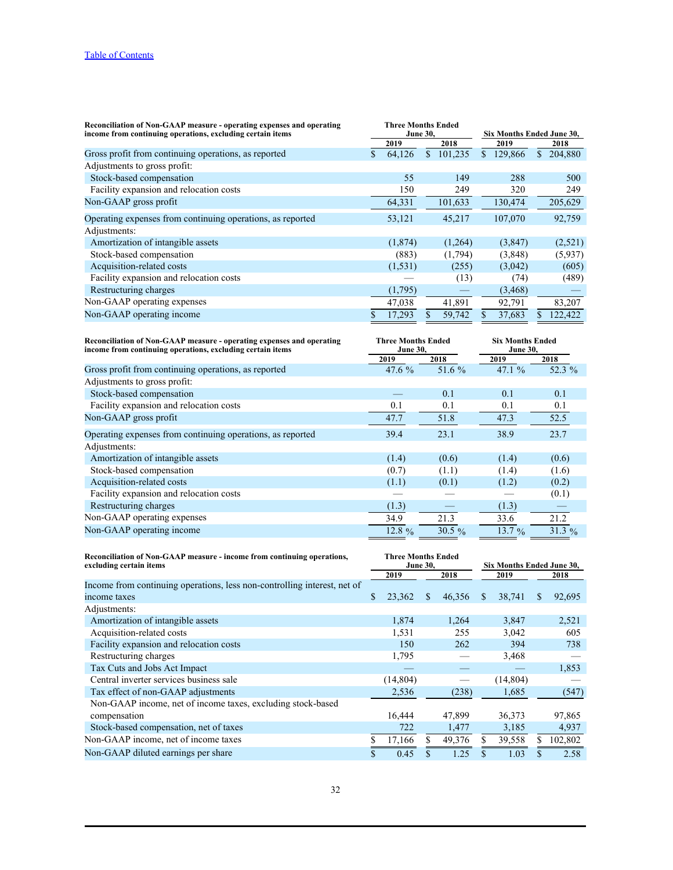| Reconciliation of Non-GAAP measure - operating expenses and operating<br>income from continuing operations, excluding certain items | <b>Three Months Ended</b><br>June 30, |           | <b>Six Months Ended</b><br><b>June 30,</b> |                                |  |  |
|-------------------------------------------------------------------------------------------------------------------------------------|---------------------------------------|-----------|--------------------------------------------|--------------------------------|--|--|
| 2019                                                                                                                                |                                       | 2018      | 2019                                       | 2018                           |  |  |
| Gross profit from continuing operations, as reported                                                                                | 47.6 %                                | 51.6 %    | 47.1 $%$                                   | 52.3 %                         |  |  |
| Adjustments to gross profit:                                                                                                        |                                       |           |                                            |                                |  |  |
| Stock-based compensation                                                                                                            |                                       | 0.1       | 0.1                                        | 0.1                            |  |  |
| Facility expansion and relocation costs                                                                                             | 0.1                                   | 0.1       | 0.1                                        | 0.1                            |  |  |
| Non-GAAP gross profit                                                                                                               | 47.7                                  | 51.8      | 47.3                                       | 52.5                           |  |  |
| Operating expenses from continuing operations, as reported                                                                          | 39.4                                  | 23.1      | 38.9                                       | 23.7                           |  |  |
| Adjustments:                                                                                                                        |                                       |           |                                            |                                |  |  |
| Amortization of intangible assets                                                                                                   | (1.4)                                 | (0.6)     | (1.4)                                      | (0.6)                          |  |  |
| Stock-based compensation                                                                                                            | (0.7)                                 | (1.1)     | (1.4)                                      | (1.6)                          |  |  |
| Acquisition-related costs                                                                                                           | (1.1)                                 | (0.1)     | (1.2)                                      | (0.2)                          |  |  |
| Facility expansion and relocation costs                                                                                             |                                       |           |                                            | (0.1)                          |  |  |
| Restructuring charges                                                                                                               | (1.3)                                 | $-$       | (1.3)                                      | $\overbrace{\hspace{25mm}}^{}$ |  |  |
| Non-GAAP operating expenses                                                                                                         | 34.9                                  | 21.3      | 33.6                                       | 21.2                           |  |  |
| Non-GAAP operating income                                                                                                           | 12.8%                                 | $30.5 \%$ | 13.7%                                      | 31.3 %                         |  |  |
|                                                                                                                                     |                                       |           |                                            |                                |  |  |

| Reconciliation of Non-GAAP measure - income from continuing operations,  |           | <b>Three Months Ended</b> |       |                                   |  |                                |  |
|--------------------------------------------------------------------------|-----------|---------------------------|-------|-----------------------------------|--|--------------------------------|--|
| excluding certain items                                                  | 2019      | <b>June 30,</b><br>2018   |       | Six Months Ended June 30,<br>2019 |  | 2018                           |  |
| Income from continuing operations, less non-controlling interest, net of |           |                           |       |                                   |  |                                |  |
| income taxes                                                             | 23,362    | 46,356<br>D.              |       | 38,741                            |  | 92,695                         |  |
| Adjustments:                                                             |           |                           |       |                                   |  |                                |  |
| Amortization of intangible assets                                        | 1,874     | 1,264                     |       | 3,847                             |  | 2,521                          |  |
| Acquisition-related costs                                                | 1,531     |                           | 255   | 3,042                             |  | 605                            |  |
| Facility expansion and relocation costs                                  | 150       |                           | 262   | 394                               |  | 738                            |  |
| Restructuring charges                                                    | 1,795     |                           |       | 3,468                             |  |                                |  |
| Tax Cuts and Jobs Act Impact                                             |           |                           |       |                                   |  | 1,853                          |  |
| Central inverter services business sale                                  | (14, 804) |                           |       | (14, 804)                         |  | $\overbrace{\hspace{25mm}}^{}$ |  |
| Tax effect of non-GAAP adjustments                                       | 2,536     |                           | (238) | 1,685                             |  | (547)                          |  |
| Non-GAAP income, net of income taxes, excluding stock-based              |           |                           |       |                                   |  |                                |  |
| compensation                                                             | 16,444    | 47,899                    |       | 36,373                            |  | 97,865                         |  |
| Stock-based compensation, net of taxes                                   | 722       | 1,477                     |       | 3,185                             |  | 4,937                          |  |
| Non-GAAP income, net of income taxes                                     | .166      | 49,376                    |       | 39,558                            |  | 102,802                        |  |
| Non-GAAP diluted earnings per share                                      | 0.45      |                           | .25   | 1.03                              |  | 2.58                           |  |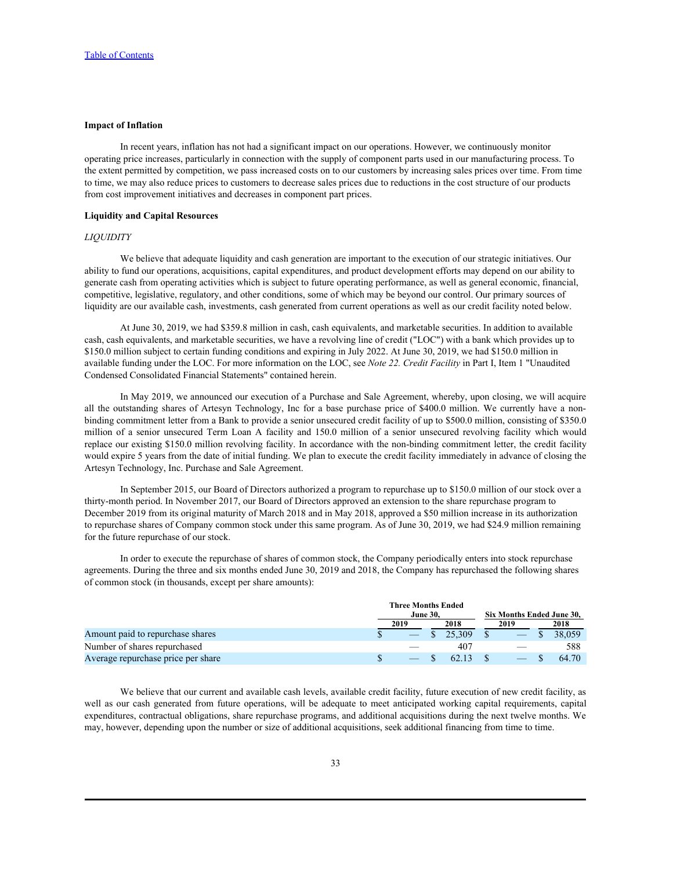#### **Impact of Inflation**

In recent years, inflation has not had a significant impact on our operations. However, we continuously monitor operating price increases, particularly in connection with the supply of component parts used in our manufacturing process. To the extent permitted by competition, we pass increased costs on to our customers by increasing sales prices over time. From time to time, we may also reduce prices to customers to decrease sales prices due to reductions in the cost structure of our products from cost improvement initiatives and decreases in component part prices.

## **Liquidity and Capital Resources**

## *LIQUIDITY*

We believe that adequate liquidity and cash generation are important to the execution of our strategic initiatives. Our ability to fund our operations, acquisitions, capital expenditures, and product development efforts may depend on our ability to generate cash from operating activities which is subject to future operating performance, as well as general economic, financial, competitive, legislative, regulatory, and other conditions, some of which may be beyond our control. Our primary sources of liquidity are our available cash, investments, cash generated from current operations as well as our credit facility noted below.

At June 30, 2019, we had \$359.8 million in cash, cash equivalents, and marketable securities. In addition to available cash, cash equivalents, and marketable securities, we have a revolving line of credit ("LOC") with a bank which provides up to \$150.0 million subject to certain funding conditions and expiring in July 2022. At June 30, 2019, we had \$150.0 million in available funding under the LOC. For more information on the LOC, see *Note 22. Credit Facility* in Part I, Item 1 "Unaudited Condensed Consolidated Financial Statements" contained herein.

In May 2019, we announced our execution of a Purchase and Sale Agreement, whereby, upon closing, we will acquire InsteadConduction<br>In recent permitted by competition, in concession, with the supply of component parts used in our manufacturing process. To<br>precent private processes, purchashing in connection with the supply of compone binding commitment letter from a Bank to provide a senior unsecured credit facility of up to \$500.0 million, consisting of \$350.0 migrart of Inflation<br>
In recent), embatively incorrecting with a superfusion impact on our conjecured and the senior parameter principal<br>
the extent parameter principal by competition, we pass increased ensist on our conto replace our existing \$150.0 million revolving facility. In accordance with the non-binding commitment letter, the credit facility would expire 5 years from the date of initial funding. We plan to execute the credit facility immediately in advance of closing the Artesyn Technology, Inc. Purchase and Sale Agreement. when these typerated in a maximum extends, we leave a recovering the volvement particles are outer to the content of the content of the content of the content of the content of the content of the content of the content of

In September 2015, our Board of Directors authorized a program to repurchase up to \$150.0 million of our stock over a thirty-month period. In November 2017, our Board of Directors approved an extension to the share repurchase program to December 2019 from its original maturity of March 2018 and in May 2018, approved a \$50 million increase in its authorization to repurchase shares of Company common stock under this same program. As of June 30, 2019, we had \$24.9 million remaining for the future repurchase of our stock.

In order to execute the repurchase of shares of common stock, the Company periodically enters into stock repurchase agreements. During the three and six months ended June 30, 2019 and 2018, the Company has repurchased the following shares of common stock (in thousands, except per share amounts):

|                                    |      | <b>Three Months Ended</b><br><b>June 30,</b> |        |                          | <b>Six Months Ended June 30.</b> |
|------------------------------------|------|----------------------------------------------|--------|--------------------------|----------------------------------|
|                                    | 2019 |                                              | 2018   | 2019                     | 2018                             |
| Amount paid to repurchase shares   |      | $\overline{\phantom{m}}$                     | 25,309 | $\overline{\phantom{m}}$ | 38,059                           |
| Number of shares repurchased       |      |                                              | 407    |                          | 588                              |
| Average repurchase price per share |      |                                              | 52.13  |                          | 64.70                            |

We believe that our current and available cash levels, available credit facility, future execution of new credit facility, as expenditures, contractual obligations, share repurchase programs, and additional acquisitions during the next twelve months. We may, however, depending upon the number or size of additional acquisitions, seek additional financing from time to time.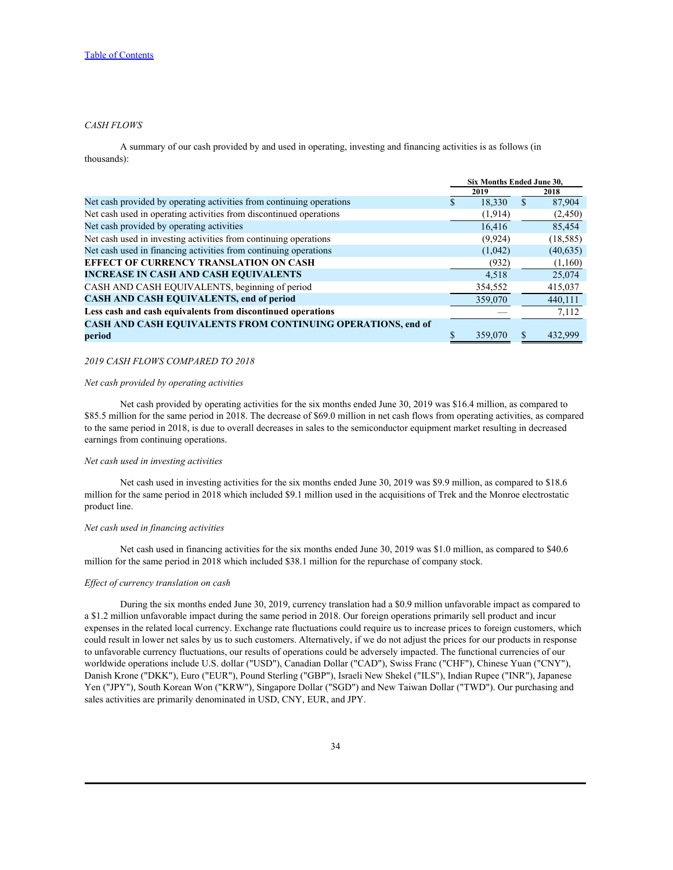## *CASH FLOWS*

A summary of our cash provided by and used in operating, investing and financing activities is as follows (in thousands):

|                                                                      | <b>Six Months Ended June 30.</b> |                |
|----------------------------------------------------------------------|----------------------------------|----------------|
| Net cash provided by operating activities from continuing operations | 2019<br>18.330                   | 2018<br>87,904 |
| Net cash used in operating activities from discontinued operations   | (1, 914)                         | (2,450)        |
| Net cash provided by operating activities                            | 16.416                           | 85,454         |
| Net cash used in investing activities from continuing operations     | (9,924)                          | (18, 585)      |
| Net cash used in financing activities from continuing operations     | (1,042)                          | (40, 635)      |
| <b>EFFECT OF CURRENCY TRANSLATION ON CASH</b>                        | (932)                            | (1,160)        |
| <b>INCREASE IN CASH AND CASH EQUIVALENTS</b>                         | 4.518                            | 25,074         |
| CASH AND CASH EQUIVALENTS, beginning of period                       | 354,552                          | 415,037        |
| CASH AND CASH EQUIVALENTS, end of period                             | 359,070                          | 440,111        |
| Less cash and cash equivalents from discontinued operations          |                                  | 7.112          |
| CASH AND CASH EQUIVALENTS FROM CONTINUING OPERATIONS, end of         |                                  |                |
| period                                                               | 359,070                          | 432,999        |

# *2019 CASH FLOWS COMPARED TO 2018*

#### *Net cash provided by operating activities*

Net cash provided by operating activities for the six months ended June 30, 2019 was \$16.4 million, as compared to \$85.5 million for the same period in 2018. The decrease of \$69.0 million in net cash flows from operating activities, as compared to the same period in 2018, is due to overall decreases in sales to the semiconductor equipment market resulting in decreased earnings from continuing operations.

#### *Net cash used in investing activities*

Net cash used in investing activities for the six months ended June 30, 2019 was \$9.9 million, as compared to \$18.6 million for the same period in 2018 which included \$9.1 million used in the acquisitions of Trek and the Monroe electrostatic product line.

## *Net cash used in financing activities*

Net cash used in financing activities for the six months ended June 30, 2019 was \$1.0 million, as compared to \$40.6 million for the same period in 2018 which included \$38.1 million for the repurchase of company stock.

#### *Effect of currency translation on cash*

During the six months ended June 30, 2019, currency translation had a \$0.9 million unfavorable impact as compared to a \$1.2 million unfavorable impact during the same period in 2018. Our foreign operations primarily sell product and incur expenses in the related local currency. Exchange rate fluctuations could require us to increase prices to foreign customers, which could result in lower net sales by us to such customers. Alternatively, if we do not adjust the prices for our products in response to unfavorable currency fluctuations, our results of operations could be adversely impacted. The functional currencies of our worldwide operations include U.S. dollar ("USD"), Canadian Dollar ("CAD"), Swiss Franc ("CHF"), Chinese Yuan ("CNY"), Danish Krone ("DKK"), Euro ("EUR"), Pound Sterling ("GBP"), Israeli New Shekel ("ILS"), Indian Rupee ("INR"), Japanese Yen ("JPY"), South Korean Won ("KRW"), Singapore Dollar ("SGD") and New Taiwan Dollar ("TWD"). Our purchasing and sales activities are primarily denominated in USD, CNY, EUR, and JPY.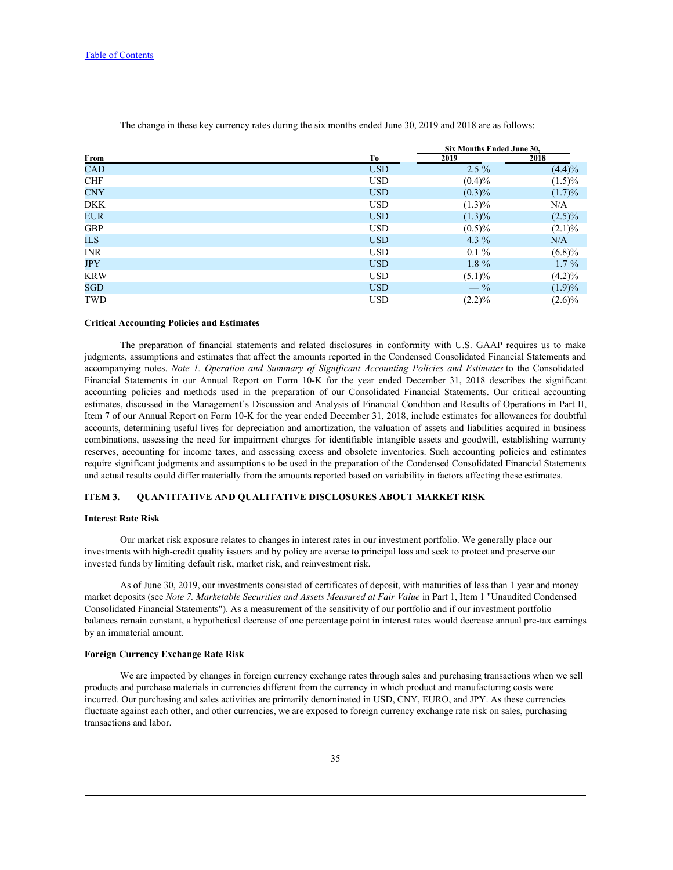| <b>Table of Contents</b>                          |                                                                                                                                                                                                                                                                |                                          |                      |
|---------------------------------------------------|----------------------------------------------------------------------------------------------------------------------------------------------------------------------------------------------------------------------------------------------------------------|------------------------------------------|----------------------|
|                                                   |                                                                                                                                                                                                                                                                |                                          |                      |
|                                                   |                                                                                                                                                                                                                                                                |                                          |                      |
|                                                   |                                                                                                                                                                                                                                                                |                                          |                      |
|                                                   | The change in these key currency rates during the six months ended June 30, 2019 and 2018 are as follows:                                                                                                                                                      |                                          |                      |
|                                                   |                                                                                                                                                                                                                                                                |                                          |                      |
| From                                              | Tо                                                                                                                                                                                                                                                             | <b>Six Months Ended June 30,</b><br>2019 | 2018                 |
| CAD                                               | <b>USD</b>                                                                                                                                                                                                                                                     | $2.5\%$                                  | $(4.4)\%$            |
| CHF                                               | <b>USD</b>                                                                                                                                                                                                                                                     | $(0.4)\%$                                | $(1.5)\%$            |
| <b>CNY</b>                                        | <b>USD</b>                                                                                                                                                                                                                                                     | $(0.3)\%$                                | (1.7)%               |
| <b>DKK</b>                                        | <b>USD</b>                                                                                                                                                                                                                                                     | $(1.3)\%$                                | N/A                  |
| <b>EUR</b>                                        | <b>USD</b>                                                                                                                                                                                                                                                     | $(1.3)\%$                                | $(2.5)\%$            |
| <b>GBP</b>                                        | <b>USD</b>                                                                                                                                                                                                                                                     | $(0.5)\%$                                | $(2.1)\%$            |
| <b>ILS</b>                                        | <b>USD</b><br><b>USD</b>                                                                                                                                                                                                                                       | 4.3 $%$                                  | N/A                  |
| <b>INR</b><br><b>JPY</b>                          | <b>USD</b>                                                                                                                                                                                                                                                     | $0.1 \%$<br>$1.8\%$                      | $(6.8)\%$<br>$1.7\%$ |
| <b>KRW</b>                                        | <b>USD</b>                                                                                                                                                                                                                                                     | $(5.1)\%$                                | $(4.2)\%$            |
| <b>SGD</b>                                        | <b>USD</b>                                                                                                                                                                                                                                                     | $-$ %                                    | $(1.9)\%$            |
| TWD                                               | <b>USD</b>                                                                                                                                                                                                                                                     | $(2.2)\%$                                | $(2.6)\%$            |
|                                                   |                                                                                                                                                                                                                                                                |                                          |                      |
| <b>Critical Accounting Policies and Estimates</b> |                                                                                                                                                                                                                                                                |                                          |                      |
|                                                   | The preparation of financial statements and related disclosures in conformity with U.S. GAAP requires us to make                                                                                                                                               |                                          |                      |
|                                                   | judgments, assumptions and estimates that affect the amounts reported in the Condensed Consolidated Financial Statements and                                                                                                                                   |                                          |                      |
|                                                   | accompanying notes. Note 1. Operation and Summary of Significant Accounting Policies and Estimates to the Consolidated                                                                                                                                         |                                          |                      |
|                                                   | Financial Statements in our Annual Report on Form 10-K for the year ended December 31, 2018 describes the significant                                                                                                                                          |                                          |                      |
|                                                   | accounting policies and methods used in the preparation of our Consolidated Financial Statements. Our critical accounting                                                                                                                                      |                                          |                      |
|                                                   | estimates, discussed in the Management's Discussion and Analysis of Financial Condition and Results of Operations in Part II,                                                                                                                                  |                                          |                      |
|                                                   | Item 7 of our Annual Report on Form 10-K for the year ended December 31, 2018, include estimates for allowances for doubtful                                                                                                                                   |                                          |                      |
|                                                   | accounts, determining useful lives for depreciation and amortization, the valuation of assets and liabilities acquired in business                                                                                                                             |                                          |                      |
|                                                   | combinations, assessing the need for impairment charges for identifiable intangible assets and goodwill, establishing warranty<br>reserves, accounting for income taxes, and assessing excess and obsolete inventories. Such accounting policies and estimates |                                          |                      |
|                                                   | require significant judgments and assumptions to be used in the preparation of the Condensed Consolidated Financial Statements                                                                                                                                 |                                          |                      |
|                                                   | and actual results could differ materially from the amounts reported based on variability in factors affecting these estimates.                                                                                                                                |                                          |                      |
| ITEM 3.                                           | <b>QUANTITATIVE AND QUALITATIVE DISCLOSURES ABOUT MARKET RISK</b>                                                                                                                                                                                              |                                          |                      |
| <b>Interest Rate Risk</b>                         |                                                                                                                                                                                                                                                                |                                          |                      |
|                                                   |                                                                                                                                                                                                                                                                |                                          |                      |
|                                                   | Our market risk exposure relates to changes in interest rates in our investment portfolio. We generally place our                                                                                                                                              |                                          |                      |

#### **Critical Accounting Policies and Estimates**

## <span id="page-35-0"></span>**ITEM 3. QUANTITATIVE AND QUALITATIVE DISCLOSURES ABOUT MARKET RISK**

## **Interest Rate Risk**

Our market risk exposure relates to changes in interest rates in our investment portfolio. We generally place our investments with high-credit quality issuers and by policy are averse to principal loss and seek to protect and preserve our invested funds by limiting default risk, market risk, and reinvestment risk.

As of June 30, 2019, our investments consisted of certificates of deposit, with maturities of less than 1 year and money market deposits (see *Note 7. Marketable Securities and Assets Measured at Fair Value* in Part 1, Item 1 "Unaudited Condensed Consolidated Financial Statements"). As a measurement of the sensitivity of our portfolio and if our investment portfolio balances remain constant, a hypothetical decrease of one percentage point in interest rates would decrease annual pre-tax earnings by an immaterial amount.

#### **Foreign Currency Exchange Rate Risk**

We are impacted by changes in foreign currency exchange rates through sales and purchasing transactions when we sell products and purchase materials in currencies different from the currency in which product and manufacturing costs were incurred. Our purchasing and sales activities are primarily denominated in USD, CNY, EURO, and JPY. As these currencies fluctuate against each other, and other currencies, we are exposed to foreign currency exchange rate risk on sales, purchasing transactions and labor.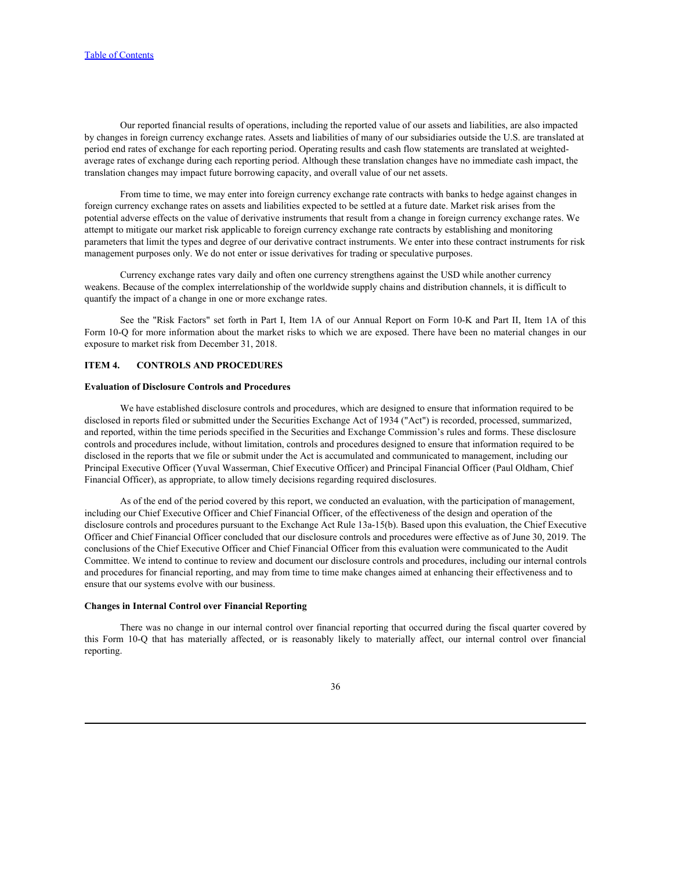Our reported financial results of operations, including the reported value of our assets and liabilities, are also impacted by changes in foreign currency exchange rates. Assets and liabilities of many of our subsidiaries outside the U.S. are translated at period end rates of exchange for each reporting period. Operating results and cash flow statements are translated at weightedaverage rates of exchange during each reporting period. Although these translation changes have no immediate cash impact, the translation changes may impact future borrowing capacity, and overall value of our net assets.

From time to time, we may enter into foreign currency exchange rate contracts with banks to hedge against changes in foreign currency exchange rates on assets and liabilities expected to be settled at a future date. Market risk arises from the potential adverse effects on the value of derivative instruments that result from a change in foreign currency exchange rates. We attempt to mitigate our market risk applicable to foreign currency exchange rate contracts by establishing and monitoring parameters that limit the types and degree of our derivative contract instruments. We enter into these contract instruments for risk management purposes only. We do not enter or issue derivatives for trading or speculative purposes.

Currency exchange rates vary daily and often one currency strengthens against the USD while another currency weakens. Because of the complex interrelationship of the worldwide supply chains and distribution channels, it is difficult to quantify the impact of a change in one or more exchange rates.

See the "Risk Factors" set forth in Part I, Item 1A of our Annual Report on Form 10-K and Part II, Item 1A of this Form 10-Q for more information about the market risks to which we are exposed. There have been no material changes in our exposure to market risk from December 31, 2018.

## <span id="page-36-0"></span>**ITEM 4. CONTROLS AND PROCEDURES**

#### **Evaluation of Disclosure Controls and Procedures**

We have established disclosure controls and procedures, which are designed to ensure that information required to be disclosed in reports filed or submitted under the Securities Exchange Act of 1934 ("Act") is recorded, processed, summarized, and reported, within the time periods specified in the Securities and Exchange Commission's rules and forms. These disclosure controls and procedures include, without limitation, controls and procedures designed to ensure that information required to be disclosed in the reports that we file or submit under the Act is accumulated and communicated to management, including our Principal Executive Officer (Yuval Wasserman, Chief Executive Officer) and Principal Financial Officer (Paul Oldham, Chief Financial Officer), as appropriate, to allow timely decisions regarding required disclosures.

As of the end of the period covered by this report, we conducted an evaluation, with the participation of management, including our Chief Executive Officer and Chief Financial Officer, of the effectiveness of the design and operation of the disclosure controls and procedures pursuant to the Exchange Act Rule 13a-15(b). Based upon this evaluation, the Chief Executive Officer and Chief Financial Officer concluded that our disclosure controls and procedures were effective as of June 30, 2019. The conclusions of the Chief Executive Officer and Chief Financial Officer from this evaluation were communicated to the Audit Committee. We intend to continue to review and document our disclosure controls and procedures, including our internal controls and procedures for financial reporting, and may from time to time make changes aimed at enhancing their effectiveness and to ensure that our systems evolve with our business. the this form content of the content of the the form of the content of the state and the content of the content of the content of the content of the content of the content of the state of the content of the state of the co

#### **Changes in Internal Control over Financial Reporting**

There was no change in our internal control over financial reporting that occurred during the fiscal quarter covered by reporting.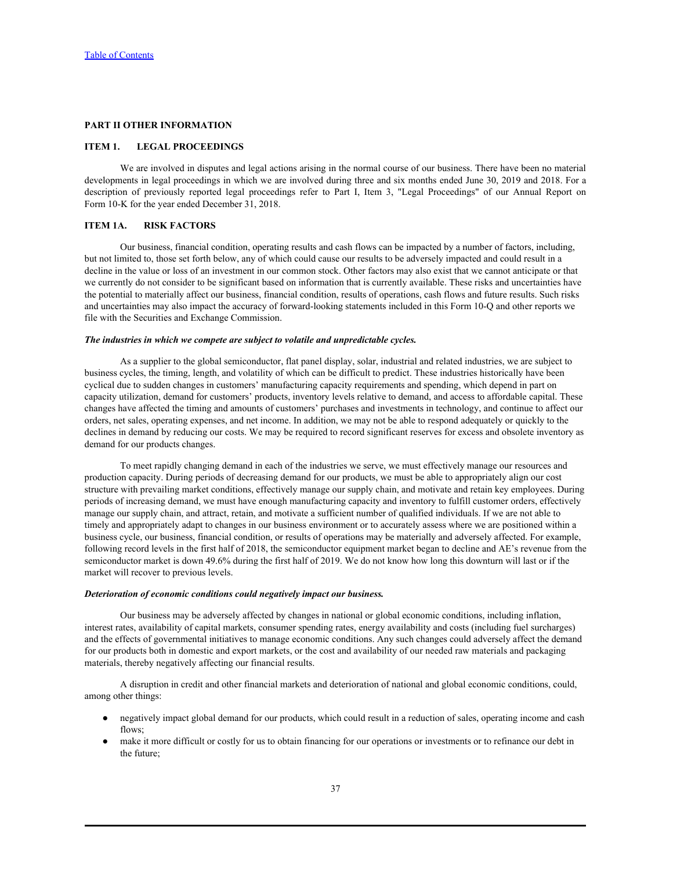## <span id="page-37-0"></span>**PART II OTHER INFORMATION**

## <span id="page-37-1"></span>**ITEM 1. LEGAL PROCEEDINGS**

We are involved in disputes and legal actions arising in the normal course of our business. There have been no material developments in legal proceedings in which we are involved during three and six months ended June 30, 2019 and 2018. For a Tableof Contents<br> **ETEM 1.** LEGAL PROCEEDINGS<br>
We are involved in disputes and legal actions arising in the normal course of our business. There have been no material<br>
developments in legal proceedings in which we are inv Form 10-K for the year ended December 31, 2018.

## <span id="page-37-2"></span>**ITEM 1A. RISK FACTORS**

Our business, financial condition, operating results and cash flows can be impacted by a number of factors, including, but not limited to, those set forth below, any of which could cause our results to be adversely impacted and could result in a decline in the value or loss of an investment in our common stock. Other factors may also exist that we cannot anticipate or that we currently do not consider to be significant based on information that is currently available. These risks and uncertainties have the potential to materially affect our business, financial condition, results of operations, cash flows and future results. Such risks and uncertainties may also impact the accuracy of forward-looking statements included in this Form 10-Q and other reports we file with the Securities and Exchange Commission.

#### *The industries in which we compete are subject to volatile and unpredictable cycles.*

As a supplier to the global semiconductor, flat panel display, solar, industrial and related industries, we are subject to business cycles, the timing, length, and volatility of which can be difficult to predict. These industries historically have been cyclical due to sudden changes in customers' manufacturing capacity requirements and spending, which depend in part on capacity utilization, demand for customers' products, inventory levels relative to demand, and access to affordable capital. These changes have affected the timing and amounts of customers' purchases and investments in technology, and continue to affect our orders, net sales, operating expenses, and net income. In addition, we may not be able to respond adequately or quickly to the declines in demand by reducing our costs. We may be required to record significant reserves for excess and obsolete inventory as demand for our products changes.

To meet rapidly changing demand in each of the industries we serve, we must effectively manage our resources and production capacity. During periods of decreasing demand for our products, we must be able to appropriately align our cost structure with prevailing market conditions, effectively manage our supply chain, and motivate and retain key employees. During periods of increasing demand, we must have enough manufacturing capacity and inventory to fulfill customer orders, effectively manage our supply chain, and attract, retain, and motivate a sufficient number of qualified individuals. If we are not able to timely and appropriately adapt to changes in our business environment or to accurately assess where we are positioned within a business cycle, our business, financial condition, or results of operations may be materially and adversely affected. For example, following record levels in the first half of 2018, the semiconductor equipment market began to decline and AE's revenue from the semiconductor market is down 49.6% during the first half of 2019. We do not know how long this downturn will last or if the market will recover to previous levels.

#### *Deterioration of economic conditions could negatively impact our business.*

Our business may be adversely affected by changes in national or global economic conditions, including inflation, interest rates, availability of capital markets, consumer spending rates, energy availability and costs (including fuel surcharges) and the effects of governmental initiatives to manage economic conditions. Any such changes could adversely affect the demand for our products both in domestic and export markets, or the cost and availability of our needed raw materials and packaging materials, thereby negatively affecting our financial results.

A disruption in credit and other financial markets and deterioration of national and global economic conditions, could, among other things:

- negatively impact global demand for our products, which could result in a reduction of sales, operating income and cash flows:
- make it more difficult or costly for us to obtain financing for our operations or investments or to refinance our debt in the future;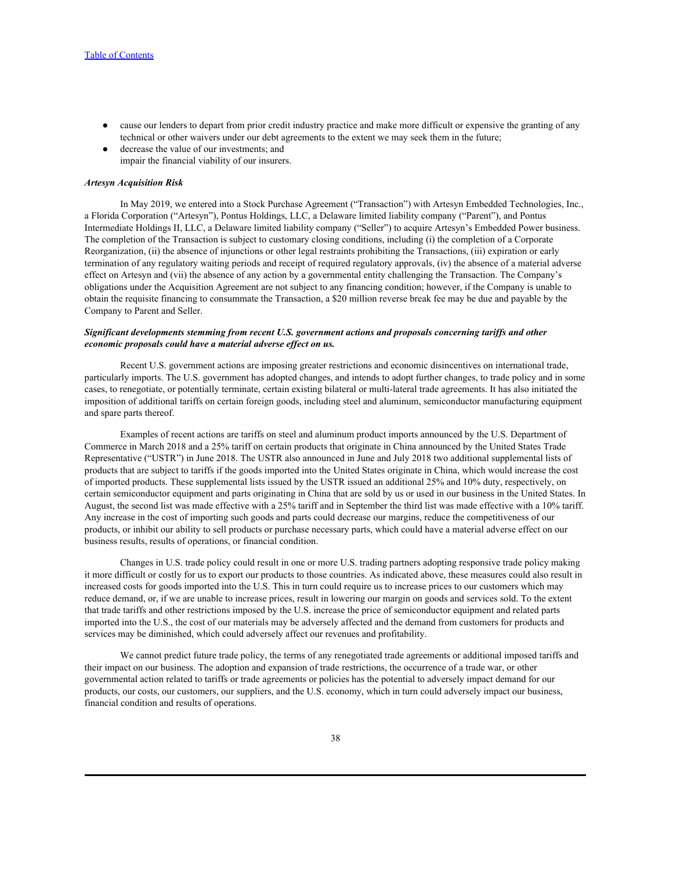- cause our lenders to depart from prior credit industry practice and make more difficult or expensive the granting of any technical or other waivers under our debt agreements to the extent we may seek them in the future;
- decrease the value of our investments; and impair the financial viability of our insurers.

#### *Artesyn Acquisition Risk*

In May 2019, we entered into a Stock Purchase Agreement ("Transaction") with Artesyn Embedded Technologies, Inc., a Florida Corporation ("Artesyn"), Pontus Holdings, LLC, a Delaware limited liability company ("Parent"), and Pontus Intermediate Holdings II, LLC, a Delaware limited liability company ("Seller") to acquire Artesyn's Embedded Power business. The completion of the Transaction is subject to customary closing conditions, including (i) the completion of a Corporate Reorganization, (ii) the absence of injunctions or other legal restraints prohibiting the Transactions, (iii) expiration or early termination of any regulatory waiting periods and receipt of required regulatory approvals, (iv) the absence of a material adverse effect on Artesyn and (vii) the absence of any action by a governmental entity challenging the Transaction. The Company's obligations under the Acquisition Agreement are not subject to any financing condition; however, if the Company is unable to obtain the requisite financing to consummate the Transaction, a \$20 million reverse break fee may be due and payable by the Company to Parent and Seller.

## *Significant developments stemming from recent U.S. government actions and proposals concerning tariffs and other economic proposals could have a material adverse effect on us.*

Recent U.S. government actions are imposing greater restrictions and economic disincentives on international trade, particularly imports. The U.S. government has adopted changes, and intends to adopt further changes, to trade policy and in some cases, to renegotiate, or potentially terminate, certain existing bilateral or multi-lateral trade agreements. It has also initiated the imposition of additional tariffs on certain foreign goods, including steel and aluminum, semiconductor manufacturing equipment and spare parts thereof.

Examples of recent actions are tariffs on steel and aluminum product imports announced by the U.S. Department of Commerce in March 2018 and a 25% tariff on certain products that originate in China announced by the United States Trade Representative ("USTR") in June 2018. The USTR also announced in June and July 2018 two additional supplemental lists of products that are subject to tariffs if the goods imported into the United States originate in China, which would increase the cost of imported products. These supplemental lists issued by the USTR issued an additional 25% and 10% duty, respectively, on certain semiconductor equipment and parts originating in China that are sold by us or used in our business in the United States. In August, the second list was made effective with a 25% tariff and in September the third list was made effective with a 10% tariff. Any increase in the cost of importing such goods and parts could decrease our margins, reduce the competitiveness of our products, or inhibit our ability to sell products or purchase necessary parts, which could have a material adverse effect on our business results, results of operations, or financial condition.

Changes in U.S. trade policy could result in one or more U.S. trading partners adopting responsive trade policy making it more difficult or costly for us to export our products to those countries. As indicated above, these measures could also result in increased costs for goods imported into the U.S. This in turn could require us to increase prices to our customers which may reduce demand, or, if we are unable to increase prices, result in lowering our margin on goods and services sold. To the extent that trade tariffs and other restrictions imposed by the U.S. increase the price of semiconductor equipment and related parts imported into the U.S., the cost of our materials may be adversely affected and the demand from customers for products and services may be diminished, which could adversely affect our revenues and profitability.

We cannot predict future trade policy, the terms of any renegotiated trade agreements or additional imposed tariffs and their impact on our business. The adoption and expansion of trade restrictions, the occurrence of a trade war, or other governmental action related to tariffs or trade agreements or policies has the potential to adversely impact demand for our products, our costs, our customers, our suppliers, and the U.S. economy, which in turn could adversely impact our business, financial condition and results of operations.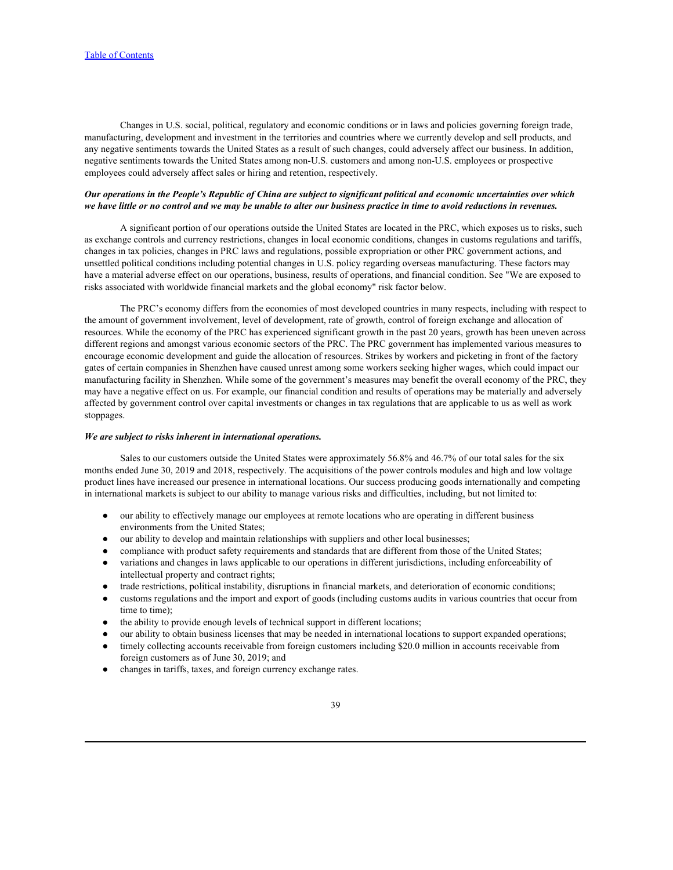Changes in U.S. social, political, regulatory and economic conditions or in laws and policies governing foreign trade, manufacturing, development and investment in the territories and countries where we currently develop and sell products, and any negative sentiments towards the United States as a result of such changes, could adversely affect our business. In addition, negative sentiments towards the United States among non-U.S. customers and among non-U.S. employees or prospective employees could adversely affect sales or hiring and retention, respectively.

## *Our operations in the People's Republic of China are subject to significant political and economic uncertainties over which we have little or no control and we may be unable to alter our business practice in time to avoid reductions in revenues.*

A significant portion of our operations outside the United States are located in the PRC, which exposes us to risks, such as exchange controls and currency restrictions, changes in local economic conditions, changes in customs regulations and tariffs, changes in tax policies, changes in PRC laws and regulations, possible expropriation or other PRC government actions, and unsettled political conditions including potential changes in U.S. policy regarding overseas manufacturing. These factors may have a material adverse effect on our operations, business, results of operations, and financial condition. See "We are exposed to risks associated with worldwide financial markets and the global economy" risk factor below.

The PRC's economy differs from the economies of most developed countries in many respects, including with respect to the amount of government involvement, level of development, rate of growth, control of foreign exchange and allocation of resources. While the economy of the PRC has experienced significant growth in the past 20 years, growth has been uneven across different regions and amongst various economic sectors of the PRC. The PRC government has implemented various measures to encourage economic development and guide the allocation of resources. Strikes by workers and picketing in front of the factory gates of certain companies in Shenzhen have caused unrest among some workers seeking higher wages, which could impact our manufacturing facility in Shenzhen. While some of the government's measures may benefit the overall economy of the PRC, they may have a negative effect on us. For example, our financial condition and results of operations may be materially and adversely affected by government control over capital investments or changes in tax regulations that are applicable to us as well as work stoppages.

#### *We are subject to risks inherent in international operations.*

Sales to our customers outside the United States were approximately 56.8% and 46.7% of our total sales for the six months ended June 30, 2019 and 2018, respectively. The acquisitions of the power controls modules and high and low voltage product lines have increased our presence in international locations. Our success producing goods internationally and competing in international markets is subject to our ability to manage various risks and difficulties, including, but not limited to:

- our ability to effectively manage our employees at remote locations who are operating in different business environments from the United States;
- our ability to develop and maintain relationships with suppliers and other local businesses;
- compliance with product safety requirements and standards that are different from those of the United States;
- variations and changes in laws applicable to our operations in different jurisdictions, including enforceability of intellectual property and contract rights;
- trade restrictions, political instability, disruptions in financial markets, and deterioration of economic conditions;
- customs regulations and the import and export of goods (including customs audits in various countries that occur from time to time);
- the ability to provide enough levels of technical support in different locations;
- our ability to obtain business licenses that may be needed in international locations to support expanded operations;
- timely collecting accounts receivable from foreign customers including \$20.0 million in accounts receivable from foreign customers as of June 30, 2019; and
- changes in tariffs, taxes, and foreign currency exchange rates.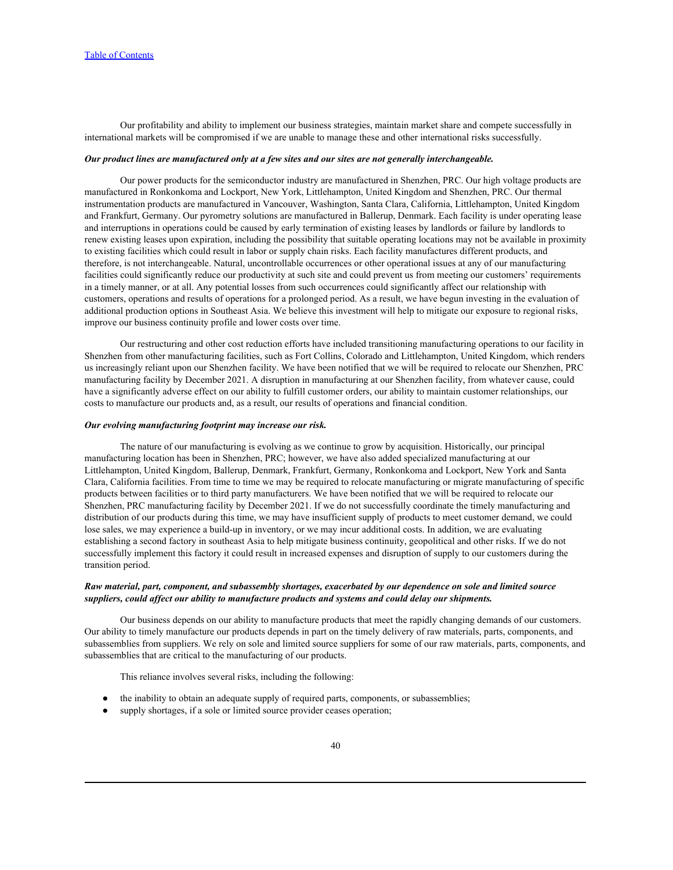Our profitability and ability to implement our business strategies, maintain market share and compete successfully in international markets will be compromised if we are unable to manage these and other international risks successfully.

#### *Our product lines are manufactured only at a few sites and our sites are not generally interchangeable.*

Our power products for the semiconductor industry are manufactured in Shenzhen, PRC. Our high voltage products are manufactured in Ronkonkoma and Lockport, New York, Littlehampton, United Kingdom and Shenzhen, PRC. Our thermal instrumentation products are manufactured in Vancouver, Washington, Santa Clara, California, Littlehampton, United Kingdom and Frankfurt, Germany. Our pyrometry solutions are manufactured in Ballerup, Denmark. Each facility is under operating lease and interruptions in operations could be caused by early termination of existing leases by landlords or failure by landlords to renew existing leases upon expiration, including the possibility that suitable operating locations may not be available in proximity to existing facilities which could result in labor or supply chain risks. Each facility manufactures different products, and therefore, is not interchangeable. Natural, uncontrollable occurrences or other operational issues at any of our manufacturing facilities could significantly reduce our productivity at such site and could prevent us from meeting our customers' requirements in a timely manner, or at all. Any potential losses from such occurrences could significantly affect our relationship with customers, operations and results of operations for a prolonged period. As a result, we have begun investing in the evaluation of additional production options in Southeast Asia. We believe this investment will help to mitigate our exposure to regional risks, improve our business continuity profile and lower costs over time.

Our restructuring and other cost reduction efforts have included transitioning manufacturing operations to our facility in Shenzhen from other manufacturing facilities, such as Fort Collins, Colorado and Littlehampton, United Kingdom, which renders us increasingly reliant upon our Shenzhen facility. We have been notified that we will be required to relocate our Shenzhen, PRC manufacturing facility by December 2021. A disruption in manufacturing at our Shenzhen facility, from whatever cause, could have a significantly adverse effect on our ability to fulfill customer orders, our ability to maintain customer relationships, our costs to manufacture our products and, as a result, our results of operations and financial condition.

#### *Our evolving manufacturing footprint may increase our risk.*

The nature of our manufacturing is evolving as we continue to grow by acquisition. Historically, our principal manufacturing location has been in Shenzhen, PRC; however, we have also added specialized manufacturing at our Littlehampton, United Kingdom, Ballerup, Denmark, Frankfurt, Germany, Ronkonkoma and Lockport, New York and Santa Clara, California facilities. From time to time we may be required to relocate manufacturing or migrate manufacturing of specific products between facilities or to third party manufacturers. We have been notified that we will be required to relocate our Shenzhen, PRC manufacturing facility by December 2021. If we do not successfully coordinate the timely manufacturing and distribution of our products during this time, we may have insufficient supply of products to meet customer demand, we could lose sales, we may experience a build-up in inventory, or we may incur additional costs. In addition, we are evaluating establishing a second factory in southeast Asia to help mitigate business continuity, geopolitical and other risks. If we do not successfully implement this factory it could result in increased expenses and disruption of supply to our customers during the transition period.

## *Raw material, part, component, and subassembly shortages, exacerbated by our dependence on sole and limited source suppliers, could affect our ability to manufacture products and systems and could delay our shipments.*

Our business depends on our ability to manufacture products that meet the rapidly changing demands of our customers. Our ability to timely manufacture our products depends in part on the timely delivery of raw materials, parts, components, and subassemblies from suppliers. We rely on sole and limited source suppliers for some of our raw materials, parts, components, and subassemblies that are critical to the manufacturing of our products.

This reliance involves several risks, including the following:

- the inability to obtain an adequate supply of required parts, components, or subassemblies;
- supply shortages, if a sole or limited source provider ceases operation;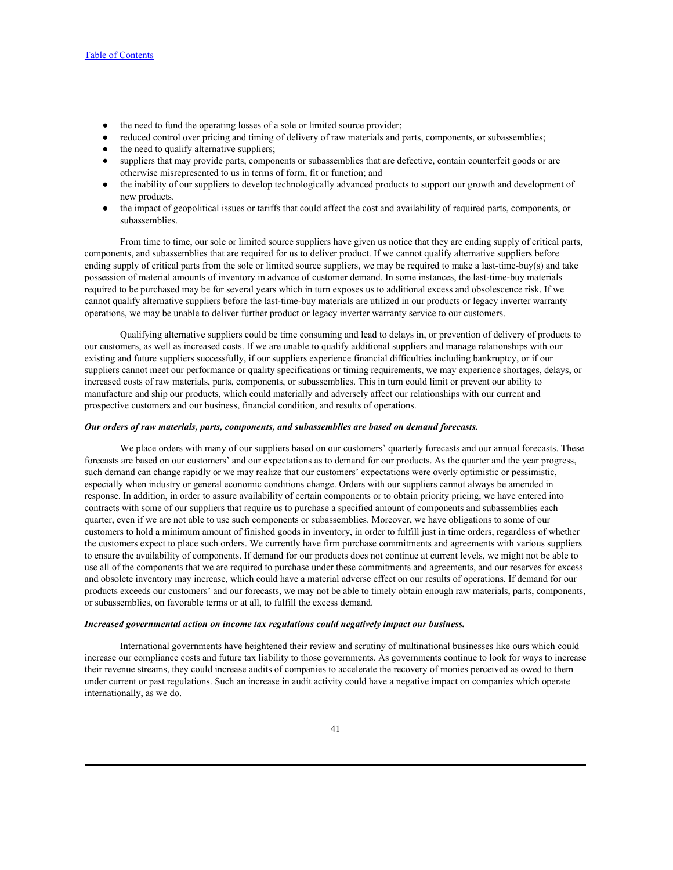- the need to fund the operating losses of a sole or limited source provider;
- reduced control over pricing and timing of delivery of raw materials and parts, components, or subassemblies;
- the need to qualify alternative suppliers;
- suppliers that may provide parts, components or subassemblies that are defective, contain counterfeit goods or are otherwise misrepresented to us in terms of form, fit or function; and
- the inability of our suppliers to develop technologically advanced products to support our growth and development of new products.
- the impact of geopolitical issues or tariffs that could affect the cost and availability of required parts, components, or subassemblies.

From time to time, our sole or limited source suppliers have given us notice that they are ending supply of critical parts, components, and subassemblies that are required for us to deliver product. If we cannot qualify alternative suppliers before ending supply of critical parts from the sole or limited source suppliers, we may be required to make a last-time-buy(s) and take possession of material amounts of inventory in advance of customer demand. In some instances, the last-time-buy materials required to be purchased may be for several years which in turn exposes us to additional excess and obsolescence risk. If we cannot qualify alternative suppliers before the last-time-buy materials are utilized in our products or legacy inverter warranty operations, we may be unable to deliver further product or legacy inverter warranty service to our customers.

Qualifying alternative suppliers could be time consuming and lead to delays in, or prevention of delivery of products to our customers, as well as increased costs. If we are unable to qualify additional suppliers and manage relationships with our existing and future suppliers successfully, if our suppliers experience financial difficulties including bankruptcy, or if our suppliers cannot meet our performance or quality specifications or timing requirements, we may experience shortages, delays, or increased costs of raw materials, parts, components, or subassemblies. This in turn could limit or prevent our ability to manufacture and ship our products, which could materially and adversely affect our relationships with our current and prospective customers and our business, financial condition, and results of operations.

#### *Our orders of raw materials, parts, components, and subassemblies are based on demand forecasts.*

We place orders with many of our suppliers based on our customers' quarterly forecasts and our annual forecasts. These forecasts are based on our customers' and our expectations as to demand for our products. As the quarter and the year progress, such demand can change rapidly or we may realize that our customers' expectations were overly optimistic or pessimistic, especially when industry or general economic conditions change. Orders with our suppliers cannot always be amended in response. In addition, in order to assure availability of certain components or to obtain priority pricing, we have entered into contracts with some of our suppliers that require us to purchase a specified amount of components and subassemblies each quarter, even if we are not able to use such components or subassemblies. Moreover, we have obligations to some of our customers to hold a minimum amount of finished goods in inventory, in order to fulfill just in time orders, regardless of whether the customers expect to place such orders. We currently have firm purchase commitments and agreements with various suppliers to ensure the availability of components. If demand for our products does not continue at current levels, we might not be able to use all of the components that we are required to purchase under these commitments and agreements, and our reserves for excess and obsolete inventory may increase, which could have a material adverse effect on our results of operations. If demand for our products exceeds our customers' and our forecasts, we may not be able to timely obtain enough raw materials, parts, components, or subassemblies, on favorable terms or at all, to fulfill the excess demand.

#### *Increased governmental action on income tax regulations could negatively impact our business.*

International governments have heightened their review and scrutiny of multinational businesses like ours which could increase our compliance costs and future tax liability to those governments. As governments continue to look for ways to increase their revenue streams, they could increase audits of companies to accelerate the recovery of monies perceived as owed to them under current or past regulations. Such an increase in audit activity could have a negative impact on companies which operate internationally, as we do.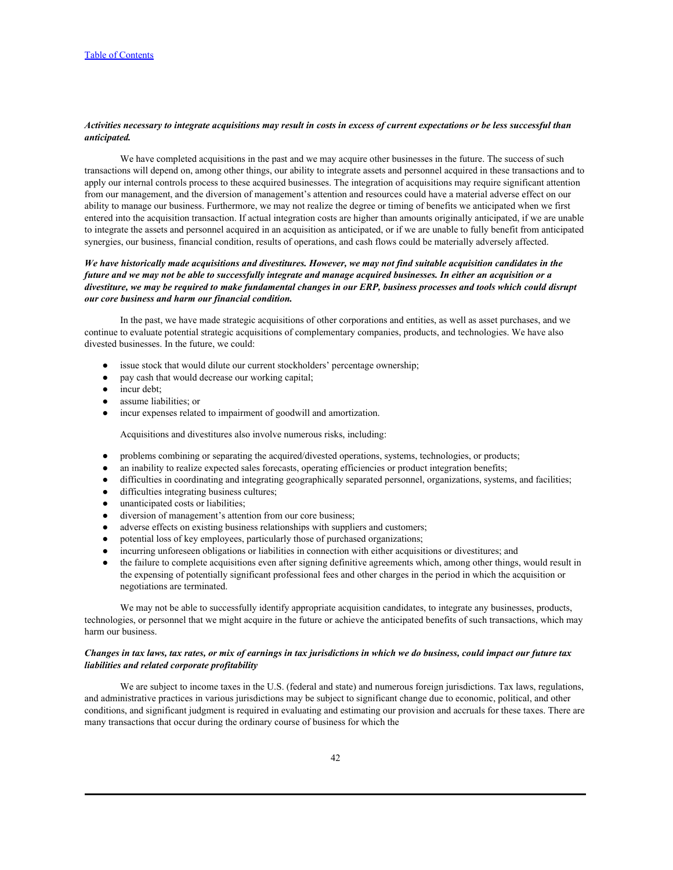## *Activities necessary to integrate acquisitions may result in costs in excess of current expectations or be less successful than anticipated.*

We have completed acquisitions in the past and we may acquire other businesses in the future. The success of such transactions will depend on, among other things, our ability to integrate assets and personnel acquired in these transactions and to apply our internal controls process to these acquired businesses. The integration of acquisitions may require significant attention from our management, and the diversion of management's attention and resources could have a material adverse effect on our ability to manage our business. Furthermore, we may not realize the degree or timing of benefits we anticipated when we first entered into the acquisition transaction. If actual integration costs are higher than amounts originally anticipated, if we are unable to integrate the assets and personnel acquired in an acquisition as anticipated, or if we are unable to fully benefit from anticipated synergies, our business, financial condition, results of operations, and cash flows could be materially adversely affected.

## *We have historically made acquisitions and divestitures. However, we may not find suitable acquisition candidates in the future and we may not be able to successfully integrate and manage acquired businesses. In either an acquisition or a divestiture, we may be required to make fundamental changes in our ERP, business processes and tools which could disrupt our core business and harm our financial condition.*

In the past, we have made strategic acquisitions of other corporations and entities, as well as asset purchases, and we continue to evaluate potential strategic acquisitions of complementary companies, products, and technologies. We have also divested businesses. In the future, we could:

- issue stock that would dilute our current stockholders' percentage ownership;
- pay cash that would decrease our working capital;
- incur debt:
- assume liabilities; or
- incur expenses related to impairment of goodwill and amortization.

Acquisitions and divestitures also involve numerous risks, including:

- problems combining or separating the acquired/divested operations, systems, technologies, or products;
- an inability to realize expected sales forecasts, operating efficiencies or product integration benefits;
- difficulties in coordinating and integrating geographically separated personnel, organizations, systems, and facilities;
- difficulties integrating business cultures;
- unanticipated costs or liabilities;
- diversion of management's attention from our core business;
- adverse effects on existing business relationships with suppliers and customers;
- potential loss of key employees, particularly those of purchased organizations;
- incurring unforeseen obligations or liabilities in connection with either acquisitions or divestitures; and
- the failure to complete acquisitions even after signing definitive agreements which, among other things, would result in the expensing of potentially significant professional fees and other charges in the period in which the acquisition or negotiations are terminated.

We may not be able to successfully identify appropriate acquisition candidates, to integrate any businesses, products, technologies, or personnel that we might acquire in the future or achieve the anticipated benefits of such transactions, which may harm our business.

## *Changes in tax laws, tax rates, or mix of earnings in tax jurisdictions in which we do business, could impact our future tax liabilities and related corporate profitability*

We are subject to income taxes in the U.S. (federal and state) and numerous foreign jurisdictions. Tax laws, regulations, and administrative practices in various jurisdictions may be subject to significant change due to economic, political, and other conditions, and significant judgment is required in evaluating and estimating our provision and accruals for these taxes. There are many transactions that occur during the ordinary course of business for which the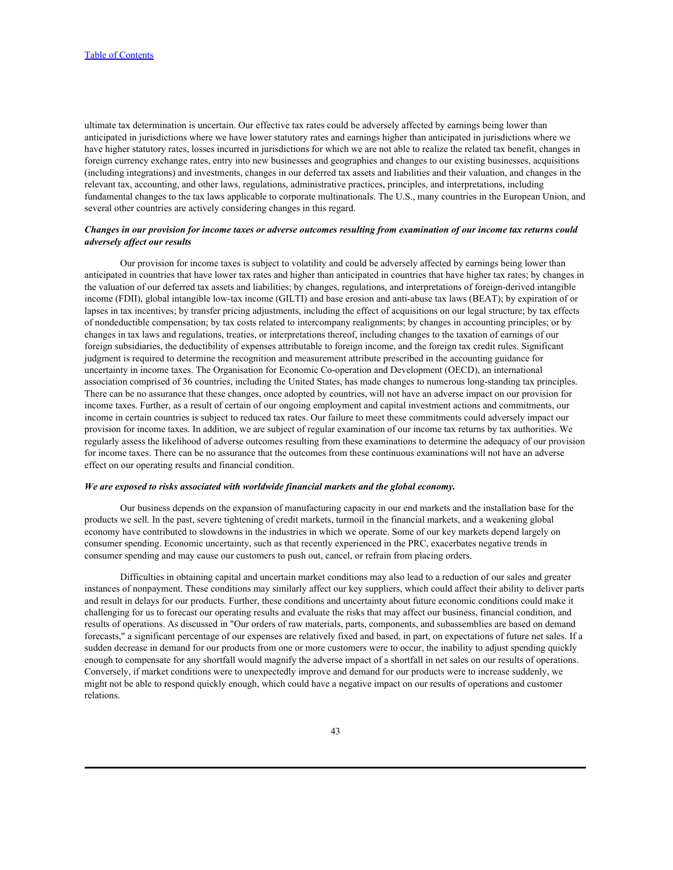ultimate tax determination is uncertain. Our effective tax rates could be adversely affected by earnings being lower than anticipated in jurisdictions where we have lower statutory rates and earnings higher than anticipated in jurisdictions where we have higher statutory rates, losses incurred in jurisdictions for which we are not able to realize the related tax benefit, changes in foreign currency exchange rates, entry into new businesses and geographies and changes to our existing businesses, acquisitions (including integrations) and investments, changes in our deferred tax assets and liabilities and their valuation, and changes in the relevant tax, accounting, and other laws, regulations, administrative practices, principles, and interpretations, including fundamental changes to the tax laws applicable to corporate multinationals. The U.S., many countries in the European Union, and several other countries are actively considering changes in this regard.

## *Changes in our provision for income taxes or adverse outcomes resulting from examination of our income tax returns could adversely affect our results*

Our provision for income taxes is subject to volatility and could be adversely affected by earnings being lower than anticipated in countries that have lower tax rates and higher than anticipated in countries that have higher tax rates; by changes in the valuation of our deferred tax assets and liabilities; by changes, regulations, and interpretations of foreign-derived intangible income (FDII), global intangible low-tax income (GILTI) and base erosion and anti-abuse tax laws (BEAT); by expiration of or lapses in tax incentives; by transfer pricing adjustments, including the effect of acquisitions on our legal structure; by tax effects of nondeductible compensation; by tax costs related to intercompany realignments; by changes in accounting principles; or by changes in tax laws and regulations, treaties, or interpretations thereof, including changes to the taxation of earnings of our foreign subsidiaries, the deductibility of expenses attributable to foreign income, and the foreign tax credit rules. Significant judgment is required to determine the recognition and measurement attribute prescribed in the accounting guidance for uncertainty in income taxes. The Organisation for Economic Co-operation and Development (OECD), an international association comprised of 36 countries, including the United States, has made changes to numerous long-standing tax principles. There can be no assurance that these changes, once adopted by countries, will not have an adverse impact on our provision for income taxes. Further, as a result of certain of our ongoing employment and capital investment actions and commitments, our income in certain countries is subject to reduced tax rates. Our failure to meet these commitments could adversely impact our provision for income taxes. In addition, we are subject of regular examination of our income tax returns by tax authorities. We regularly assess the likelihood of adverse outcomes resulting from these examinations to determine the adequacy of our provision for income taxes. There can be no assurance that the outcomes from these continuous examinations will not have an adverse effect on our operating results and financial condition.

#### *We are exposed to risks associated with worldwide financial markets and the global economy.*

Our business depends on the expansion of manufacturing capacity in our end markets and the installation base for the products we sell. In the past, severe tightening of credit markets, turmoil in the financial markets, and a weakening global economy have contributed to slowdowns in the industries in which we operate. Some of our key markets depend largely on consumer spending. Economic uncertainty, such as that recently experienced in the PRC, exacerbates negative trends in consumer spending and may cause our customers to push out, cancel, or refrain from placing orders.

Difficulties in obtaining capital and uncertain market conditions may also lead to a reduction of our sales and greater instances of nonpayment. These conditions may similarly affect our key suppliers, which could affect their ability to deliver parts and result in delays for our products. Further, these conditions and uncertainty about future economic conditions could make it challenging for us to forecast our operating results and evaluate the risks that may affect our business, financial condition, and results of operations. As discussed in "Our orders of raw materials, parts, components, and subassemblies are based on demand forecasts," a significant percentage of our expenses are relatively fixed and based, in part, on expectations of future net sales. If a sudden decrease in demand for our products from one or more customers were to occur, the inability to adjust spending quickly enough to compensate for any shortfall would magnify the adverse impact of a shortfall in net sales on our results of operations. Conversely, if market conditions were to unexpectedly improve and demand for our products were to increase suddenly, we might not be able to respond quickly enough, which could have a negative impact on our results of operations and customer relations.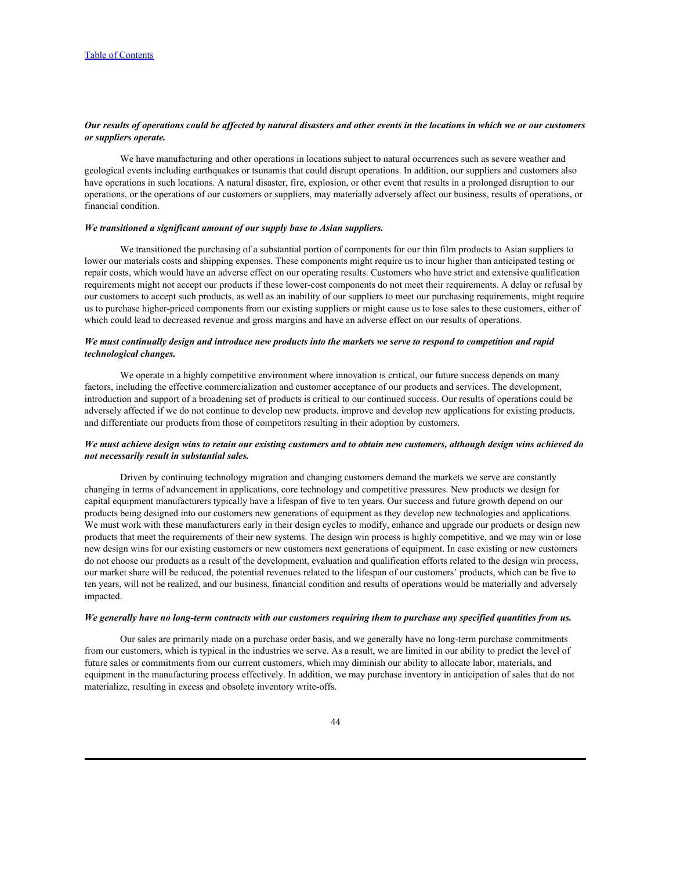## *Our results of operations could be affected by natural disasters and other events in the locations in which we or our customers or suppliers operate.*

We have manufacturing and other operations in locations subject to natural occurrences such as severe weather and geological events including earthquakes or tsunamis that could disrupt operations. In addition, our suppliers and customers also have operations in such locations. A natural disaster, fire, explosion, or other event that results in a prolonged disruption to our operations, or the operations of our customers or suppliers, may materially adversely affect our business, results of operations, or financial condition.

#### *We transitioned a significant amount of our supply base to Asian suppliers.*

We transitioned the purchasing of a substantial portion of components for our thin film products to Asian suppliers to lower our materials costs and shipping expenses. These components might require us to incur higher than anticipated testing or repair costs, which would have an adverse effect on our operating results. Customers who have strict and extensive qualification requirements might not accept our products if these lower-cost components do not meet their requirements. A delay or refusal by our customers to accept such products, as well as an inability of our suppliers to meet our purchasing requirements, might require us to purchase higher-priced components from our existing suppliers or might cause us to lose sales to these customers, either of which could lead to decreased revenue and gross margins and have an adverse effect on our results of operations.

## *We must continually design and introduce new products into the markets we serve to respond to competition and rapid technological changes.*

We operate in a highly competitive environment where innovation is critical, our future success depends on many factors, including the effective commercialization and customer acceptance of our products and services. The development, introduction and support of a broadening set of products is critical to our continued success. Our results of operations could be adversely affected if we do not continue to develop new products, improve and develop new applications for existing products, and differentiate our products from those of competitors resulting in their adoption by customers.

## *We must achieve design wins to retain our existing customers and to obtain new customers, although design wins achieved do not necessarily result in substantial sales.*

Driven by continuing technology migration and changing customers demand the markets we serve are constantly changing in terms of advancement in applications, core technology and competitive pressures. New products we design for capital equipment manufacturers typically have a lifespan of five to ten years. Our success and future growth depend on our products being designed into our customers new generations of equipment as they develop new technologies and applications. We must work with these manufacturers early in their design cycles to modify, enhance and upgrade our products or design new products that meet the requirements of their new systems. The design win process is highly competitive, and we may win or lose new design wins for our existing customers or new customers next generations of equipment. In case existing or new customers do not choose our products as a result of the development, evaluation and qualification efforts related to the design win process, our market share will be reduced, the potential revenues related to the lifespan of our customers' products, which can be five to ten years, will not be realized, and our business, financial condition and results of operations would be materially and adversely impacted.

#### *We generally have no long-term contracts with our customers requiring them to purchase any specified quantities from us.*

Our sales are primarily made on a purchase order basis, and we generally have no long-term purchase commitments from our customers, which is typical in the industries we serve. As a result, we are limited in our ability to predict the level of future sales or commitments from our current customers, which may diminish our ability to allocate labor, materials, and equipment in the manufacturing process effectively. In addition, we may purchase inventory in anticipation of sales that do not materialize, resulting in excess and obsolete inventory write-offs.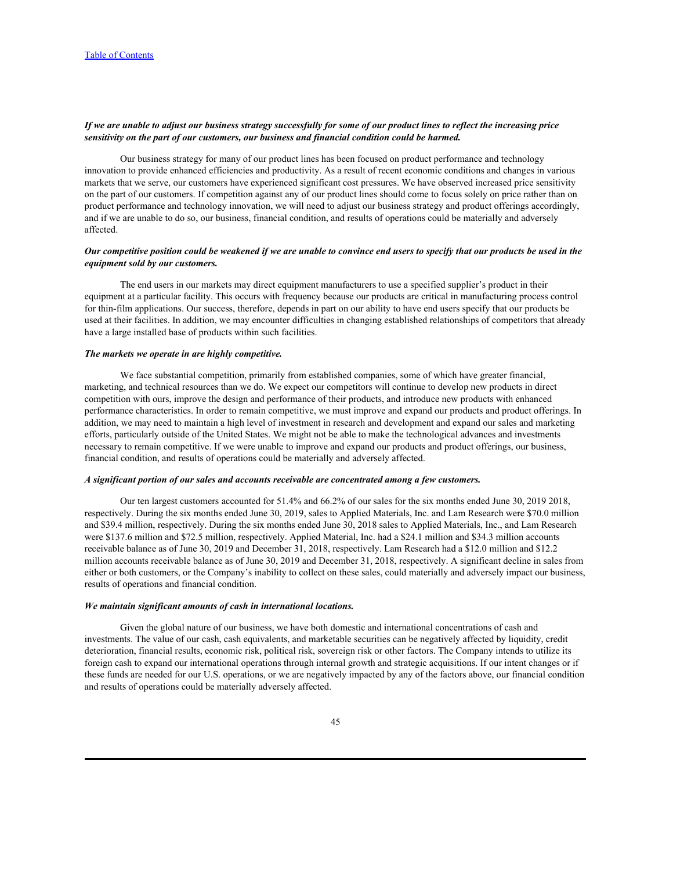## *If we are unable to adjust our business strategy successfully for some of our product lines to reflect the increasing price sensitivity on the part of our customers, our business and financial condition could be harmed.*

Our business strategy for many of our product lines has been focused on product performance and technology innovation to provide enhanced efficiencies and productivity. As a result of recent economic conditions and changes in various markets that we serve, our customers have experienced significant cost pressures. We have observed increased price sensitivity on the part of our customers. If competition against any of our product lines should come to focus solely on price rather than on product performance and technology innovation, we will need to adjust our business strategy and product offerings accordingly, and if we are unable to do so, our business, financial condition, and results of operations could be materially and adversely affected.

## *Our competitive position could be weakened if we are unable to convince end users to specify that our products be used in the equipment sold by our customers.*

The end users in our markets may direct equipment manufacturers to use a specified supplier's product in their equipment at a particular facility. This occurs with frequency because our products are critical in manufacturing process control for thin-film applications. Our success, therefore, depends in part on our ability to have end users specify that our products be used at their facilities. In addition, we may encounter difficulties in changing established relationships of competitors that already have a large installed base of products within such facilities.

#### *The markets we operate in are highly competitive.*

We face substantial competition, primarily from established companies, some of which have greater financial, marketing, and technical resources than we do. We expect our competitors will continue to develop new products in direct competition with ours, improve the design and performance of their products, and introduce new products with enhanced performance characteristics. In order to remain competitive, we must improve and expand our products and product offerings. In addition, we may need to maintain a high level of investment in research and development and expand our sales and marketing efforts, particularly outside of the United States. We might not be able to make the technological advances and investments necessary to remain competitive. If we were unable to improve and expand our products and product offerings, our business, financial condition, and results of operations could be materially and adversely affected.

#### *A significant portion of our sales and accounts receivable are concentrated among a few customers.*

Our ten largest customers accounted for 51.4% and 66.2% of our sales for the six months ended June 30, 2019 2018, respectively. During the six months ended June 30, 2019, sales to Applied Materials, Inc. and Lam Research were \$70.0 million and \$39.4 million, respectively. During the six months ended June 30, 2018 sales to Applied Materials, Inc., and Lam Research were \$137.6 million and \$72.5 million, respectively. Applied Material, Inc. had a \$24.1 million and \$34.3 million accounts receivable balance as of June 30, 2019 and December 31, 2018, respectively. Lam Research had a \$12.0 million and \$12.2 million accounts receivable balance as of June 30, 2019 and December 31, 2018, respectively. A significant decline in sales from either or both customers, or the Company's inability to collect on these sales, could materially and adversely impact our business, results of operations and financial condition.

#### *We maintain significant amounts of cash in international locations.*

Given the global nature of our business, we have both domestic and international concentrations of cash and investments. The value of our cash, cash equivalents, and marketable securities can be negatively affected by liquidity, credit deterioration, financial results, economic risk, political risk, sovereign risk or other factors. The Company intends to utilize its foreign cash to expand our international operations through internal growth and strategic acquisitions. If our intent changes or if these funds are needed for our U.S. operations, or we are negatively impacted by any of the factors above, our financial condition and results of operations could be materially adversely affected.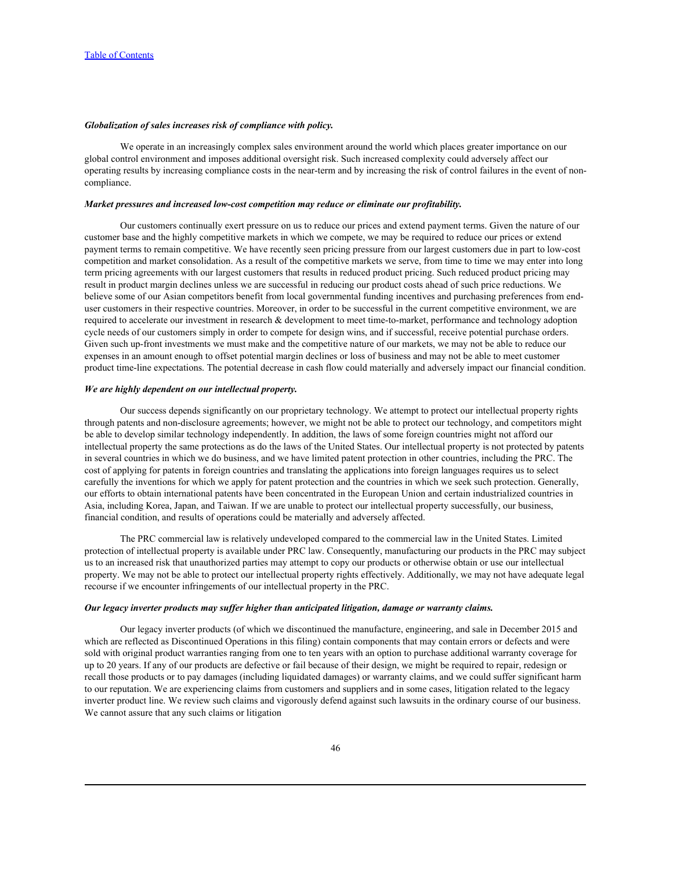# *Globalization of sales increases risk of compliance with policy.*

We operate in an increasingly complex sales environment around the world which places greater importance on our global control environment and imposes additional oversight risk. Such increased complexity could adversely affect our operating results by increasing compliance costs in the near-term and by increasing the risk of control failures in the event of noncompliance.

#### *Market pressures and increased low-cost competition may reduce or eliminate our profitability.*

Our customers continually exert pressure on us to reduce our prices and extend payment terms. Given the nature of our customer base and the highly competitive markets in which we compete, we may be required to reduce our prices or extend payment terms to remain competitive. We have recently seen pricing pressure from our largest customers due in part to low-cost competition and market consolidation. As a result of the competitive markets we serve, from time to time we may enter into long term pricing agreements with our largest customers that results in reduced product pricing. Such reduced product pricing may result in product margin declines unless we are successful in reducing our product costs ahead of such price reductions. We believe some of our Asian competitors benefit from local governmental funding incentives and purchasing preferences from enduser customers in their respective countries. Moreover, in order to be successful in the current competitive environment, we are required to accelerate our investment in research & development to meet time-to-market, performance and technology adoption cycle needs of our customers simply in order to compete for design wins, and if successful, receive potential purchase orders. Given such up-front investments we must make and the competitive nature of our markets, we may not be able to reduce our expenses in an amount enough to offset potential margin declines or loss of business and may not be able to meet customer product time-line expectations. The potential decrease in cash flow could materially and adversely impact our financial condition.

#### *We are highly dependent on our intellectual property.*

Our success depends significantly on our proprietary technology. We attempt to protect our intellectual property rights through patents and non-disclosure agreements; however, we might not be able to protect our technology, and competitors might be able to develop similar technology independently. In addition, the laws of some foreign countries might not afford our intellectual property the same protections as do the laws of the United States. Our intellectual property is not protected by patents in several countries in which we do business, and we have limited patent protection in other countries, including the PRC. The cost of applying for patents in foreign countries and translating the applications into foreign languages requires us to select carefully the inventions for which we apply for patent protection and the countries in which we seek such protection. Generally, our efforts to obtain international patents have been concentrated in the European Union and certain industrialized countries in Asia, including Korea, Japan, and Taiwan. If we are unable to protect our intellectual property successfully, our business, financial condition, and results of operations could be materially and adversely affected.

The PRC commercial law is relatively undeveloped compared to the commercial law in the United States. Limited protection of intellectual property is available under PRC law. Consequently, manufacturing our products in the PRC may subject us to an increased risk that unauthorized parties may attempt to copy our products or otherwise obtain or use our intellectual property. We may not be able to protect our intellectual property rights effectively. Additionally, we may not have adequate legal recourse if we encounter infringements of our intellectual property in the PRC.

#### *Our legacy inverter products may suffer higher than anticipated litigation, damage or warranty claims.*

Our legacy inverter products (of which we discontinued the manufacture, engineering, and sale in December 2015 and which are reflected as Discontinued Operations in this filing) contain components that may contain errors or defects and were sold with original product warranties ranging from one to ten years with an option to purchase additional warranty coverage for up to 20 years. If any of our products are defective or fail because of their design, we might be required to repair, redesign or recall those products or to pay damages (including liquidated damages) or warranty claims, and we could suffer significant harm to our reputation. We are experiencing claims from customers and suppliers and in some cases, litigation related to the legacy inverter product line. We review such claims and vigorously defend against such lawsuits in the ordinary course of our business. We cannot assure that any such claims or litigation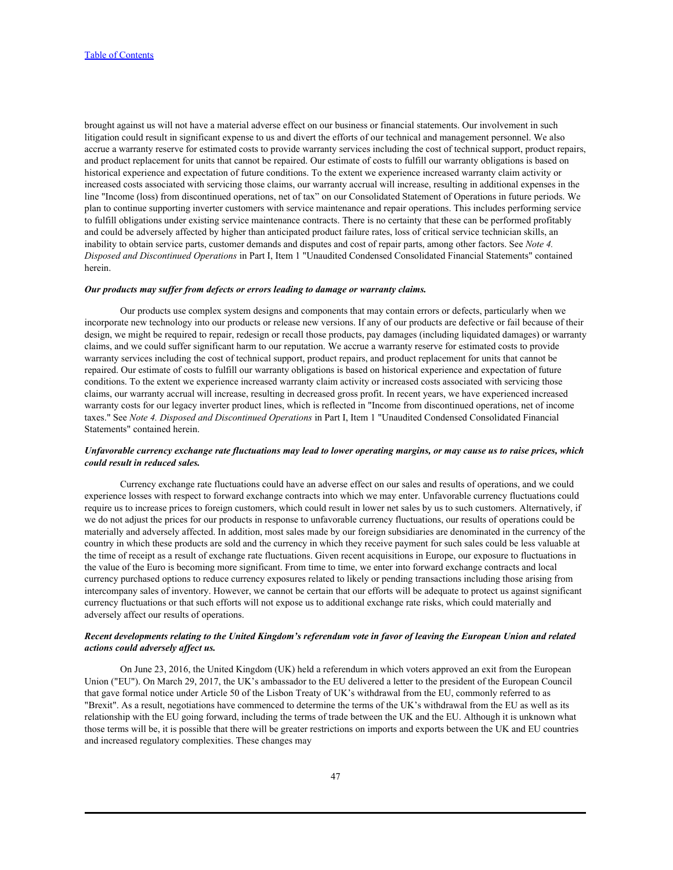brought against us will not have a material adverse effect on our business or financial statements. Our involvement in such litigation could result in significant expense to us and divert the efforts of our technical and management personnel. We also accrue a warranty reserve for estimated costs to provide warranty services including the cost of technical support, product repairs, and product replacement for units that cannot be repaired. Our estimate of costs to fulfill our warranty obligations is based on historical experience and expectation of future conditions. To the extent we experience increased warranty claim activity or increased costs associated with servicing those claims, our warranty accrual will increase, resulting in additional expenses in the line "Income (loss) from discontinued operations, net of tax" on our Consolidated Statement of Operations in future periods. We plan to continue supporting inverter customers with service maintenance and repair operations. This includes performing service to fulfill obligations under existing service maintenance contracts. There is no certainty that these can be performed profitably and could be adversely affected by higher than anticipated product failure rates, loss of critical service technician skills, an inability to obtain service parts, customer demands and disputes and cost of repair parts, among other factors. See *Note 4. Disposed and Discontinued Operations* in Part I, Item 1 "Unaudited Condensed Consolidated Financial Statements" contained herein.

#### *Our products may suffer from defects or errors leading to damage or warranty claims.*

Our products use complex system designs and components that may contain errors or defects, particularly when we incorporate new technology into our products or release new versions. If any of our products are defective or fail because of their design, we might be required to repair, redesign or recall those products, pay damages (including liquidated damages) or warranty claims, and we could suffer significant harm to our reputation. We accrue a warranty reserve for estimated costs to provide warranty services including the cost of technical support, product repairs, and product replacement for units that cannot be repaired. Our estimate of costs to fulfill our warranty obligations is based on historical experience and expectation of future conditions. To the extent we experience increased warranty claim activity or increased costs associated with servicing those claims, our warranty accrual will increase, resulting in decreased gross profit. In recent years, we have experienced increased warranty costs for our legacy inverter product lines, which is reflected in "Income from discontinued operations, net of income taxes." See *Note 4. Disposed and Discontinued Operations* in Part I, Item 1 "Unaudited Condensed Consolidated Financial Statements" contained herein.

## *Unfavorable currency exchange rate fluctuations may lead to lower operating margins, or may cause us to raise prices, which could result in reduced sales.*

Currency exchange rate fluctuations could have an adverse effect on our sales and results of operations, and we could experience losses with respect to forward exchange contracts into which we may enter. Unfavorable currency fluctuations could require us to increase prices to foreign customers, which could result in lower net sales by us to such customers. Alternatively, if we do not adjust the prices for our products in response to unfavorable currency fluctuations, our results of operations could be materially and adversely affected. In addition, most sales made by our foreign subsidiaries are denominated in the currency of the country in which these products are sold and the currency in which they receive payment for such sales could be less valuable at the time of receipt as a result of exchange rate fluctuations. Given recent acquisitions in Europe, our exposure to fluctuations in the value of the Euro is becoming more significant. From time to time, we enter into forward exchange contracts and local currency purchased options to reduce currency exposures related to likely or pending transactions including those arising from intercompany sales of inventory. However, we cannot be certain that our efforts will be adequate to protect us against significant currency fluctuations or that such efforts will not expose us to additional exchange rate risks, which could materially and adversely affect our results of operations.

## *Recent developments relating to the United Kingdom's referendum vote in favor of leaving the European Union and related actions could adversely affect us.*

On June 23, 2016, the United Kingdom (UK) held a referendum in which voters approved an exit from the European Union ("EU"). On March 29, 2017, the UK's ambassador to the EU delivered a letter to the president of the European Council that gave formal notice under Article 50 of the Lisbon Treaty of UK's withdrawal from the EU, commonly referred to as "Brexit". As a result, negotiations have commenced to determine the terms of the UK's withdrawal from the EU as well as its relationship with the EU going forward, including the terms of trade between the UK and the EU. Although it is unknown what those terms will be, it is possible that there will be greater restrictions on imports and exports between the UK and EU countries and increased regulatory complexities. These changes may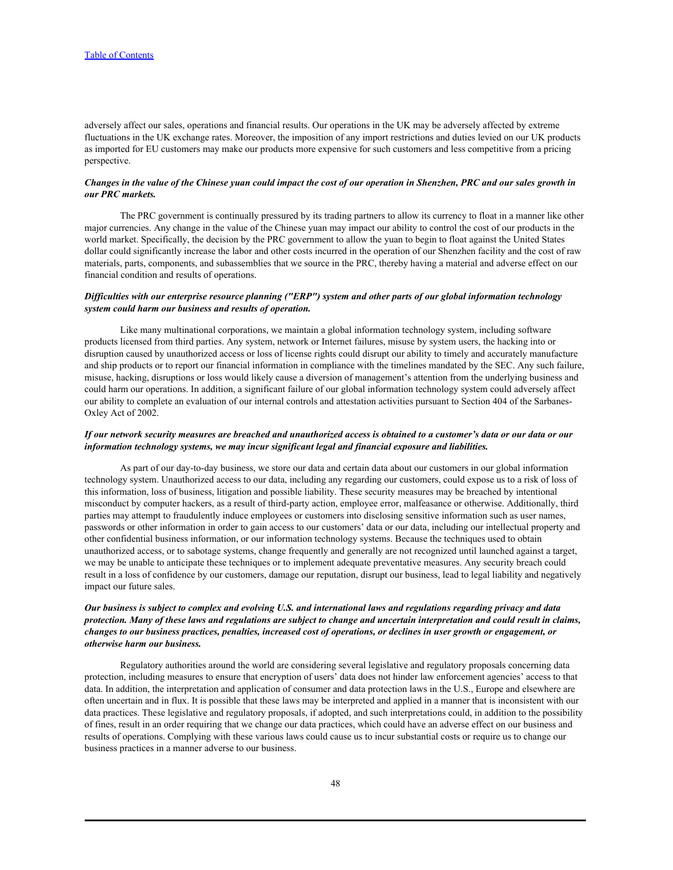adversely affect our sales, operations and financial results. Our operations in the UK may be adversely affected by extreme fluctuations in the UK exchange rates. Moreover, the imposition of any import restrictions and duties levied on our UK products as imported for EU customers may make our products more expensive for such customers and less competitive from a pricing perspective.

## *Changes in the value of the Chinese yuan could impact the cost of our operation in Shenzhen, PRC and our sales growth in our PRC markets.*

The PRC government is continually pressured by its trading partners to allow its currency to float in a manner like other major currencies. Any change in the value of the Chinese yuan may impact our ability to control the cost of our products in the world market. Specifically, the decision by the PRC government to allow the yuan to begin to float against the United States dollar could significantly increase the labor and other costs incurred in the operation of our Shenzhen facility and the cost of raw materials, parts, components, and subassemblies that we source in the PRC, thereby having a material and adverse effect on our financial condition and results of operations.

## *Difficulties with our enterprise resource planning ("ERP") system and other parts of our global information technology system could harm our business and results of operation.*

Like many multinational corporations, we maintain a global information technology system, including software products licensed from third parties. Any system, network or Internet failures, misuse by system users, the hacking into or disruption caused by unauthorized access or loss of license rights could disrupt our ability to timely and accurately manufacture and ship products or to report our financial information in compliance with the timelines mandated by the SEC. Any such failure, misuse, hacking, disruptions or loss would likely cause a diversion of management's attention from the underlying business and could harm our operations. In addition, a significant failure of our global information technology system could adversely affect our ability to complete an evaluation of our internal controls and attestation activities pursuant to Section 404 of the Sarbanes-Oxley Act of 2002.

## *If our network security measures are breached and unauthorized access is obtained to a customer's data or our data or our information technology systems, we may incur significant legal and financial exposure and liabilities.*

As part of our day-to-day business, we store our data and certain data about our customers in our global information technology system. Unauthorized access to our data, including any regarding our customers, could expose us to a risk of loss of this information, loss of business, litigation and possible liability. These security measures may be breached by intentional misconduct by computer hackers, as a result of third-party action, employee error, malfeasance or otherwise. Additionally, third parties may attempt to fraudulently induce employees or customers into disclosing sensitive information such as user names, passwords or other information in order to gain access to our customers' data or our data, including our intellectual property and other confidential business information, or our information technology systems. Because the techniques used to obtain unauthorized access, or to sabotage systems, change frequently and generally are not recognized until launched against a target, we may be unable to anticipate these techniques or to implement adequate preventative measures. Any security breach could result in a loss of confidence by our customers, damage our reputation, disrupt our business, lead to legal liability and negatively impact our future sales.

# *Our business is subject to complex and evolving U.S. and international laws and regulations regarding privacy and data protection. Many of these laws and regulations are subject to change and uncertain interpretation and could result in claims, changes to our business practices, penalties, increased cost of operations, or declines in user growth or engagement, or otherwise harm our business.*

Regulatory authorities around the world are considering several legislative and regulatory proposals concerning data protection, including measures to ensure that encryption of users' data does not hinder law enforcement agencies' access to that data. In addition, the interpretation and application of consumer and data protection laws in the U.S., Europe and elsewhere are often uncertain and in flux. It is possible that these laws may be interpreted and applied in a manner that is inconsistent with our data practices. These legislative and regulatory proposals, if adopted, and such interpretations could, in addition to the possibility of fines, result in an order requiring that we change our data practices, which could have an adverse effect on our business and results of operations. Complying with these various laws could cause us to incur substantial costs or require us to change our business practices in a manner adverse to our business.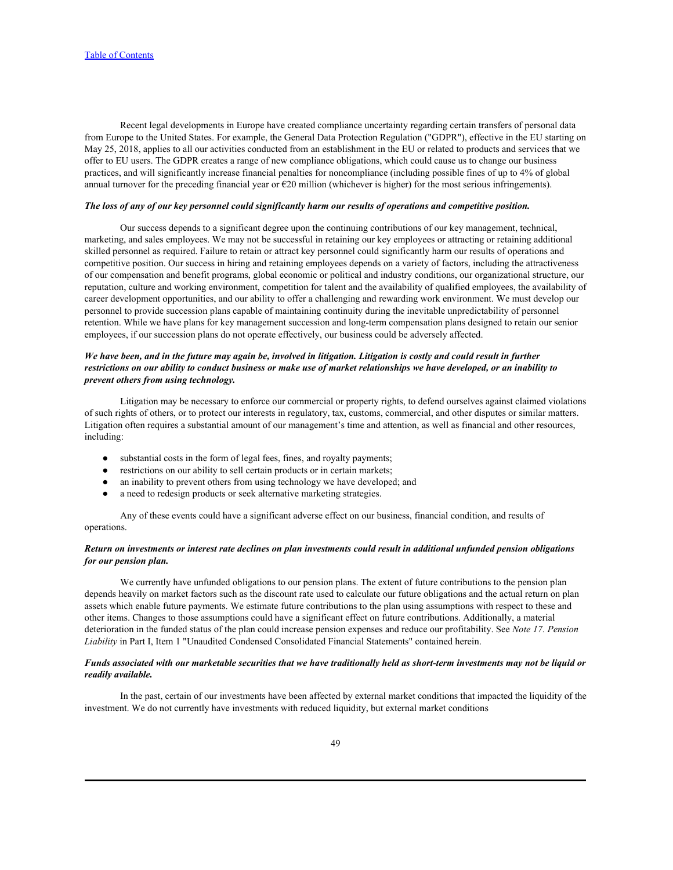Recent legal developments in Europe have created compliance uncertainty regarding certain transfers of personal data from Europe to the United States. For example, the General Data Protection Regulation ("GDPR"), effective in the EU starting on May 25, 2018, applies to all our activities conducted from an establishment in the EU or related to products and services that we offer to EU users. The GDPR creates a range of new compliance obligations, which could cause us to change our business practices, and will significantly increase financial penalties for noncompliance (including possible fines of up to 4% of global annual turnover for the preceding financial year or  $\epsilon$ 20 million (whichever is higher) for the most serious infringements).

## *The loss of any of our key personnel could significantly harm our results of operations and competitive position.*

Our success depends to a significant degree upon the continuing contributions of our key management, technical, marketing, and sales employees. We may not be successful in retaining our key employees or attracting or retaining additional skilled personnel as required. Failure to retain or attract key personnel could significantly harm our results of operations and competitive position. Our success in hiring and retaining employees depends on a variety of factors, including the attractiveness of our compensation and benefit programs, global economic or political and industry conditions, our organizational structure, our reputation, culture and working environment, competition for talent and the availability of qualified employees, the availability of career development opportunities, and our ability to offer a challenging and rewarding work environment. We must develop our personnel to provide succession plans capable of maintaining continuity during the inevitable unpredictability of personnel retention. While we have plans for key management succession and long-term compensation plans designed to retain our senior employees, if our succession plans do not operate effectively, our business could be adversely affected.

## *We have been, and in the future may again be, involved in litigation. Litigation is costly and could result in further restrictions on our ability to conduct business or make use of market relationships we have developed, or an inability to prevent others from using technology.*

Litigation may be necessary to enforce our commercial or property rights, to defend ourselves against claimed violations of such rights of others, or to protect our interests in regulatory, tax, customs, commercial, and other disputes or similar matters. Litigation often requires a substantial amount of our management's time and attention, as well as financial and other resources, including:

- substantial costs in the form of legal fees, fines, and royalty payments;
- restrictions on our ability to sell certain products or in certain markets;
- an inability to prevent others from using technology we have developed; and
- a need to redesign products or seek alternative marketing strategies.

Any of these events could have a significant adverse effect on our business, financial condition, and results of operations.

# *Return on investments or interest rate declines on plan investments could result in additional unfunded pension obligations for our pension plan.*

We currently have unfunded obligations to our pension plans. The extent of future contributions to the pension plan depends heavily on market factors such as the discount rate used to calculate our future obligations and the actual return on plan assets which enable future payments. We estimate future contributions to the plan using assumptions with respect to these and other items. Changes to those assumptions could have a significant effect on future contributions. Additionally, a material deterioration in the funded status of the plan could increase pension expenses and reduce our profitability. See *Note 17. Pension Liability* in Part I, Item 1 "Unaudited Condensed Consolidated Financial Statements" contained herein.

#### *Funds associated with our marketable securities that we have traditionally held as short-term investments may not be liquid or readily available.*

In the past, certain of our investments have been affected by external market conditions that impacted the liquidity of the investment. We do not currently have investments with reduced liquidity, but external market conditions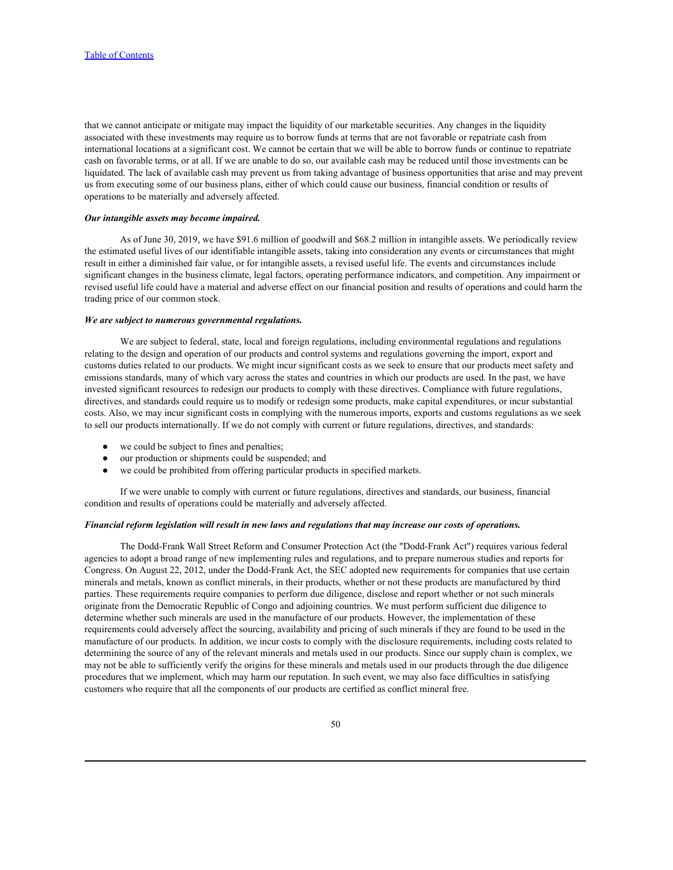that we cannot anticipate or mitigate may impact the liquidity of our marketable securities. Any changes in the liquidity associated with these investments may require us to borrow funds at terms that are not favorable or repatriate cash from international locations at a significant cost. We cannot be certain that we will be able to borrow funds or continue to repatriate cash on favorable terms, or at all. If we are unable to do so, our available cash may be reduced until those investments can be liquidated. The lack of available cash may prevent us from taking advantage of business opportunities that arise and may prevent us from executing some of our business plans, either of which could cause our business, financial condition or results of operations to be materially and adversely affected.

## *Our intangible assets may become impaired.*

As of June 30, 2019, we have \$91.6 million of goodwill and \$68.2 million in intangible assets. We periodically review the estimated useful lives of our identifiable intangible assets, taking into consideration any events or circumstances that might result in either a diminished fair value, or for intangible assets, a revised useful life. The events and circumstances include significant changes in the business climate, legal factors, operating performance indicators, and competition. Any impairment or revised useful life could have a material and adverse effect on our financial position and results of operations and could harm the trading price of our common stock.

## *We are subject to numerous governmental regulations.*

We are subject to federal, state, local and foreign regulations, including environmental regulations and regulations relating to the design and operation of our products and control systems and regulations governing the import, export and customs duties related to our products. We might incur significant costs as we seek to ensure that our products meet safety and emissions standards, many of which vary across the states and countries in which our products are used. In the past, we have invested significant resources to redesign our products to comply with these directives. Compliance with future regulations, directives, and standards could require us to modify or redesign some products, make capital expenditures, or incur substantial costs. Also, we may incur significant costs in complying with the numerous imports, exports and customs regulations as we seek to sell our products internationally. If we do not comply with current or future regulations, directives, and standards:

- we could be subject to fines and penalties;
- our production or shipments could be suspended; and
- we could be prohibited from offering particular products in specified markets.

If we were unable to comply with current or future regulations, directives and standards, our business, financial condition and results of operations could be materially and adversely affected.

#### *Financial reform legislation will result in new laws and regulations that may increase our costs of operations.*

The Dodd-Frank Wall Street Reform and Consumer Protection Act (the "Dodd-Frank Act") requires various federal agencies to adopt a broad range of new implementing rules and regulations, and to prepare numerous studies and reports for Congress. On August 22, 2012, under the Dodd-Frank Act, the SEC adopted new requirements for companies that use certain minerals and metals, known as conflict minerals, in their products, whether or not these products are manufactured by third parties. These requirements require companies to perform due diligence, disclose and report whether or not such minerals originate from the Democratic Republic of Congo and adjoining countries. We must perform sufficient due diligence to determine whether such minerals are used in the manufacture of our products. However, the implementation of these requirements could adversely affect the sourcing, availability and pricing of such minerals if they are found to be used in the manufacture of our products. In addition, we incur costs to comply with the disclosure requirements, including costs related to determining the source of any of the relevant minerals and metals used in our products. Since our supply chain is complex, we may not be able to sufficiently verify the origins for these minerals and metals used in our products through the due diligence procedures that we implement, which may harm our reputation. In such event, we may also face difficulties in satisfying customers who require that all the components of our products are certified as conflict mineral free.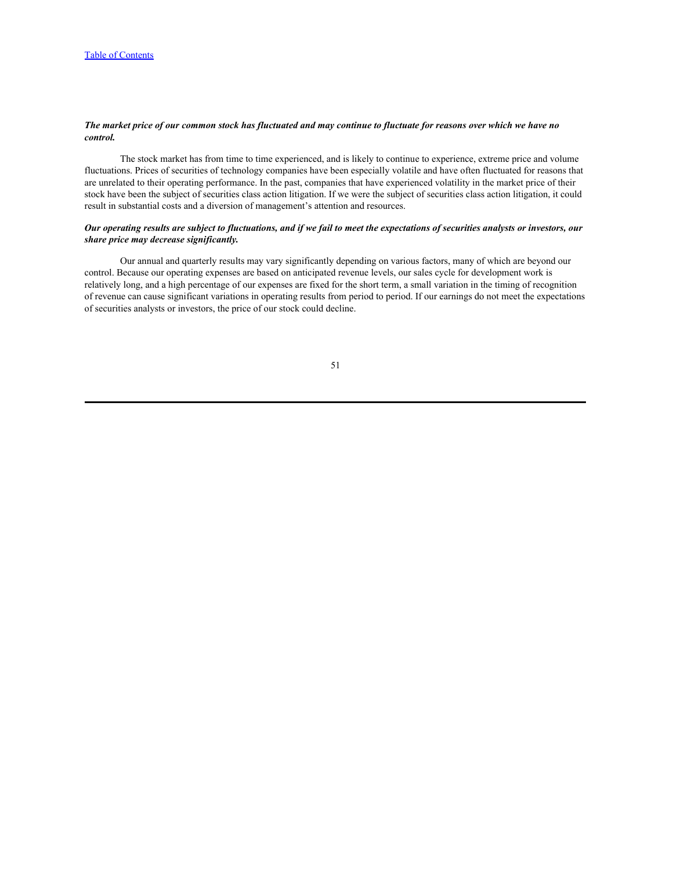## *The market price of our common stock has fluctuated and may continue to fluctuate for reasons over which we have no control.*

The stock market has from time to time experienced, and is likely to continue to experience, extreme price and volume fluctuations. Prices of securities of technology companies have been especially volatile and have often fluctuated for reasons that are unrelated to their operating performance. In the past, companies that have experienced volatility in the market price of their stock have been the subject of securities class action litigation. If we were the subject of securities class action litigation, it could result in substantial costs and a diversion of management's attention and resources.

## *Our operating results are subject to fluctuations, and if we fail to meet the expectations of securities analysts or investors, our share price may decrease significantly.*

Our annual and quarterly results may vary significantly depending on various factors, many of which are beyond our control. Because our operating expenses are based on anticipated revenue levels, our sales cycle for development work is relatively long, and a high percentage of our expenses are fixed for the short term, a small variation in the timing of recognition of revenue can cause significant variations in operating results from period to period. If our earnings do not meet the expectations of securities analysts or investors, the price of our stock could decline.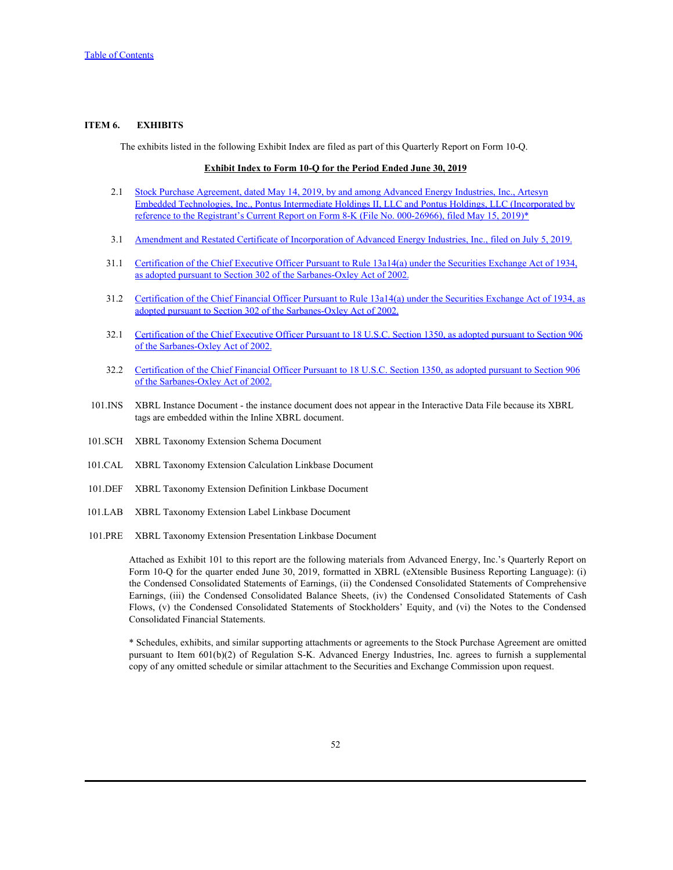## <span id="page-52-0"></span>**ITEM 6. EXHIBITS**

The exhibits listed in the following Exhibit Index are filed as part of this Quarterly Report on Form 10-Q.

## **Exhibit Index to Form 10-Q for the Period Ended June 30, 2019**

- 2.1 [Stock Purchase Agreement, dated May 14, 2019, by and among Advanced Energy Industries, Inc., Artesyn](https://content.edgar-online.com/ExternalLink/EDGAR/0000927003-19-000035.html?hash=d60b31a73769a003e188e9ad6d1c298b17925645371f3b9d948c0d6cf94670db&dest=EXHIBIT21-STOCKPURCHASEAGR_HTM) [Embedded Technologies, Inc., Pontus Intermediate Holdings II, LLC and Pontus Holdings, LLC \(Incorporated by](https://content.edgar-online.com/ExternalLink/EDGAR/0000927003-19-000035.html?hash=d60b31a73769a003e188e9ad6d1c298b17925645371f3b9d948c0d6cf94670db&dest=EXHIBIT21-STOCKPURCHASEAGR_HTM) [reference to the Registrant's Current Report on Form 8-K \(File No. 000-26966\), filed May 15, 2019\)\\*](https://content.edgar-online.com/ExternalLink/EDGAR/0000927003-19-000035.html?hash=d60b31a73769a003e188e9ad6d1c298b17925645371f3b9d948c0d6cf94670db&dest=EXHIBIT21-STOCKPURCHASEAGR_HTM)
- 3.1 Amendment and Restated Certificate of Incorporation of Advanced Energy Industries, Inc., filed on July 5, 2019.
- 31.1 Certification of the Chief Executive Officer Pursuant to Rule 13a14(a) under the Securities Exchange Act of 1934, as adopted pursuant to Section 302 of the Sarbanes-Oxley Act of 2002.
- 31.2 Certification of the Chief Financial Officer Pursuant to Rule 13a14(a) under the Securities Exchange Act of 1934, as adopted pursuant to Section 302 of the Sarbanes-Oxley Act of 2002.
- 32.1 Certification of the Chief Executive Officer Pursuant to 18 U.S.C. Section 1350, as adopted pursuant to Section 906 of the Sarbanes-Oxley Act of 2002.
- 32.2 Certification of the Chief Financial Officer Pursuant to 18 U.S.C. Section 1350, as adopted pursuant to Section 906 of the Sarbanes-Oxley Act of 2002.
- 101.INS XBRL Instance Document the instance document does not appear in the Interactive Data File because its XBRL tags are embedded within the Inline XBRL document.
- 101.SCH XBRL Taxonomy Extension Schema Document
- 101.CAL XBRL Taxonomy Extension Calculation Linkbase Document
- 101.DEF XBRL Taxonomy Extension Definition Linkbase Document
- 101.LAB XBRL Taxonomy Extension Label Linkbase Document
- 101.PRE XBRL Taxonomy Extension Presentation Linkbase Document

Attached as Exhibit 101 to this report are the following materials from Advanced Energy, Inc.'s Quarterly Report on Form 10-Q for the quarter ended June 30, 2019, formatted in XBRL (eXtensible Business Reporting Language): (i) the Condensed Consolidated Statements of Earnings, (ii) the Condensed Consolidated Statements of Comprehensive Amendmentand Recisted Certificate of Incorporation of Advanced Interge Industries. Inc. filed on the S. 2019<br>
Certification of the Chief Excettive Officer Parsmant Delle Ual 44(a) and<br>or the Constrainers and a Constraine Centricutions of the Chief Excentric Officer Parsumt to Rede 13:14fth) and the Securities Exchange Act of 1934,<br>an adopted parsumat to Section 302 of the Stabanea-Oxley Act of 2002.<br>
Centricustions Exchange Act of 1934, as Consolidated Financial Statements. Contribution of the Chief Francesco (Officer Pursuant in Right 13a discussion) and publish and a system of the Sabara-Osizy Act of The Chief Executive Officer Pursuant to 18 U.S.C. Section 1350, as adopted pursuant to Sect

\* Schedules, exhibits, and similar supporting attachments or agreements to the Stock Purchase Agreement are omitted copy of any omitted schedule or similar attachment to the Securities and Exchange Commission upon request.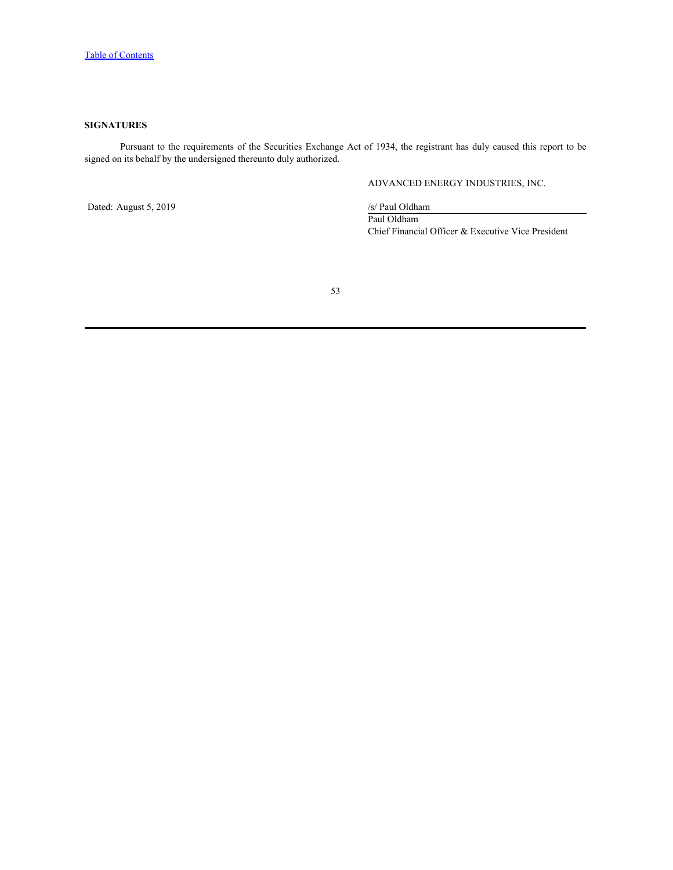# <span id="page-53-0"></span>**SIGNATURES**

Pursuant to the requirements of the Securities Exchange Act of 1934, the registrant has duly caused this report to be signed on its behalf by the undersigned thereunto duly authorized.

# ADVANCED ENERGY INDUSTRIES, INC.

Dated: August 5, 2019 /s/ Paul Oldham

Paul Oldham Chief Financial Officer & Executive Vice President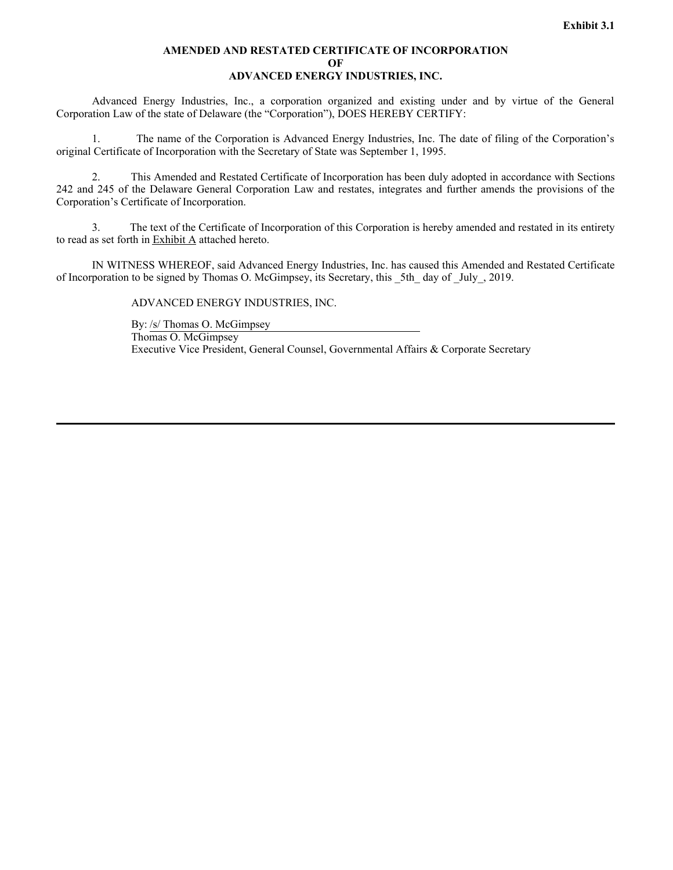# **AMENDED AND RESTATED CERTIFICATE OF INCORPORATION OF ADVANCED ENERGY INDUSTRIES, INC.**

<span id="page-54-0"></span>Corporation Law of the state of Delaware (the "Corporation"), DOES HEREBY CERTIFY:

1. The name of the Corporation is Advanced Energy Industries, Inc. The date of filing of the Corporation's original Certificate of Incorporation with the Secretary of State was September 1, 1995.

Exhibit 3.1<br>
AMENDED AND RESTATED CERTIFICATE OF INCORPORATION<br>
ADVANCED ENERGY INDUSTRIES, INC.<br>
Advanced Energy Industries, Inc., a corporation organized and existing under and by virtue of the General<br>
tion Law of the s 2. This Amended and Restated Certificate of Incorporation has been duly adopted in accordance with Sections Exhibit 3.1<br>
242 AMENDED AND RESTATED CERTIFICATE OF INCORPORATION<br>
262 ADVANCED ENERGY INDUSTRIES, INC.<br>
262 Advanced Forey Industries, Inc., a corporation "Ognoration"), DOES HEREBY CERTIFY:<br>
212 This Amended and Restate Corporation's Certificate of Incorporation.

3. The text of the Certificate of Incorporation of this Corporation is hereby amended and restated in its entirety to read as set forth in Exhibit A attached hereto.

IN WITNESS WHEREOF, said Advanced Energy Industries, Inc. has caused this Amended and Restated Certificate of Incorporation to be signed by Thomas O. McGimpsey, its Secretary, this \_5th\_ day of \_July\_, 2019.

ADVANCED ENERGY INDUSTRIES, INC.

By: /s/ Thomas O. McGimpsey Thomas O. McGimpsey Executive Vice President, General Counsel, Governmental Affairs & Corporate Secretary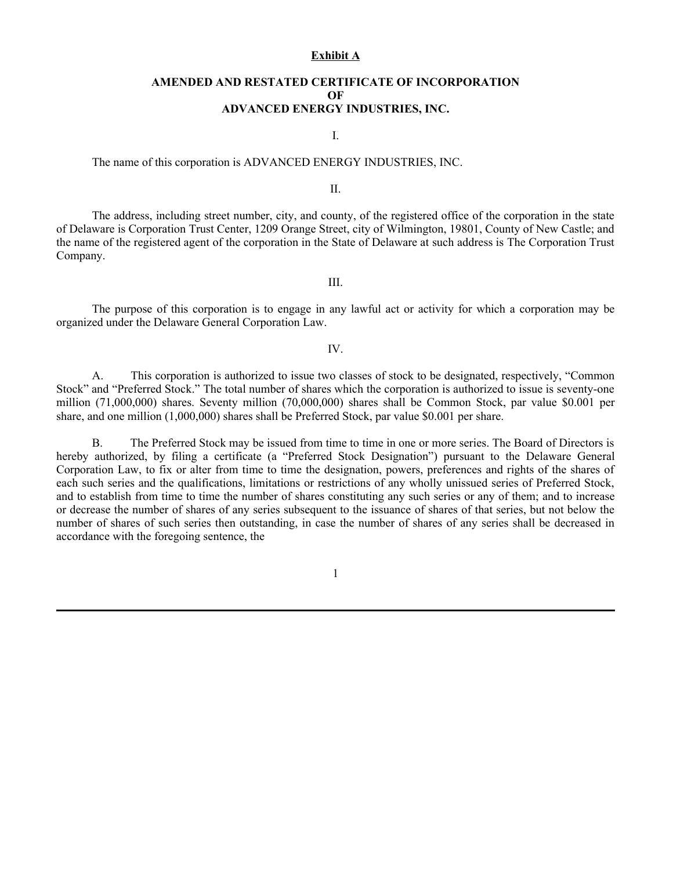# **Exhibit A**

# **AMENDED AND RESTATED CERTIFICATE OF INCORPORATION OF ADVANCED ENERGY INDUSTRIES, INC.**

# I.

# The name of this corporation is ADVANCED ENERGY INDUSTRIES, INC.

II.

The address, including street number, city, and county, of the registered office of the corporation in the state of Delaware is Corporation Trust Center, 1209 Orange Street, city of Wilmington, 19801, County of New Castle; and the name of the registered agent of the corporation in the State of Delaware at such address is The Corporation Trust Company.

# III.

organized under the Delaware General Corporation Law.

# IV.

**EXAMENDED AND RESTATED CERTIFICATE OF INCORPORATION**<br> **ADVANCED ENERGY INDUSTRIES**, INC.<br>
I.<br>
The name of this corporation is ADVANCED ENERGY INDUSTRIES, INC.<br>
The address, including street number, eity, and county, of t A. This corporation is authorized to issue two classes of stock to be designated, respectively, "Common Stock" and "Preferred Stock." The total number of shares which the corporation is authorized to issue is seventy-one share, and one million (1,000,000) shares shall be Preferred Stock, par value \$0.001 per share.

**EXIDE A AMENDED AND RESTATED CERTIFICATE OF INCORPORATION**<br>
(The name of this corporation is ADVANCED ENERGY INDUSTRIES, INC.<br>
The name of this corporation is ADVANCED ENERGY INDUSTRIES, INC.<br>
The name of this corporation B. The Preferred Stock may be issued from time to time in one or more series. The Board of Directors is **EXAMENDED AND RESTATED CERTIFICATE OF INCORPORATION**<br> **ADVANCED ENERGY INDUSTRIES.** INC.<br>
The name of this corporation is ADVANCED ENERGY INDUSTRIES. INC.<br>
The name of this corporation is a COMPANCED ENERGY INDUSTRIES. I Corporation Law, to fix or alter from time to time the designation, powers, preferences and rights of the shares of each such series and the qualifications, limitations or restrictions of any wholly unissued series of Preferred Stock, and to establish from time to time the number of shares constituting any such series or any of them; and to increase or decrease the number of shares of any series subsequent to the issuance of shares of that series, but not below the number of shares of such series then outstanding, in case the number of shares of any series shall be decreased in accordance with the foregoing sentence, the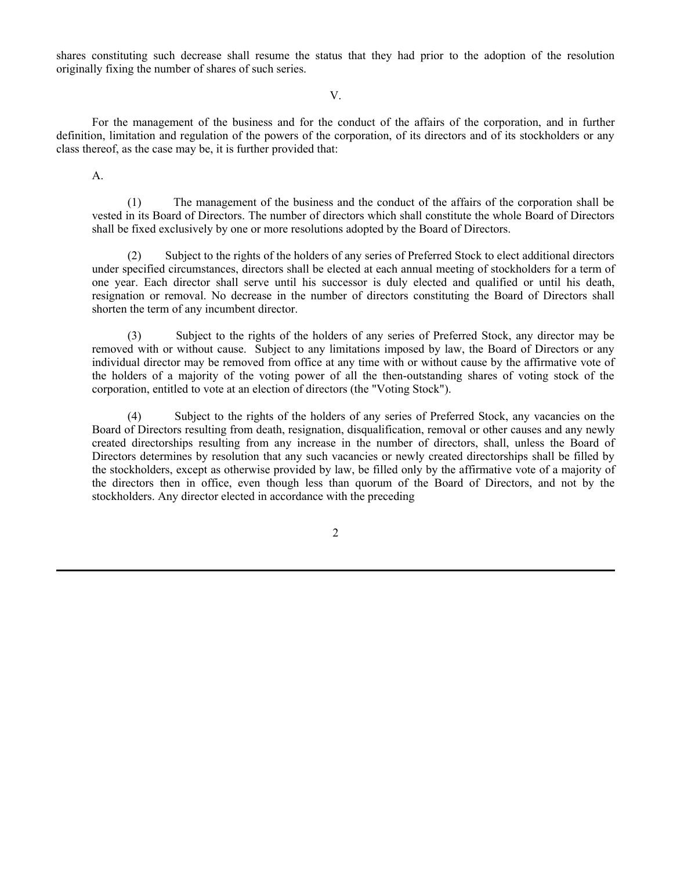originally fixing the number of shares of such series.

V.

shares constituting such decrease shall resume the status that they had prior to the adoption of the resolution originally fixing the number of shares of such series.<br>V.<br>For the management of the business and for the condu definition, limitation and regulation of the powers of the corporation, of its directors and of its stockholders or any class thereof, as the case may be, it is further provided that:

A.

Example 10 constituting such decrease shall resume the status that they had prior to the adoption of the resolution<br>Use the number of shares of such series.<br>V.<br>The management of the business and for the conduct of the affa (1) The management of the business and the conduct of the affairs of the corporation shall be vested in its Board of Directors. The number of directors which shall constitute the whole Board of Directors shall be fixed exclusively by one or more resolutions adopted by the Board of Directors.

(2) Subject to the rights of the holders of any series of Preferred Stock to elect additional directors under specified circumstances, directors shall be elected at each annual meeting of stockholders for a term of shorten the term of any incumbent director.

constituting such decrease shall resume the status that they had prior to the adoption of the resolution<br>ly ly fixing the number of shares of such series.<br>V.<br>For the management of the business and for the conduct of the af **Example 10** constituting such decrease shall resume the status that they had prior to the adoption of the resolution<br>ly living the number of shares of such series.<br>V.<br>Definition and regulation of the powers of the conduct (3) Subject to the rights of the holders of any series of Preferred Stock, any director may be removed with or without cause. Subject to any limitations imposed by law, the Board of Directors or any individual director may be removed from office at any time with or without cause by the affirmative vote of corporation, entitled to vote at an election of directors (the "Voting Stock").

the majorithming such decrease shall resume the status that they had prior to the adoption of the resolution<br>
V.<br>
Y.<br>
Y. The management of the business and for the conduct of the affilis of the conjection, and in further<br> (4) Subject to the rights of the holders of any series of Preferred Stock, any vacancies on the Board of Directors resulting from death, resignation, disqualification, removal or other causes and any newly constituting such decrease shall resume the status that they had prior to the adoption of the resolution<br>y fixing the number of shares of such series.<br>V.<br>Ever the monument of the husiness and for the conduct of the affili Directors determines by resolution that any such vacancies or newly created directorships shall be filled by the stockholders, except as otherwise provided by law, be filled only by the affirmative vote of a majority of constituting such decrease shall resume the status that they bad prior to the adoption of the resolution<br>by fixing the number of shares of such series.<br>
V.<br>
For the management of the business and for the conduct of the af stockholders. Any director elected in accordance with the preceding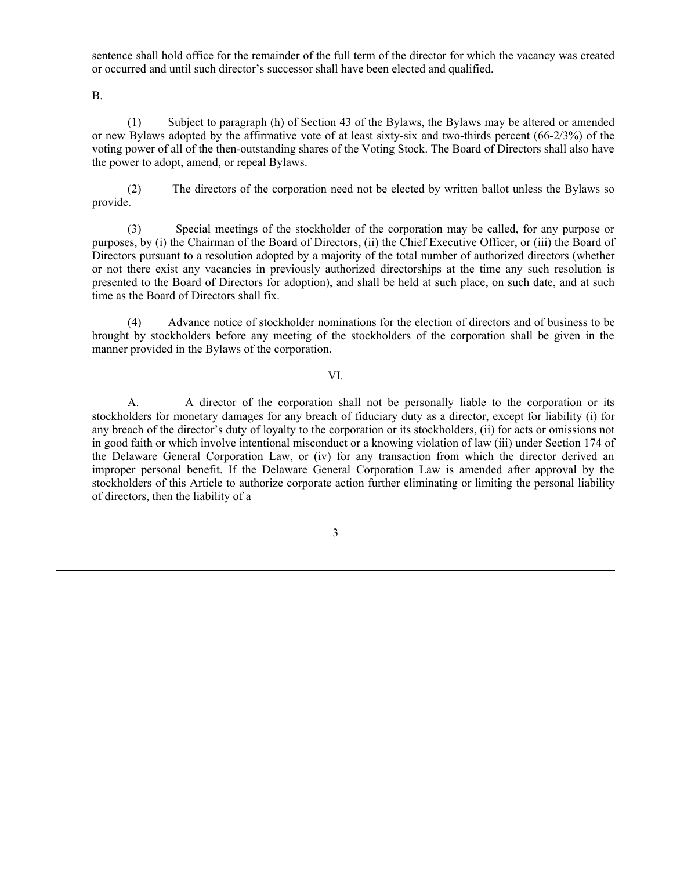sentence shall hold office for the remainder of the full term of the director for which the vacancy was created or occurred and until such director's successor shall have been elected and qualified.

B.

(1) Subject to paragraph (h) of Section 43 of the Bylaws, the Bylaws may be altered or amended or new Bylaws adopted by the affirmative vote of at least sixty-six and two-thirds percent (66-2/3%) of the voting power of all of the then-outstanding shares of the Voting Stock. The Board of Directors shall also have the power to adopt, amend, or repeal Bylaws.

(2) The directors of the corporation need not be elected by written ballot unless the Bylaws so provide.

(3) Special meetings of the stockholder of the corporation may be called, for any purpose or purposes, by (i) the Chairman of the Board of Directors, (ii) the Chief Executive Officer, or (iii) the Board of Directors pursuant to a resolution adopted by a majority of the total number of authorized directors (whether scritchco shall hold office for the remainder of the full term of the director for which the vacancy was created<br>or or occurred and until such director's successor shall have been elected and qualified.<br>B.<br>(1) Subject to p presented to the Board of Directors for adoption), and shall be held at such place, on such date, and at such time as the Board of Directors shall fix. sentence shall hold office for the remainder of the full term of the director for which the vacancy was created<br>or occurred and until such director's successor shall have been elected and qualified.<br>B.<br>(1) Subject to parag

(4) Advance notice of stockholder nominations for the election of directors and of business to be manner provided in the Bylaws of the corporation.

# VI.

e shall hold office for the remainder of the full rem of the director for which the vacancy was created<br>roct order and out in such director's successor shall have been clereled and qualified.<br>(1) Sobiest to paragraph (b) stockholders for monetary damages for any breach of fiduciary duty as a director, except for liability (i) for any breach of the director's duty of loyalty to the corporation or its stockholders, (ii) for acts or omissions not in good faith or which involve intentional misconduct or a knowing violation of law (iii) under Section 174 of the measure of the different intervention of the full term of the director for which the vacancy was created<br>or occurred and until such director's successor stall have been cleared and qualited.<br>
13.<br>
13.<br>
13. Subject to sentence shall hold office for the remainder of the full term of the director for whitel the vacuumy was created<br>or orceutred and unlike director's successor shall have been clected and qualified.<br>
B.<br>
(1) Subject to parag stockholders of this Article to authorize corporate action further eliminating or limiting the personal liability of directors, then the liability of a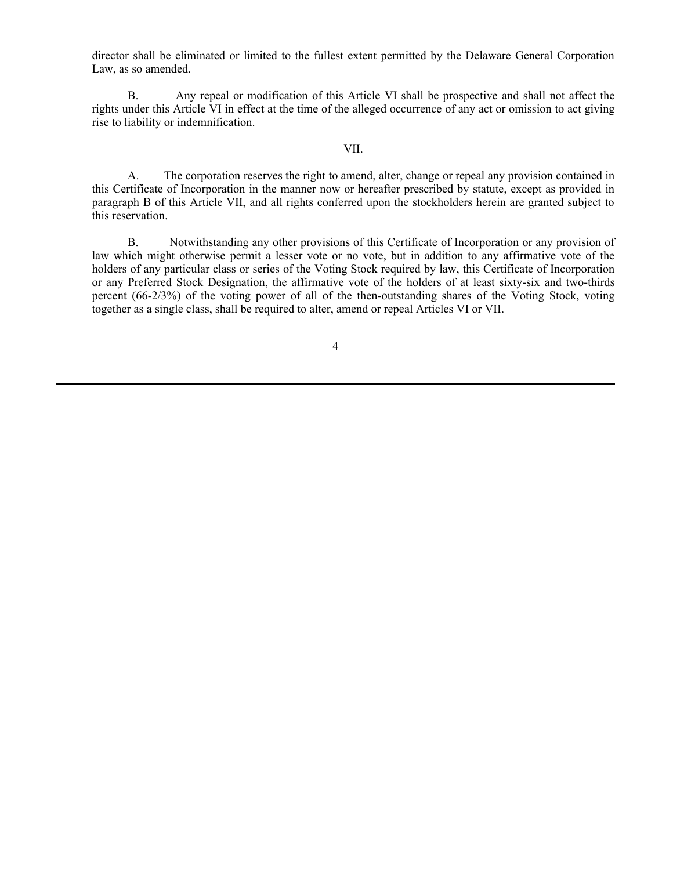director shall be eliminated or limited to the fullest extent permitted by the Delaware General Corporation Law, as so amended.

B. Any repeal or modification of this Article VI shall be prospective and shall not affect the rights under this Article VI in effect at the time of the alleged occurrence of any act or omission to act giving rise to liability or indemnification.

# VII.

A. The corporation reserves the right to amend, alter, change or repeal any provision contained in this Certificate of Incorporation in the manner now or hereafter prescribed by statute, except as provided in paragraph B of this Article VII, and all rights conferred upon the stockholders herein are granted subject to this reservation.

B. Notwithstanding any other provisions of this Certificate of Incorporation or any provision of director shall be climinated or limited to the fullest extent permitted by the Delaware General Corporation<br>Law, as so annended.<br>
B. Any repeal or modification of this Article VI shall be prospective and shall not affect t holders of any particular class or series of the Voting Stock required by law, this Certificate of Incorporation director shall be climinated or limited to the fullest extent permitted by the Delaware General Corporation<br>Law, as so amended.<br>
B. Any repeal or modification of this Article VI shall be prospective and shall not affect th director shall be climinated or limited to the fullest extent permitted by the Delaware General Corporation<br>Law, as so annended.<br>
B. Any repeal or modification of this Article VI shall be prospective and shall not affect t together as a single class, shall be required to alter, amend or repeal Articles VI or VII.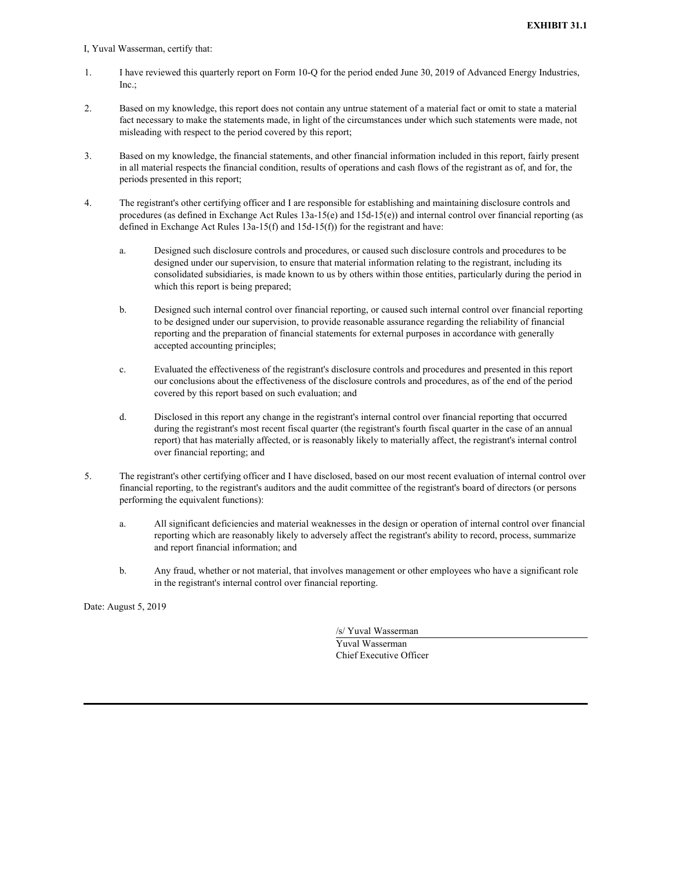## <span id="page-60-0"></span>I, Yuval Wasserman, certify that:

- 1. I have reviewed this quarterly report on Form 10-Q for the period ended June 30, 2019 of Advanced Energy Industries, Inc.;
- 2. Based on my knowledge, this report does not contain any untrue statement of a material fact or omit to state a material fact necessary to make the statements made, in light of the circumstances under which such statements were made, not misleading with respect to the period covered by this report;
- 3. Based on my knowledge, the financial statements, and other financial information included in this report, fairly present in all material respects the financial condition, results of operations and cash flows of the registrant as of, and for, the periods presented in this report;
- 4. The registrant's other certifying officer and I are responsible for establishing and maintaining disclosure controls and procedures (as defined in Exchange Act Rules 13a-15(e) and 15d-15(e)) and internal control over financial reporting (as defined in Exchange Act Rules 13a-15(f) and 15d-15(f)) for the registrant and have:
	- a. Designed such disclosure controls and procedures, or caused such disclosure controls and procedures to be designed under our supervision, to ensure that material information relating to the registrant, including its consolidated subsidiaries, is made known to us by others within those entities, particularly during the period in which this report is being prepared;
	- b. Designed such internal control over financial reporting, or caused such internal control over financial reporting to be designed under our supervision, to provide reasonable assurance regarding the reliability of financial reporting and the preparation of financial statements for external purposes in accordance with generally accepted accounting principles;
	- c. Evaluated the effectiveness of the registrant's disclosure controls and procedures and presented in this report our conclusions about the effectiveness of the disclosure controls and procedures, as of the end of the period covered by this report based on such evaluation; and
	- d. Disclosed in this report any change in the registrant's internal control over financial reporting that occurred during the registrant's most recent fiscal quarter (the registrant's fourth fiscal quarter in the case of an annual report) that has materially affected, or is reasonably likely to materially affect, the registrant's internal control over financial reporting; and
- 5. The registrant's other certifying officer and I have disclosed, based on our most recent evaluation of internal control over financial reporting, to the registrant's auditors and the audit committee of the registrant's board of directors (or persons performing the equivalent functions):
	- a. All significant deficiencies and material weaknesses in the design or operation of internal control over financial reporting which are reasonably likely to adversely affect the registrant's ability to record, process, summarize and report financial information; and
	- b. Any fraud, whether or not material, that involves management or other employees who have a significant role in the registrant's internal control over financial reporting.

Date: August 5, 2019

/s/ Yuval Wasserman Yuval Wasserman Chief Executive Officer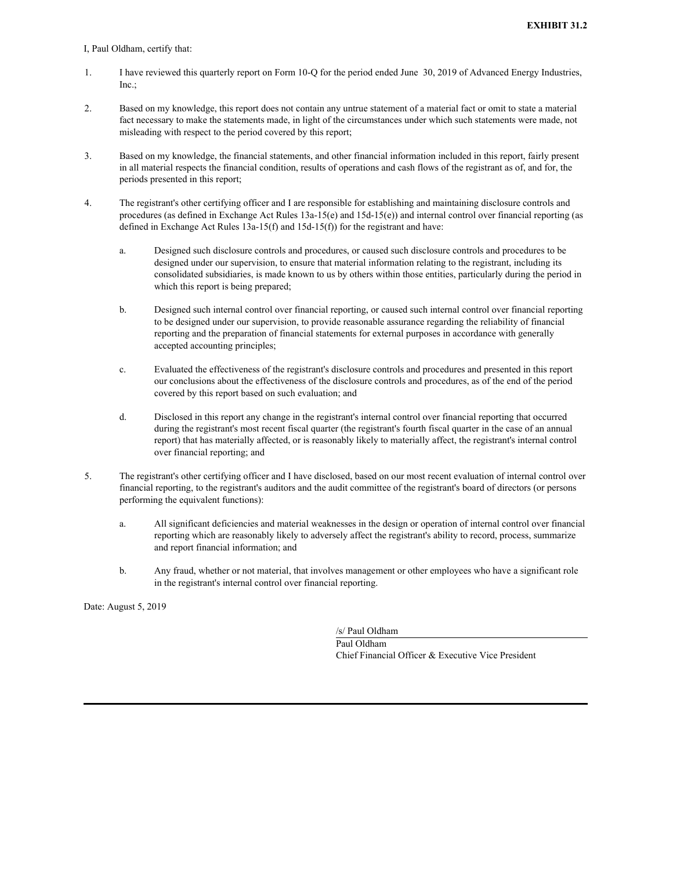## <span id="page-62-0"></span>I, Paul Oldham, certify that:

- 1. I have reviewed this quarterly report on Form 10-Q for the period ended June 30, 2019 of Advanced Energy Industries, Inc.;
- 2. Based on my knowledge, this report does not contain any untrue statement of a material fact or omit to state a material fact necessary to make the statements made, in light of the circumstances under which such statements were made, not misleading with respect to the period covered by this report;
- 3. Based on my knowledge, the financial statements, and other financial information included in this report, fairly present in all material respects the financial condition, results of operations and cash flows of the registrant as of, and for, the periods presented in this report;
- 4. The registrant's other certifying officer and I are responsible for establishing and maintaining disclosure controls and procedures (as defined in Exchange Act Rules 13a-15(e) and 15d-15(e)) and internal control over financial reporting (as defined in Exchange Act Rules 13a-15(f) and 15d-15(f)) for the registrant and have:
	- a. Designed such disclosure controls and procedures, or caused such disclosure controls and procedures to be designed under our supervision, to ensure that material information relating to the registrant, including its consolidated subsidiaries, is made known to us by others within those entities, particularly during the period in which this report is being prepared;
	- b. Designed such internal control over financial reporting, or caused such internal control over financial reporting to be designed under our supervision, to provide reasonable assurance regarding the reliability of financial reporting and the preparation of financial statements for external purposes in accordance with generally accepted accounting principles;
	- c. Evaluated the effectiveness of the registrant's disclosure controls and procedures and presented in this report our conclusions about the effectiveness of the disclosure controls and procedures, as of the end of the period covered by this report based on such evaluation; and
	- d. Disclosed in this report any change in the registrant's internal control over financial reporting that occurred during the registrant's most recent fiscal quarter (the registrant's fourth fiscal quarter in the case of an annual report) that has materially affected, or is reasonably likely to materially affect, the registrant's internal control over financial reporting; and
- 5. The registrant's other certifying officer and I have disclosed, based on our most recent evaluation of internal control over financial reporting, to the registrant's auditors and the audit committee of the registrant's board of directors (or persons performing the equivalent functions):
	- a. All significant deficiencies and material weaknesses in the design or operation of internal control over financial reporting which are reasonably likely to adversely affect the registrant's ability to record, process, summarize and report financial information; and
	- b. Any fraud, whether or not material, that involves management or other employees who have a significant role in the registrant's internal control over financial reporting.

Date: August 5, 2019

/s/ Paul Oldham Paul Oldham Chief Financial Officer & Executive Vice President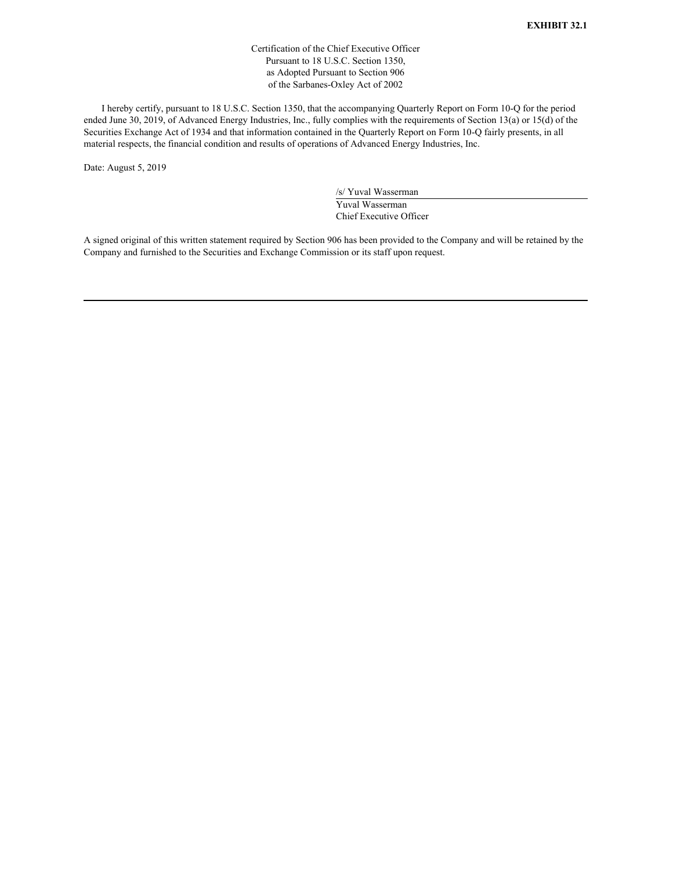Certification of the Chief Executive Officer Pursuant to 18 U.S.C. Section 1350, as Adopted Pursuant to Section 906 of the Sarbanes-Oxley Act of 2002

<span id="page-64-0"></span>I hereby certify, pursuant to 18 U.S.C. Section 1350, that the accompanying Quarterly Report on Form 10-Q for the period ended June 30, 2019, of Advanced Energy Industries, Inc., fully complies with the requirements of Section 13(a) or 15(d) of the Securities Exchange Act of 1934 and that information contained in the Quarterly Report on Form 10-Q fairly presents, in all material respects, the financial condition and results of operations of Advanced Energy Industries, Inc.

Date: August 5, 2019

/s/ Yuval Wasserman Yuval Wasserman Chief Executive Officer

A signed original of this written statement required by Section 906 has been provided to the Company and will be retained by the Company and furnished to the Securities and Exchange Commission or its staff upon request.